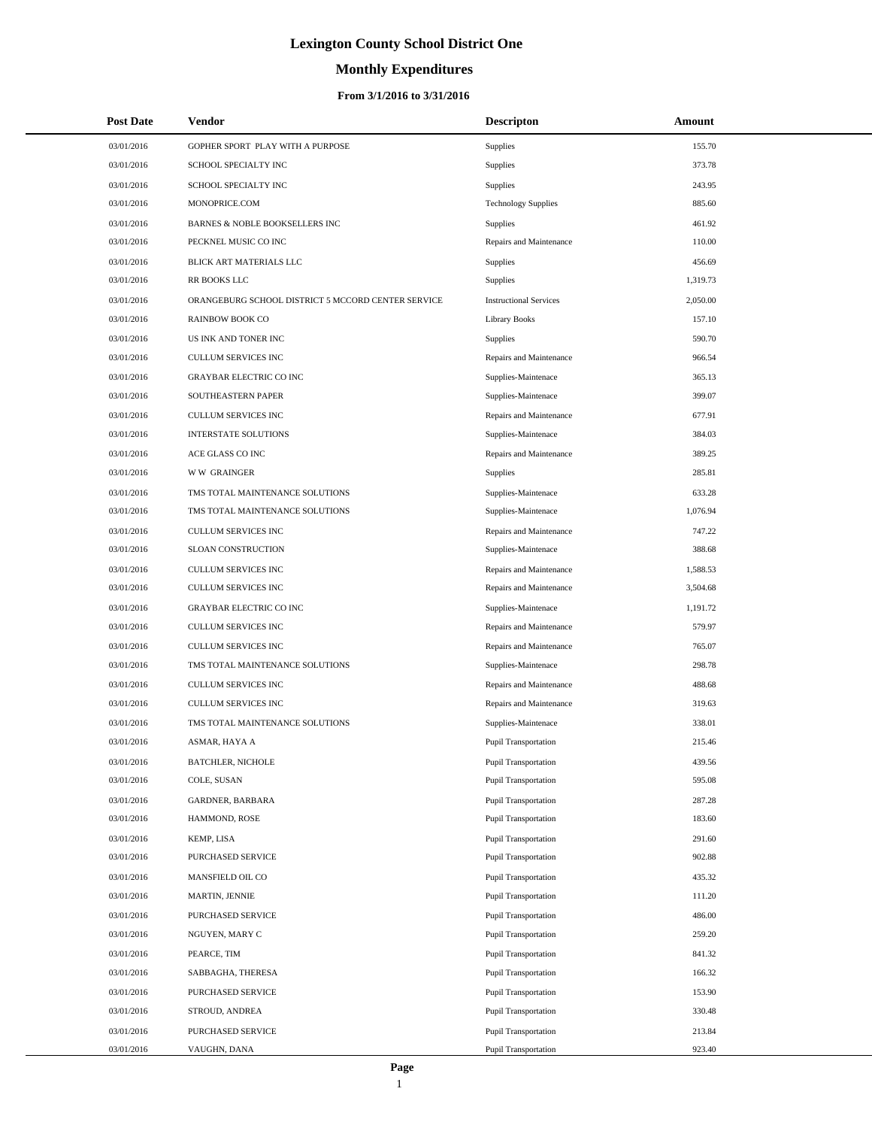# **Monthly Expenditures**

## **From 3/1/2016 to 3/31/2016**

| 03/01/2016<br>GOPHER SPORT PLAY WITH A PURPOSE<br>Supplies<br>155.70<br>373.78<br>03/01/2016<br>Supplies<br>SCHOOL SPECIALTY INC<br>03/01/2016<br>SCHOOL SPECIALTY INC<br><b>Supplies</b><br>243.95<br>MONOPRICE.COM<br>885.60<br>03/01/2016<br><b>Technology Supplies</b><br>03/01/2016<br>BARNES & NOBLE BOOKSELLERS INC<br>Supplies<br>461.92<br>03/01/2016<br>PECKNEL MUSIC CO INC<br>Repairs and Maintenance<br>110.00<br>03/01/2016<br>BLICK ART MATERIALS LLC<br><b>Supplies</b><br>456.69<br>03/01/2016<br>RR BOOKS LLC<br><b>Supplies</b><br>1,319.73<br>03/01/2016<br>ORANGEBURG SCHOOL DISTRICT 5 MCCORD CENTER SERVICE<br><b>Instructional Services</b><br>2,050.00<br>03/01/2016<br><b>RAINBOW BOOK CO</b><br>Library Books<br>157.10<br>03/01/2016<br>US INK AND TONER INC<br><b>Supplies</b><br>590.70<br><b>CULLUM SERVICES INC</b><br>966.54<br>03/01/2016<br>Repairs and Maintenance<br>03/01/2016<br><b>GRAYBAR ELECTRIC CO INC</b><br>Supplies-Maintenace<br>365.13<br>399.07<br>03/01/2016<br>SOUTHEASTERN PAPER<br>Supplies-Maintenace<br>03/01/2016<br><b>CULLUM SERVICES INC</b><br>Repairs and Maintenance<br>677.91<br>03/01/2016<br>384.03<br><b>INTERSTATE SOLUTIONS</b><br>Supplies-Maintenace<br>03/01/2016<br>ACE GLASS CO INC<br>Repairs and Maintenance<br>389.25<br>03/01/2016<br><b>WW GRAINGER</b><br>285.81<br>Supplies<br>03/01/2016<br>TMS TOTAL MAINTENANCE SOLUTIONS<br>Supplies-Maintenace<br>633.28<br>03/01/2016<br>TMS TOTAL MAINTENANCE SOLUTIONS<br>1,076.94<br>Supplies-Maintenace<br>747.22<br>03/01/2016<br><b>CULLUM SERVICES INC</b><br>Repairs and Maintenance<br>03/01/2016<br>SLOAN CONSTRUCTION<br>388.68<br>Supplies-Maintenace<br>03/01/2016<br><b>CULLUM SERVICES INC</b><br>Repairs and Maintenance<br>1,588.53<br>03/01/2016<br>3,504.68<br>CULLUM SERVICES INC<br>Repairs and Maintenance<br>03/01/2016<br><b>GRAYBAR ELECTRIC CO INC</b><br>Supplies-Maintenace<br>1,191.72<br>03/01/2016<br>579.97<br>CULLUM SERVICES INC<br>Repairs and Maintenance<br>03/01/2016<br><b>CULLUM SERVICES INC</b><br>Repairs and Maintenance<br>765.07<br>03/01/2016<br>TMS TOTAL MAINTENANCE SOLUTIONS<br>298.78<br>Supplies-Maintenace<br>03/01/2016<br><b>CULLUM SERVICES INC</b><br>Repairs and Maintenance<br>488.68<br>03/01/2016<br><b>CULLUM SERVICES INC</b><br>319.63<br>Repairs and Maintenance<br>03/01/2016<br>TMS TOTAL MAINTENANCE SOLUTIONS<br>Supplies-Maintenace<br>338.01<br>03/01/2016<br>215.46<br><b>ASMAR, HAYA A</b><br><b>Pupil Transportation</b><br>03/01/2016<br><b>BATCHLER, NICHOLE</b><br>Pupil Transportation<br>439.56<br>03/01/2016<br>COLE, SUSAN<br>Pupil Transportation<br>595.08<br>03/01/2016<br>GARDNER, BARBARA<br><b>Pupil Transportation</b><br>287.28<br>03/01/2016<br>HAMMOND, ROSE<br>Pupil Transportation<br>183.60<br>03/01/2016<br>KEMP, LISA<br><b>Pupil Transportation</b><br>291.60<br>902.88<br>03/01/2016<br>PURCHASED SERVICE<br>Pupil Transportation<br>03/01/2016<br>MANSFIELD OIL CO<br>Pupil Transportation<br>435.32<br>03/01/2016<br>MARTIN, JENNIE<br>Pupil Transportation<br>111.20<br>03/01/2016<br><b>PURCHASED SERVICE</b><br>Pupil Transportation<br>486.00<br>03/01/2016<br>Pupil Transportation<br>259.20<br>NGUYEN, MARY C<br>03/01/2016<br>PEARCE, TIM<br>Pupil Transportation<br>841.32<br>03/01/2016<br>Pupil Transportation<br>166.32<br>SABBAGHA, THERESA<br>03/01/2016<br>PURCHASED SERVICE<br>Pupil Transportation<br>153.90<br>03/01/2016<br>Pupil Transportation<br>330.48<br>STROUD, ANDREA<br>03/01/2016<br>PURCHASED SERVICE<br><b>Pupil Transportation</b><br>213.84<br>923.40<br>03/01/2016<br>Pupil Transportation<br>VAUGHN, DANA | <b>Post Date</b> | Vendor | <b>Descripton</b> | Amount |
|------------------------------------------------------------------------------------------------------------------------------------------------------------------------------------------------------------------------------------------------------------------------------------------------------------------------------------------------------------------------------------------------------------------------------------------------------------------------------------------------------------------------------------------------------------------------------------------------------------------------------------------------------------------------------------------------------------------------------------------------------------------------------------------------------------------------------------------------------------------------------------------------------------------------------------------------------------------------------------------------------------------------------------------------------------------------------------------------------------------------------------------------------------------------------------------------------------------------------------------------------------------------------------------------------------------------------------------------------------------------------------------------------------------------------------------------------------------------------------------------------------------------------------------------------------------------------------------------------------------------------------------------------------------------------------------------------------------------------------------------------------------------------------------------------------------------------------------------------------------------------------------------------------------------------------------------------------------------------------------------------------------------------------------------------------------------------------------------------------------------------------------------------------------------------------------------------------------------------------------------------------------------------------------------------------------------------------------------------------------------------------------------------------------------------------------------------------------------------------------------------------------------------------------------------------------------------------------------------------------------------------------------------------------------------------------------------------------------------------------------------------------------------------------------------------------------------------------------------------------------------------------------------------------------------------------------------------------------------------------------------------------------------------------------------------------------------------------------------------------------------------------------------------------------------------------------------------------------------------------------------------------------------------------------------------------------------------------------------------------------------------------------------------------------------------------------------------------------------------------------------------------------------------------------------------------------------------------------------------------------------------------------------------------------|------------------|--------|-------------------|--------|
|                                                                                                                                                                                                                                                                                                                                                                                                                                                                                                                                                                                                                                                                                                                                                                                                                                                                                                                                                                                                                                                                                                                                                                                                                                                                                                                                                                                                                                                                                                                                                                                                                                                                                                                                                                                                                                                                                                                                                                                                                                                                                                                                                                                                                                                                                                                                                                                                                                                                                                                                                                                                                                                                                                                                                                                                                                                                                                                                                                                                                                                                                                                                                                                                                                                                                                                                                                                                                                                                                                                                                                                                                                                                        |                  |        |                   |        |
|                                                                                                                                                                                                                                                                                                                                                                                                                                                                                                                                                                                                                                                                                                                                                                                                                                                                                                                                                                                                                                                                                                                                                                                                                                                                                                                                                                                                                                                                                                                                                                                                                                                                                                                                                                                                                                                                                                                                                                                                                                                                                                                                                                                                                                                                                                                                                                                                                                                                                                                                                                                                                                                                                                                                                                                                                                                                                                                                                                                                                                                                                                                                                                                                                                                                                                                                                                                                                                                                                                                                                                                                                                                                        |                  |        |                   |        |
|                                                                                                                                                                                                                                                                                                                                                                                                                                                                                                                                                                                                                                                                                                                                                                                                                                                                                                                                                                                                                                                                                                                                                                                                                                                                                                                                                                                                                                                                                                                                                                                                                                                                                                                                                                                                                                                                                                                                                                                                                                                                                                                                                                                                                                                                                                                                                                                                                                                                                                                                                                                                                                                                                                                                                                                                                                                                                                                                                                                                                                                                                                                                                                                                                                                                                                                                                                                                                                                                                                                                                                                                                                                                        |                  |        |                   |        |
|                                                                                                                                                                                                                                                                                                                                                                                                                                                                                                                                                                                                                                                                                                                                                                                                                                                                                                                                                                                                                                                                                                                                                                                                                                                                                                                                                                                                                                                                                                                                                                                                                                                                                                                                                                                                                                                                                                                                                                                                                                                                                                                                                                                                                                                                                                                                                                                                                                                                                                                                                                                                                                                                                                                                                                                                                                                                                                                                                                                                                                                                                                                                                                                                                                                                                                                                                                                                                                                                                                                                                                                                                                                                        |                  |        |                   |        |
|                                                                                                                                                                                                                                                                                                                                                                                                                                                                                                                                                                                                                                                                                                                                                                                                                                                                                                                                                                                                                                                                                                                                                                                                                                                                                                                                                                                                                                                                                                                                                                                                                                                                                                                                                                                                                                                                                                                                                                                                                                                                                                                                                                                                                                                                                                                                                                                                                                                                                                                                                                                                                                                                                                                                                                                                                                                                                                                                                                                                                                                                                                                                                                                                                                                                                                                                                                                                                                                                                                                                                                                                                                                                        |                  |        |                   |        |
|                                                                                                                                                                                                                                                                                                                                                                                                                                                                                                                                                                                                                                                                                                                                                                                                                                                                                                                                                                                                                                                                                                                                                                                                                                                                                                                                                                                                                                                                                                                                                                                                                                                                                                                                                                                                                                                                                                                                                                                                                                                                                                                                                                                                                                                                                                                                                                                                                                                                                                                                                                                                                                                                                                                                                                                                                                                                                                                                                                                                                                                                                                                                                                                                                                                                                                                                                                                                                                                                                                                                                                                                                                                                        |                  |        |                   |        |
|                                                                                                                                                                                                                                                                                                                                                                                                                                                                                                                                                                                                                                                                                                                                                                                                                                                                                                                                                                                                                                                                                                                                                                                                                                                                                                                                                                                                                                                                                                                                                                                                                                                                                                                                                                                                                                                                                                                                                                                                                                                                                                                                                                                                                                                                                                                                                                                                                                                                                                                                                                                                                                                                                                                                                                                                                                                                                                                                                                                                                                                                                                                                                                                                                                                                                                                                                                                                                                                                                                                                                                                                                                                                        |                  |        |                   |        |
|                                                                                                                                                                                                                                                                                                                                                                                                                                                                                                                                                                                                                                                                                                                                                                                                                                                                                                                                                                                                                                                                                                                                                                                                                                                                                                                                                                                                                                                                                                                                                                                                                                                                                                                                                                                                                                                                                                                                                                                                                                                                                                                                                                                                                                                                                                                                                                                                                                                                                                                                                                                                                                                                                                                                                                                                                                                                                                                                                                                                                                                                                                                                                                                                                                                                                                                                                                                                                                                                                                                                                                                                                                                                        |                  |        |                   |        |
|                                                                                                                                                                                                                                                                                                                                                                                                                                                                                                                                                                                                                                                                                                                                                                                                                                                                                                                                                                                                                                                                                                                                                                                                                                                                                                                                                                                                                                                                                                                                                                                                                                                                                                                                                                                                                                                                                                                                                                                                                                                                                                                                                                                                                                                                                                                                                                                                                                                                                                                                                                                                                                                                                                                                                                                                                                                                                                                                                                                                                                                                                                                                                                                                                                                                                                                                                                                                                                                                                                                                                                                                                                                                        |                  |        |                   |        |
|                                                                                                                                                                                                                                                                                                                                                                                                                                                                                                                                                                                                                                                                                                                                                                                                                                                                                                                                                                                                                                                                                                                                                                                                                                                                                                                                                                                                                                                                                                                                                                                                                                                                                                                                                                                                                                                                                                                                                                                                                                                                                                                                                                                                                                                                                                                                                                                                                                                                                                                                                                                                                                                                                                                                                                                                                                                                                                                                                                                                                                                                                                                                                                                                                                                                                                                                                                                                                                                                                                                                                                                                                                                                        |                  |        |                   |        |
|                                                                                                                                                                                                                                                                                                                                                                                                                                                                                                                                                                                                                                                                                                                                                                                                                                                                                                                                                                                                                                                                                                                                                                                                                                                                                                                                                                                                                                                                                                                                                                                                                                                                                                                                                                                                                                                                                                                                                                                                                                                                                                                                                                                                                                                                                                                                                                                                                                                                                                                                                                                                                                                                                                                                                                                                                                                                                                                                                                                                                                                                                                                                                                                                                                                                                                                                                                                                                                                                                                                                                                                                                                                                        |                  |        |                   |        |
|                                                                                                                                                                                                                                                                                                                                                                                                                                                                                                                                                                                                                                                                                                                                                                                                                                                                                                                                                                                                                                                                                                                                                                                                                                                                                                                                                                                                                                                                                                                                                                                                                                                                                                                                                                                                                                                                                                                                                                                                                                                                                                                                                                                                                                                                                                                                                                                                                                                                                                                                                                                                                                                                                                                                                                                                                                                                                                                                                                                                                                                                                                                                                                                                                                                                                                                                                                                                                                                                                                                                                                                                                                                                        |                  |        |                   |        |
|                                                                                                                                                                                                                                                                                                                                                                                                                                                                                                                                                                                                                                                                                                                                                                                                                                                                                                                                                                                                                                                                                                                                                                                                                                                                                                                                                                                                                                                                                                                                                                                                                                                                                                                                                                                                                                                                                                                                                                                                                                                                                                                                                                                                                                                                                                                                                                                                                                                                                                                                                                                                                                                                                                                                                                                                                                                                                                                                                                                                                                                                                                                                                                                                                                                                                                                                                                                                                                                                                                                                                                                                                                                                        |                  |        |                   |        |
|                                                                                                                                                                                                                                                                                                                                                                                                                                                                                                                                                                                                                                                                                                                                                                                                                                                                                                                                                                                                                                                                                                                                                                                                                                                                                                                                                                                                                                                                                                                                                                                                                                                                                                                                                                                                                                                                                                                                                                                                                                                                                                                                                                                                                                                                                                                                                                                                                                                                                                                                                                                                                                                                                                                                                                                                                                                                                                                                                                                                                                                                                                                                                                                                                                                                                                                                                                                                                                                                                                                                                                                                                                                                        |                  |        |                   |        |
|                                                                                                                                                                                                                                                                                                                                                                                                                                                                                                                                                                                                                                                                                                                                                                                                                                                                                                                                                                                                                                                                                                                                                                                                                                                                                                                                                                                                                                                                                                                                                                                                                                                                                                                                                                                                                                                                                                                                                                                                                                                                                                                                                                                                                                                                                                                                                                                                                                                                                                                                                                                                                                                                                                                                                                                                                                                                                                                                                                                                                                                                                                                                                                                                                                                                                                                                                                                                                                                                                                                                                                                                                                                                        |                  |        |                   |        |
|                                                                                                                                                                                                                                                                                                                                                                                                                                                                                                                                                                                                                                                                                                                                                                                                                                                                                                                                                                                                                                                                                                                                                                                                                                                                                                                                                                                                                                                                                                                                                                                                                                                                                                                                                                                                                                                                                                                                                                                                                                                                                                                                                                                                                                                                                                                                                                                                                                                                                                                                                                                                                                                                                                                                                                                                                                                                                                                                                                                                                                                                                                                                                                                                                                                                                                                                                                                                                                                                                                                                                                                                                                                                        |                  |        |                   |        |
|                                                                                                                                                                                                                                                                                                                                                                                                                                                                                                                                                                                                                                                                                                                                                                                                                                                                                                                                                                                                                                                                                                                                                                                                                                                                                                                                                                                                                                                                                                                                                                                                                                                                                                                                                                                                                                                                                                                                                                                                                                                                                                                                                                                                                                                                                                                                                                                                                                                                                                                                                                                                                                                                                                                                                                                                                                                                                                                                                                                                                                                                                                                                                                                                                                                                                                                                                                                                                                                                                                                                                                                                                                                                        |                  |        |                   |        |
|                                                                                                                                                                                                                                                                                                                                                                                                                                                                                                                                                                                                                                                                                                                                                                                                                                                                                                                                                                                                                                                                                                                                                                                                                                                                                                                                                                                                                                                                                                                                                                                                                                                                                                                                                                                                                                                                                                                                                                                                                                                                                                                                                                                                                                                                                                                                                                                                                                                                                                                                                                                                                                                                                                                                                                                                                                                                                                                                                                                                                                                                                                                                                                                                                                                                                                                                                                                                                                                                                                                                                                                                                                                                        |                  |        |                   |        |
|                                                                                                                                                                                                                                                                                                                                                                                                                                                                                                                                                                                                                                                                                                                                                                                                                                                                                                                                                                                                                                                                                                                                                                                                                                                                                                                                                                                                                                                                                                                                                                                                                                                                                                                                                                                                                                                                                                                                                                                                                                                                                                                                                                                                                                                                                                                                                                                                                                                                                                                                                                                                                                                                                                                                                                                                                                                                                                                                                                                                                                                                                                                                                                                                                                                                                                                                                                                                                                                                                                                                                                                                                                                                        |                  |        |                   |        |
|                                                                                                                                                                                                                                                                                                                                                                                                                                                                                                                                                                                                                                                                                                                                                                                                                                                                                                                                                                                                                                                                                                                                                                                                                                                                                                                                                                                                                                                                                                                                                                                                                                                                                                                                                                                                                                                                                                                                                                                                                                                                                                                                                                                                                                                                                                                                                                                                                                                                                                                                                                                                                                                                                                                                                                                                                                                                                                                                                                                                                                                                                                                                                                                                                                                                                                                                                                                                                                                                                                                                                                                                                                                                        |                  |        |                   |        |
|                                                                                                                                                                                                                                                                                                                                                                                                                                                                                                                                                                                                                                                                                                                                                                                                                                                                                                                                                                                                                                                                                                                                                                                                                                                                                                                                                                                                                                                                                                                                                                                                                                                                                                                                                                                                                                                                                                                                                                                                                                                                                                                                                                                                                                                                                                                                                                                                                                                                                                                                                                                                                                                                                                                                                                                                                                                                                                                                                                                                                                                                                                                                                                                                                                                                                                                                                                                                                                                                                                                                                                                                                                                                        |                  |        |                   |        |
|                                                                                                                                                                                                                                                                                                                                                                                                                                                                                                                                                                                                                                                                                                                                                                                                                                                                                                                                                                                                                                                                                                                                                                                                                                                                                                                                                                                                                                                                                                                                                                                                                                                                                                                                                                                                                                                                                                                                                                                                                                                                                                                                                                                                                                                                                                                                                                                                                                                                                                                                                                                                                                                                                                                                                                                                                                                                                                                                                                                                                                                                                                                                                                                                                                                                                                                                                                                                                                                                                                                                                                                                                                                                        |                  |        |                   |        |
|                                                                                                                                                                                                                                                                                                                                                                                                                                                                                                                                                                                                                                                                                                                                                                                                                                                                                                                                                                                                                                                                                                                                                                                                                                                                                                                                                                                                                                                                                                                                                                                                                                                                                                                                                                                                                                                                                                                                                                                                                                                                                                                                                                                                                                                                                                                                                                                                                                                                                                                                                                                                                                                                                                                                                                                                                                                                                                                                                                                                                                                                                                                                                                                                                                                                                                                                                                                                                                                                                                                                                                                                                                                                        |                  |        |                   |        |
|                                                                                                                                                                                                                                                                                                                                                                                                                                                                                                                                                                                                                                                                                                                                                                                                                                                                                                                                                                                                                                                                                                                                                                                                                                                                                                                                                                                                                                                                                                                                                                                                                                                                                                                                                                                                                                                                                                                                                                                                                                                                                                                                                                                                                                                                                                                                                                                                                                                                                                                                                                                                                                                                                                                                                                                                                                                                                                                                                                                                                                                                                                                                                                                                                                                                                                                                                                                                                                                                                                                                                                                                                                                                        |                  |        |                   |        |
|                                                                                                                                                                                                                                                                                                                                                                                                                                                                                                                                                                                                                                                                                                                                                                                                                                                                                                                                                                                                                                                                                                                                                                                                                                                                                                                                                                                                                                                                                                                                                                                                                                                                                                                                                                                                                                                                                                                                                                                                                                                                                                                                                                                                                                                                                                                                                                                                                                                                                                                                                                                                                                                                                                                                                                                                                                                                                                                                                                                                                                                                                                                                                                                                                                                                                                                                                                                                                                                                                                                                                                                                                                                                        |                  |        |                   |        |
|                                                                                                                                                                                                                                                                                                                                                                                                                                                                                                                                                                                                                                                                                                                                                                                                                                                                                                                                                                                                                                                                                                                                                                                                                                                                                                                                                                                                                                                                                                                                                                                                                                                                                                                                                                                                                                                                                                                                                                                                                                                                                                                                                                                                                                                                                                                                                                                                                                                                                                                                                                                                                                                                                                                                                                                                                                                                                                                                                                                                                                                                                                                                                                                                                                                                                                                                                                                                                                                                                                                                                                                                                                                                        |                  |        |                   |        |
|                                                                                                                                                                                                                                                                                                                                                                                                                                                                                                                                                                                                                                                                                                                                                                                                                                                                                                                                                                                                                                                                                                                                                                                                                                                                                                                                                                                                                                                                                                                                                                                                                                                                                                                                                                                                                                                                                                                                                                                                                                                                                                                                                                                                                                                                                                                                                                                                                                                                                                                                                                                                                                                                                                                                                                                                                                                                                                                                                                                                                                                                                                                                                                                                                                                                                                                                                                                                                                                                                                                                                                                                                                                                        |                  |        |                   |        |
|                                                                                                                                                                                                                                                                                                                                                                                                                                                                                                                                                                                                                                                                                                                                                                                                                                                                                                                                                                                                                                                                                                                                                                                                                                                                                                                                                                                                                                                                                                                                                                                                                                                                                                                                                                                                                                                                                                                                                                                                                                                                                                                                                                                                                                                                                                                                                                                                                                                                                                                                                                                                                                                                                                                                                                                                                                                                                                                                                                                                                                                                                                                                                                                                                                                                                                                                                                                                                                                                                                                                                                                                                                                                        |                  |        |                   |        |
|                                                                                                                                                                                                                                                                                                                                                                                                                                                                                                                                                                                                                                                                                                                                                                                                                                                                                                                                                                                                                                                                                                                                                                                                                                                                                                                                                                                                                                                                                                                                                                                                                                                                                                                                                                                                                                                                                                                                                                                                                                                                                                                                                                                                                                                                                                                                                                                                                                                                                                                                                                                                                                                                                                                                                                                                                                                                                                                                                                                                                                                                                                                                                                                                                                                                                                                                                                                                                                                                                                                                                                                                                                                                        |                  |        |                   |        |
|                                                                                                                                                                                                                                                                                                                                                                                                                                                                                                                                                                                                                                                                                                                                                                                                                                                                                                                                                                                                                                                                                                                                                                                                                                                                                                                                                                                                                                                                                                                                                                                                                                                                                                                                                                                                                                                                                                                                                                                                                                                                                                                                                                                                                                                                                                                                                                                                                                                                                                                                                                                                                                                                                                                                                                                                                                                                                                                                                                                                                                                                                                                                                                                                                                                                                                                                                                                                                                                                                                                                                                                                                                                                        |                  |        |                   |        |
|                                                                                                                                                                                                                                                                                                                                                                                                                                                                                                                                                                                                                                                                                                                                                                                                                                                                                                                                                                                                                                                                                                                                                                                                                                                                                                                                                                                                                                                                                                                                                                                                                                                                                                                                                                                                                                                                                                                                                                                                                                                                                                                                                                                                                                                                                                                                                                                                                                                                                                                                                                                                                                                                                                                                                                                                                                                                                                                                                                                                                                                                                                                                                                                                                                                                                                                                                                                                                                                                                                                                                                                                                                                                        |                  |        |                   |        |
|                                                                                                                                                                                                                                                                                                                                                                                                                                                                                                                                                                                                                                                                                                                                                                                                                                                                                                                                                                                                                                                                                                                                                                                                                                                                                                                                                                                                                                                                                                                                                                                                                                                                                                                                                                                                                                                                                                                                                                                                                                                                                                                                                                                                                                                                                                                                                                                                                                                                                                                                                                                                                                                                                                                                                                                                                                                                                                                                                                                                                                                                                                                                                                                                                                                                                                                                                                                                                                                                                                                                                                                                                                                                        |                  |        |                   |        |
|                                                                                                                                                                                                                                                                                                                                                                                                                                                                                                                                                                                                                                                                                                                                                                                                                                                                                                                                                                                                                                                                                                                                                                                                                                                                                                                                                                                                                                                                                                                                                                                                                                                                                                                                                                                                                                                                                                                                                                                                                                                                                                                                                                                                                                                                                                                                                                                                                                                                                                                                                                                                                                                                                                                                                                                                                                                                                                                                                                                                                                                                                                                                                                                                                                                                                                                                                                                                                                                                                                                                                                                                                                                                        |                  |        |                   |        |
|                                                                                                                                                                                                                                                                                                                                                                                                                                                                                                                                                                                                                                                                                                                                                                                                                                                                                                                                                                                                                                                                                                                                                                                                                                                                                                                                                                                                                                                                                                                                                                                                                                                                                                                                                                                                                                                                                                                                                                                                                                                                                                                                                                                                                                                                                                                                                                                                                                                                                                                                                                                                                                                                                                                                                                                                                                                                                                                                                                                                                                                                                                                                                                                                                                                                                                                                                                                                                                                                                                                                                                                                                                                                        |                  |        |                   |        |
|                                                                                                                                                                                                                                                                                                                                                                                                                                                                                                                                                                                                                                                                                                                                                                                                                                                                                                                                                                                                                                                                                                                                                                                                                                                                                                                                                                                                                                                                                                                                                                                                                                                                                                                                                                                                                                                                                                                                                                                                                                                                                                                                                                                                                                                                                                                                                                                                                                                                                                                                                                                                                                                                                                                                                                                                                                                                                                                                                                                                                                                                                                                                                                                                                                                                                                                                                                                                                                                                                                                                                                                                                                                                        |                  |        |                   |        |
|                                                                                                                                                                                                                                                                                                                                                                                                                                                                                                                                                                                                                                                                                                                                                                                                                                                                                                                                                                                                                                                                                                                                                                                                                                                                                                                                                                                                                                                                                                                                                                                                                                                                                                                                                                                                                                                                                                                                                                                                                                                                                                                                                                                                                                                                                                                                                                                                                                                                                                                                                                                                                                                                                                                                                                                                                                                                                                                                                                                                                                                                                                                                                                                                                                                                                                                                                                                                                                                                                                                                                                                                                                                                        |                  |        |                   |        |
|                                                                                                                                                                                                                                                                                                                                                                                                                                                                                                                                                                                                                                                                                                                                                                                                                                                                                                                                                                                                                                                                                                                                                                                                                                                                                                                                                                                                                                                                                                                                                                                                                                                                                                                                                                                                                                                                                                                                                                                                                                                                                                                                                                                                                                                                                                                                                                                                                                                                                                                                                                                                                                                                                                                                                                                                                                                                                                                                                                                                                                                                                                                                                                                                                                                                                                                                                                                                                                                                                                                                                                                                                                                                        |                  |        |                   |        |
|                                                                                                                                                                                                                                                                                                                                                                                                                                                                                                                                                                                                                                                                                                                                                                                                                                                                                                                                                                                                                                                                                                                                                                                                                                                                                                                                                                                                                                                                                                                                                                                                                                                                                                                                                                                                                                                                                                                                                                                                                                                                                                                                                                                                                                                                                                                                                                                                                                                                                                                                                                                                                                                                                                                                                                                                                                                                                                                                                                                                                                                                                                                                                                                                                                                                                                                                                                                                                                                                                                                                                                                                                                                                        |                  |        |                   |        |
|                                                                                                                                                                                                                                                                                                                                                                                                                                                                                                                                                                                                                                                                                                                                                                                                                                                                                                                                                                                                                                                                                                                                                                                                                                                                                                                                                                                                                                                                                                                                                                                                                                                                                                                                                                                                                                                                                                                                                                                                                                                                                                                                                                                                                                                                                                                                                                                                                                                                                                                                                                                                                                                                                                                                                                                                                                                                                                                                                                                                                                                                                                                                                                                                                                                                                                                                                                                                                                                                                                                                                                                                                                                                        |                  |        |                   |        |
|                                                                                                                                                                                                                                                                                                                                                                                                                                                                                                                                                                                                                                                                                                                                                                                                                                                                                                                                                                                                                                                                                                                                                                                                                                                                                                                                                                                                                                                                                                                                                                                                                                                                                                                                                                                                                                                                                                                                                                                                                                                                                                                                                                                                                                                                                                                                                                                                                                                                                                                                                                                                                                                                                                                                                                                                                                                                                                                                                                                                                                                                                                                                                                                                                                                                                                                                                                                                                                                                                                                                                                                                                                                                        |                  |        |                   |        |
|                                                                                                                                                                                                                                                                                                                                                                                                                                                                                                                                                                                                                                                                                                                                                                                                                                                                                                                                                                                                                                                                                                                                                                                                                                                                                                                                                                                                                                                                                                                                                                                                                                                                                                                                                                                                                                                                                                                                                                                                                                                                                                                                                                                                                                                                                                                                                                                                                                                                                                                                                                                                                                                                                                                                                                                                                                                                                                                                                                                                                                                                                                                                                                                                                                                                                                                                                                                                                                                                                                                                                                                                                                                                        |                  |        |                   |        |
|                                                                                                                                                                                                                                                                                                                                                                                                                                                                                                                                                                                                                                                                                                                                                                                                                                                                                                                                                                                                                                                                                                                                                                                                                                                                                                                                                                                                                                                                                                                                                                                                                                                                                                                                                                                                                                                                                                                                                                                                                                                                                                                                                                                                                                                                                                                                                                                                                                                                                                                                                                                                                                                                                                                                                                                                                                                                                                                                                                                                                                                                                                                                                                                                                                                                                                                                                                                                                                                                                                                                                                                                                                                                        |                  |        |                   |        |
|                                                                                                                                                                                                                                                                                                                                                                                                                                                                                                                                                                                                                                                                                                                                                                                                                                                                                                                                                                                                                                                                                                                                                                                                                                                                                                                                                                                                                                                                                                                                                                                                                                                                                                                                                                                                                                                                                                                                                                                                                                                                                                                                                                                                                                                                                                                                                                                                                                                                                                                                                                                                                                                                                                                                                                                                                                                                                                                                                                                                                                                                                                                                                                                                                                                                                                                                                                                                                                                                                                                                                                                                                                                                        |                  |        |                   |        |
|                                                                                                                                                                                                                                                                                                                                                                                                                                                                                                                                                                                                                                                                                                                                                                                                                                                                                                                                                                                                                                                                                                                                                                                                                                                                                                                                                                                                                                                                                                                                                                                                                                                                                                                                                                                                                                                                                                                                                                                                                                                                                                                                                                                                                                                                                                                                                                                                                                                                                                                                                                                                                                                                                                                                                                                                                                                                                                                                                                                                                                                                                                                                                                                                                                                                                                                                                                                                                                                                                                                                                                                                                                                                        |                  |        |                   |        |
|                                                                                                                                                                                                                                                                                                                                                                                                                                                                                                                                                                                                                                                                                                                                                                                                                                                                                                                                                                                                                                                                                                                                                                                                                                                                                                                                                                                                                                                                                                                                                                                                                                                                                                                                                                                                                                                                                                                                                                                                                                                                                                                                                                                                                                                                                                                                                                                                                                                                                                                                                                                                                                                                                                                                                                                                                                                                                                                                                                                                                                                                                                                                                                                                                                                                                                                                                                                                                                                                                                                                                                                                                                                                        |                  |        |                   |        |
|                                                                                                                                                                                                                                                                                                                                                                                                                                                                                                                                                                                                                                                                                                                                                                                                                                                                                                                                                                                                                                                                                                                                                                                                                                                                                                                                                                                                                                                                                                                                                                                                                                                                                                                                                                                                                                                                                                                                                                                                                                                                                                                                                                                                                                                                                                                                                                                                                                                                                                                                                                                                                                                                                                                                                                                                                                                                                                                                                                                                                                                                                                                                                                                                                                                                                                                                                                                                                                                                                                                                                                                                                                                                        |                  |        |                   |        |
|                                                                                                                                                                                                                                                                                                                                                                                                                                                                                                                                                                                                                                                                                                                                                                                                                                                                                                                                                                                                                                                                                                                                                                                                                                                                                                                                                                                                                                                                                                                                                                                                                                                                                                                                                                                                                                                                                                                                                                                                                                                                                                                                                                                                                                                                                                                                                                                                                                                                                                                                                                                                                                                                                                                                                                                                                                                                                                                                                                                                                                                                                                                                                                                                                                                                                                                                                                                                                                                                                                                                                                                                                                                                        |                  |        |                   |        |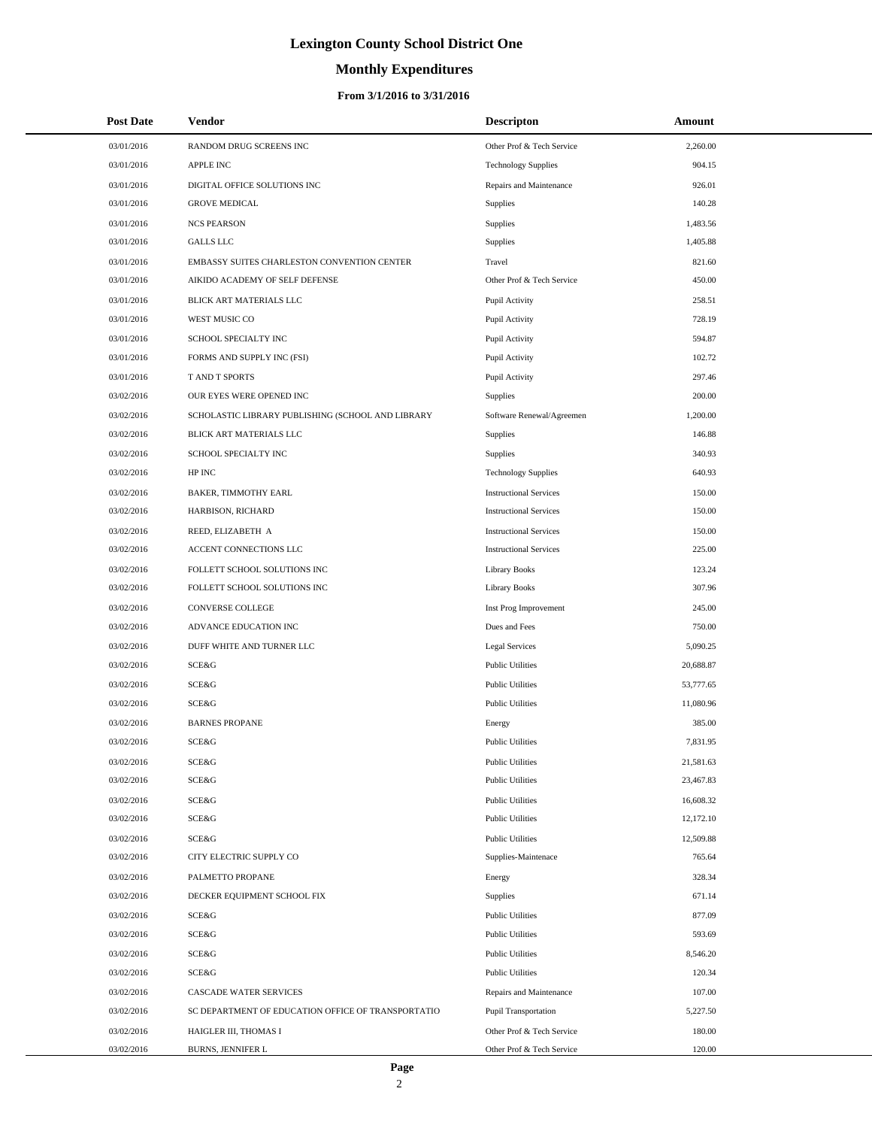# **Monthly Expenditures**

| <b>Post Date</b> | Vendor                                             | <b>Descripton</b>             | Amount    |
|------------------|----------------------------------------------------|-------------------------------|-----------|
| 03/01/2016       | RANDOM DRUG SCREENS INC                            | Other Prof & Tech Service     | 2,260.00  |
| 03/01/2016       | <b>APPLE INC</b>                                   | <b>Technology Supplies</b>    | 904.15    |
| 03/01/2016       | DIGITAL OFFICE SOLUTIONS INC                       | Repairs and Maintenance       | 926.01    |
| 03/01/2016       | <b>GROVE MEDICAL</b>                               | Supplies                      | 140.28    |
| 03/01/2016       | <b>NCS PEARSON</b>                                 | Supplies                      | 1,483.56  |
| 03/01/2016       | <b>GALLS LLC</b>                                   | Supplies                      | 1,405.88  |
| 03/01/2016       | EMBASSY SUITES CHARLESTON CONVENTION CENTER        | Travel                        | 821.60    |
| 03/01/2016       | AIKIDO ACADEMY OF SELF DEFENSE                     | Other Prof & Tech Service     | 450.00    |
| 03/01/2016       | BLICK ART MATERIALS LLC                            | Pupil Activity                | 258.51    |
| 03/01/2016       | WEST MUSIC CO                                      | Pupil Activity                | 728.19    |
| 03/01/2016       | SCHOOL SPECIALTY INC                               | Pupil Activity                | 594.87    |
| 03/01/2016       | FORMS AND SUPPLY INC (FSI)                         | Pupil Activity                | 102.72    |
| 03/01/2016       | T AND T SPORTS                                     | Pupil Activity                | 297.46    |
| 03/02/2016       | OUR EYES WERE OPENED INC                           | Supplies                      | 200.00    |
| 03/02/2016       | SCHOLASTIC LIBRARY PUBLISHING (SCHOOL AND LIBRARY  | Software Renewal/Agreemen     | 1,200.00  |
| 03/02/2016       | BLICK ART MATERIALS LLC                            | Supplies                      | 146.88    |
| 03/02/2016       | SCHOOL SPECIALTY INC                               | Supplies                      | 340.93    |
| 03/02/2016       | HP INC                                             | <b>Technology Supplies</b>    | 640.93    |
| 03/02/2016       | <b>BAKER, TIMMOTHY EARL</b>                        | <b>Instructional Services</b> | 150.00    |
| 03/02/2016       | HARBISON, RICHARD                                  | <b>Instructional Services</b> | 150.00    |
| 03/02/2016       | REED, ELIZABETH A                                  | <b>Instructional Services</b> | 150.00    |
| 03/02/2016       | ACCENT CONNECTIONS LLC                             | <b>Instructional Services</b> | 225.00    |
| 03/02/2016       | FOLLETT SCHOOL SOLUTIONS INC                       | Library Books                 | 123.24    |
| 03/02/2016       | FOLLETT SCHOOL SOLUTIONS INC                       | Library Books                 | 307.96    |
| 03/02/2016       | CONVERSE COLLEGE                                   | Inst Prog Improvement         | 245.00    |
| 03/02/2016       | ADVANCE EDUCATION INC                              | Dues and Fees                 | 750.00    |
| 03/02/2016       | DUFF WHITE AND TURNER LLC                          | Legal Services                | 5,090.25  |
| 03/02/2016       | SCE&G                                              | <b>Public Utilities</b>       | 20,688.87 |
| 03/02/2016       | SCE&G                                              | <b>Public Utilities</b>       | 53,777.65 |
| 03/02/2016       | SCE&G                                              | <b>Public Utilities</b>       | 11,080.96 |
| 03/02/2016       | <b>BARNES PROPANE</b>                              | Energy                        | 385.00    |
| 03/02/2016       | SCE&G                                              | <b>Public Utilities</b>       | 7.831.95  |
| 03/02/2016       | SCE&G                                              | <b>Public Utilities</b>       | 21,581.63 |
| 03/02/2016       | SCE&G                                              | <b>Public Utilities</b>       | 23,467.83 |
| 03/02/2016       | SCE&G                                              | <b>Public Utilities</b>       | 16,608.32 |
| 03/02/2016       | SCE&G                                              | <b>Public Utilities</b>       | 12,172.10 |
| 03/02/2016       | SCE&G                                              | <b>Public Utilities</b>       | 12,509.88 |
| 03/02/2016       | CITY ELECTRIC SUPPLY CO                            | Supplies-Maintenace           | 765.64    |
| 03/02/2016       | PALMETTO PROPANE                                   | Energy                        | 328.34    |
| 03/02/2016       | DECKER EQUIPMENT SCHOOL FIX                        | Supplies                      | 671.14    |
| 03/02/2016       | SCE&G                                              | <b>Public Utilities</b>       | 877.09    |
| 03/02/2016       | SCE&G                                              | <b>Public Utilities</b>       | 593.69    |
| 03/02/2016       | SCE&G                                              | <b>Public Utilities</b>       | 8,546.20  |
| 03/02/2016       | SCE&G                                              | <b>Public Utilities</b>       | 120.34    |
| 03/02/2016       | CASCADE WATER SERVICES                             | Repairs and Maintenance       | 107.00    |
| 03/02/2016       | SC DEPARTMENT OF EDUCATION OFFICE OF TRANSPORTATIO | Pupil Transportation          | 5,227.50  |
| 03/02/2016       | HAIGLER III, THOMAS I                              | Other Prof & Tech Service     | 180.00    |
| 03/02/2016       | BURNS, JENNIFER L                                  | Other Prof & Tech Service     | 120.00    |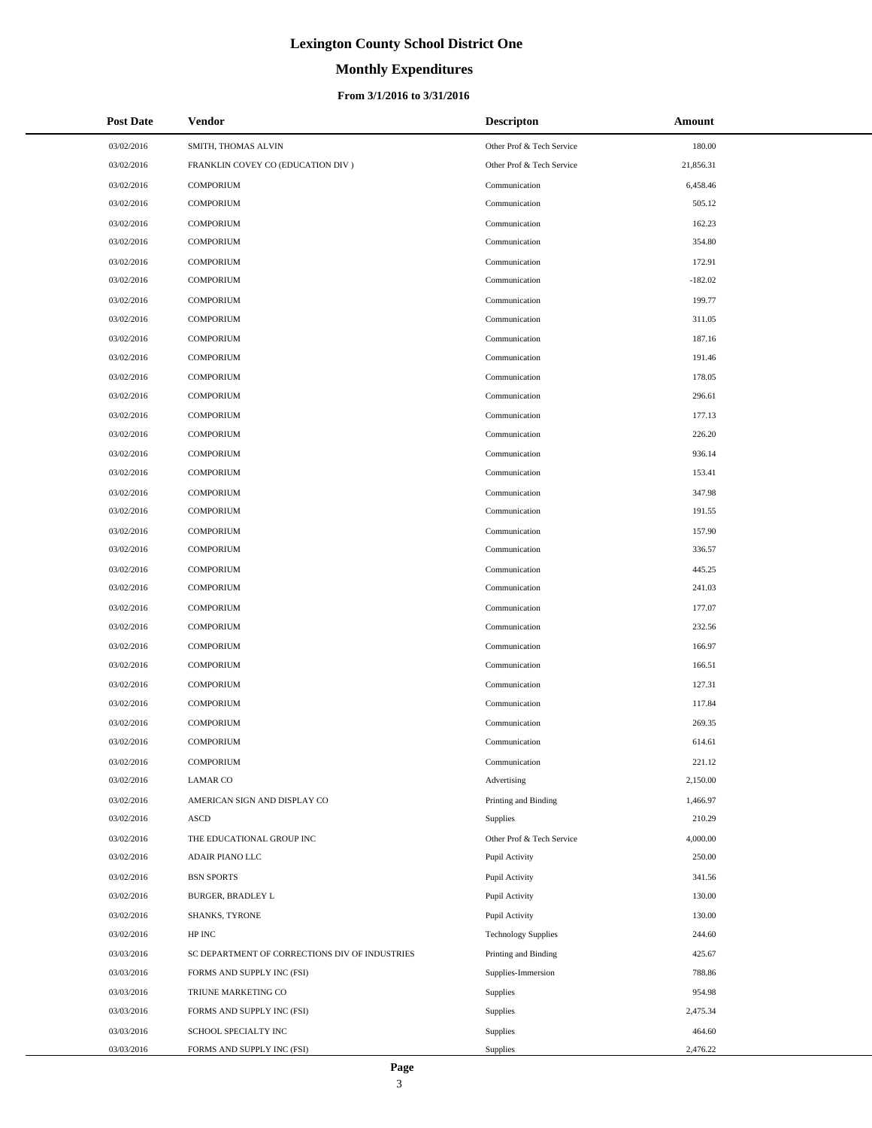# **Monthly Expenditures**

| <b>Post Date</b> | Vendor                                         | <b>Descripton</b>          | Amount    |
|------------------|------------------------------------------------|----------------------------|-----------|
| 03/02/2016       | SMITH, THOMAS ALVIN                            | Other Prof & Tech Service  | 180.00    |
| 03/02/2016       | FRANKLIN COVEY CO (EDUCATION DIV)              | Other Prof & Tech Service  | 21,856.31 |
| 03/02/2016       | <b>COMPORIUM</b>                               | Communication              | 6,458.46  |
| 03/02/2016       | <b>COMPORIUM</b>                               | Communication              | 505.12    |
| 03/02/2016       | <b>COMPORIUM</b>                               | Communication              | 162.23    |
| 03/02/2016       | <b>COMPORIUM</b>                               | Communication              | 354.80    |
| 03/02/2016       | <b>COMPORIUM</b>                               | Communication              | 172.91    |
| 03/02/2016       | <b>COMPORIUM</b>                               | Communication              | $-182.02$ |
| 03/02/2016       | <b>COMPORIUM</b>                               | Communication              | 199.77    |
| 03/02/2016       | <b>COMPORIUM</b>                               | Communication              | 311.05    |
| 03/02/2016       | <b>COMPORIUM</b>                               | Communication              | 187.16    |
| 03/02/2016       | <b>COMPORIUM</b>                               | Communication              | 191.46    |
| 03/02/2016       | <b>COMPORIUM</b>                               | Communication              | 178.05    |
| 03/02/2016       | <b>COMPORIUM</b>                               | Communication              | 296.61    |
| 03/02/2016       | <b>COMPORIUM</b>                               | Communication              | 177.13    |
| 03/02/2016       | <b>COMPORIUM</b>                               | Communication              | 226.20    |
| 03/02/2016       | <b>COMPORIUM</b>                               | Communication              | 936.14    |
| 03/02/2016       | <b>COMPORIUM</b>                               | Communication              | 153.41    |
| 03/02/2016       | <b>COMPORIUM</b>                               | Communication              | 347.98    |
| 03/02/2016       | <b>COMPORIUM</b>                               | Communication              | 191.55    |
| 03/02/2016       | <b>COMPORIUM</b>                               | Communication              | 157.90    |
| 03/02/2016       | <b>COMPORIUM</b>                               | Communication              | 336.57    |
| 03/02/2016       | <b>COMPORIUM</b>                               | Communication              | 445.25    |
| 03/02/2016       | <b>COMPORIUM</b>                               | Communication              | 241.03    |
| 03/02/2016       | <b>COMPORIUM</b>                               | Communication              | 177.07    |
| 03/02/2016       | <b>COMPORIUM</b>                               | Communication              | 232.56    |
| 03/02/2016       | <b>COMPORIUM</b>                               | Communication              | 166.97    |
| 03/02/2016       | <b>COMPORIUM</b>                               | Communication              | 166.51    |
| 03/02/2016       | <b>COMPORIUM</b>                               | Communication              | 127.31    |
| 03/02/2016       | <b>COMPORIUM</b>                               | Communication              | 117.84    |
| 03/02/2016       | <b>COMPORIUM</b>                               | Communication              | 269.35    |
| 03/02/2016       | <b>COMPORIUM</b>                               | Communication              | 614.61    |
| 03/02/2016       | <b>COMPORIUM</b>                               | Communication              | 221.12    |
| 03/02/2016       | <b>LAMAR CO</b>                                | Advertising                | 2,150.00  |
| 03/02/2016       | AMERICAN SIGN AND DISPLAY CO                   | Printing and Binding       | 1,466.97  |
| 03/02/2016       | <b>ASCD</b>                                    | Supplies                   | 210.29    |
| 03/02/2016       | THE EDUCATIONAL GROUP INC                      | Other Prof & Tech Service  | 4,000.00  |
| 03/02/2016       | ADAIR PIANO LLC                                | Pupil Activity             | 250.00    |
| 03/02/2016       | <b>BSN SPORTS</b>                              | Pupil Activity             | 341.56    |
| 03/02/2016       | <b>BURGER, BRADLEY L</b>                       | Pupil Activity             | 130.00    |
| 03/02/2016       | SHANKS, TYRONE                                 | Pupil Activity             | 130.00    |
| 03/02/2016       | HP INC                                         | <b>Technology Supplies</b> | 244.60    |
| 03/03/2016       | SC DEPARTMENT OF CORRECTIONS DIV OF INDUSTRIES | Printing and Binding       | 425.67    |
| 03/03/2016       | FORMS AND SUPPLY INC (FSI)                     | Supplies-Immersion         | 788.86    |
| 03/03/2016       | TRIUNE MARKETING CO                            | Supplies                   | 954.98    |
| 03/03/2016       | FORMS AND SUPPLY INC (FSI)                     | Supplies                   | 2,475.34  |
| 03/03/2016       | SCHOOL SPECIALTY INC                           | Supplies                   | 464.60    |
| 03/03/2016       | FORMS AND SUPPLY INC (FSI)                     | Supplies                   | 2,476.22  |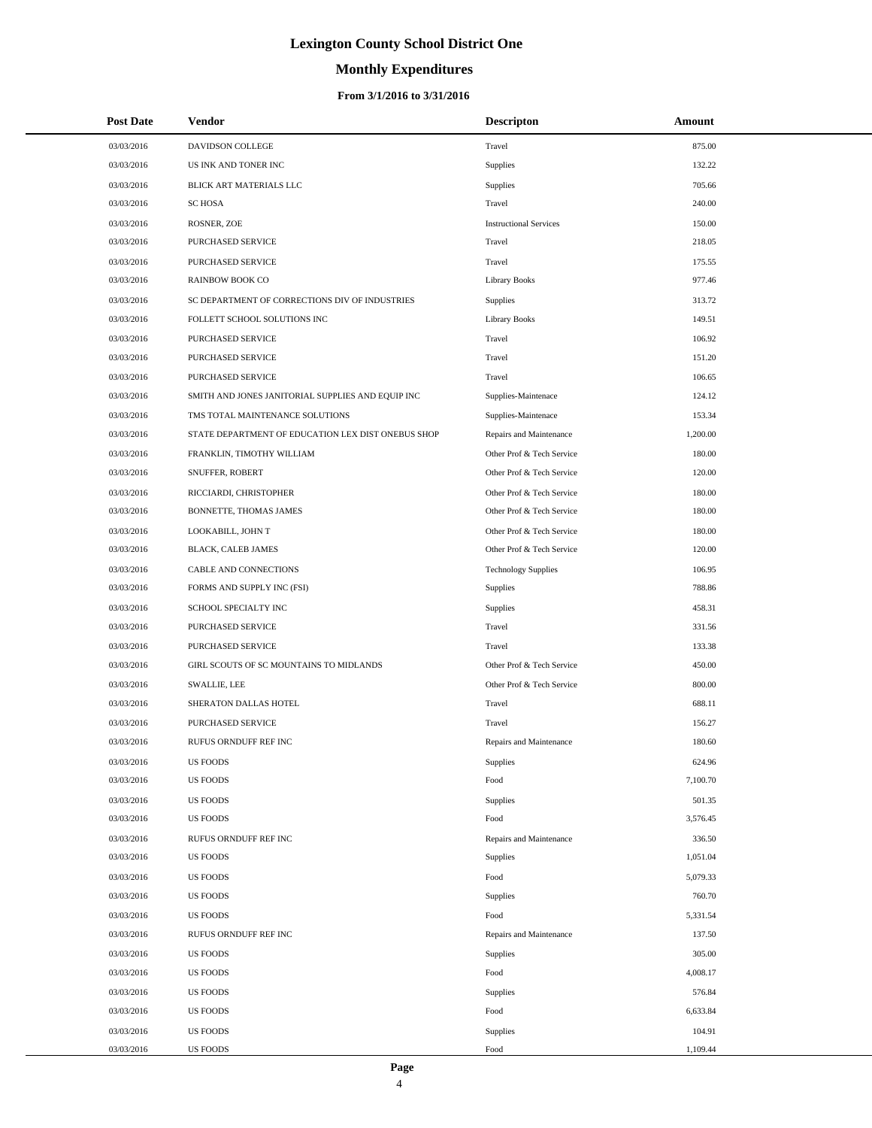# **Monthly Expenditures**

| <b>Post Date</b> | Vendor                                             | <b>Descripton</b>             | Amount   |
|------------------|----------------------------------------------------|-------------------------------|----------|
| 03/03/2016       | DAVIDSON COLLEGE                                   | Travel                        | 875.00   |
| 03/03/2016       | US INK AND TONER INC                               | Supplies                      | 132.22   |
| 03/03/2016       | BLICK ART MATERIALS LLC                            | Supplies                      | 705.66   |
| 03/03/2016       | <b>SC HOSA</b>                                     | Travel                        | 240.00   |
| 03/03/2016       | ROSNER, ZOE                                        | <b>Instructional Services</b> | 150.00   |
| 03/03/2016       | PURCHASED SERVICE                                  | Travel                        | 218.05   |
| 03/03/2016       | PURCHASED SERVICE                                  | Travel                        | 175.55   |
| 03/03/2016       | <b>RAINBOW BOOK CO</b>                             | <b>Library Books</b>          | 977.46   |
| 03/03/2016       | SC DEPARTMENT OF CORRECTIONS DIV OF INDUSTRIES     | Supplies                      | 313.72   |
| 03/03/2016       | FOLLETT SCHOOL SOLUTIONS INC                       | <b>Library Books</b>          | 149.51   |
| 03/03/2016       | PURCHASED SERVICE                                  | Travel                        | 106.92   |
| 03/03/2016       | PURCHASED SERVICE                                  | Travel                        | 151.20   |
| 03/03/2016       | PURCHASED SERVICE                                  | Travel                        | 106.65   |
| 03/03/2016       | SMITH AND JONES JANITORIAL SUPPLIES AND EQUIP INC  | Supplies-Maintenace           | 124.12   |
| 03/03/2016       | TMS TOTAL MAINTENANCE SOLUTIONS                    | Supplies-Maintenace           | 153.34   |
| 03/03/2016       | STATE DEPARTMENT OF EDUCATION LEX DIST ONEBUS SHOP | Repairs and Maintenance       | 1,200.00 |
| 03/03/2016       | FRANKLIN, TIMOTHY WILLIAM                          | Other Prof & Tech Service     | 180.00   |
| 03/03/2016       | SNUFFER, ROBERT                                    | Other Prof & Tech Service     | 120.00   |
| 03/03/2016       | RICCIARDI, CHRISTOPHER                             | Other Prof & Tech Service     | 180.00   |
| 03/03/2016       | BONNETTE, THOMAS JAMES                             | Other Prof & Tech Service     | 180.00   |
| 03/03/2016       | LOOKABILL, JOHN T                                  | Other Prof & Tech Service     | 180.00   |
| 03/03/2016       | BLACK, CALEB JAMES                                 | Other Prof & Tech Service     | 120.00   |
| 03/03/2016       | CABLE AND CONNECTIONS                              | <b>Technology Supplies</b>    | 106.95   |
| 03/03/2016       | FORMS AND SUPPLY INC (FSI)                         | Supplies                      | 788.86   |
| 03/03/2016       | SCHOOL SPECIALTY INC                               | Supplies                      | 458.31   |
| 03/03/2016       | PURCHASED SERVICE                                  | Travel                        | 331.56   |
| 03/03/2016       | PURCHASED SERVICE                                  | Travel                        | 133.38   |
| 03/03/2016       | GIRL SCOUTS OF SC MOUNTAINS TO MIDLANDS            | Other Prof & Tech Service     | 450.00   |
| 03/03/2016       | SWALLIE, LEE                                       | Other Prof & Tech Service     | 800.00   |
| 03/03/2016       | SHERATON DALLAS HOTEL                              | Travel                        | 688.11   |
| 03/03/2016       | <b>PURCHASED SERVICE</b>                           | Travel                        | 156.27   |
| 03/03/2016       | RUFUS ORNDUFF REF INC                              | Repairs and Maintenance       | 180.60   |
| 03/03/2016       | <b>US FOODS</b>                                    | Supplies                      | 624.96   |
| 03/03/2016       | <b>US FOODS</b>                                    | Food                          | 7,100.70 |
| 03/03/2016       | <b>US FOODS</b>                                    | Supplies                      | 501.35   |
| 03/03/2016       | <b>US FOODS</b>                                    | Food                          | 3,576.45 |
| 03/03/2016       | RUFUS ORNDUFF REF INC                              | Repairs and Maintenance       | 336.50   |
| 03/03/2016       | <b>US FOODS</b>                                    | Supplies                      | 1,051.04 |
| 03/03/2016       | <b>US FOODS</b>                                    | Food                          | 5,079.33 |
| 03/03/2016       | <b>US FOODS</b>                                    | Supplies                      | 760.70   |
| 03/03/2016       | <b>US FOODS</b>                                    | Food                          | 5,331.54 |
| 03/03/2016       | RUFUS ORNDUFF REF INC                              | Repairs and Maintenance       | 137.50   |
| 03/03/2016       | <b>US FOODS</b>                                    | Supplies                      | 305.00   |
| 03/03/2016       | <b>US FOODS</b>                                    | Food                          | 4,008.17 |
| 03/03/2016       | <b>US FOODS</b>                                    | Supplies                      | 576.84   |
| 03/03/2016       | <b>US FOODS</b>                                    | Food                          | 6,633.84 |
| 03/03/2016       | <b>US FOODS</b>                                    | Supplies                      | 104.91   |
| 03/03/2016       | <b>US FOODS</b>                                    | Food                          | 1,109.44 |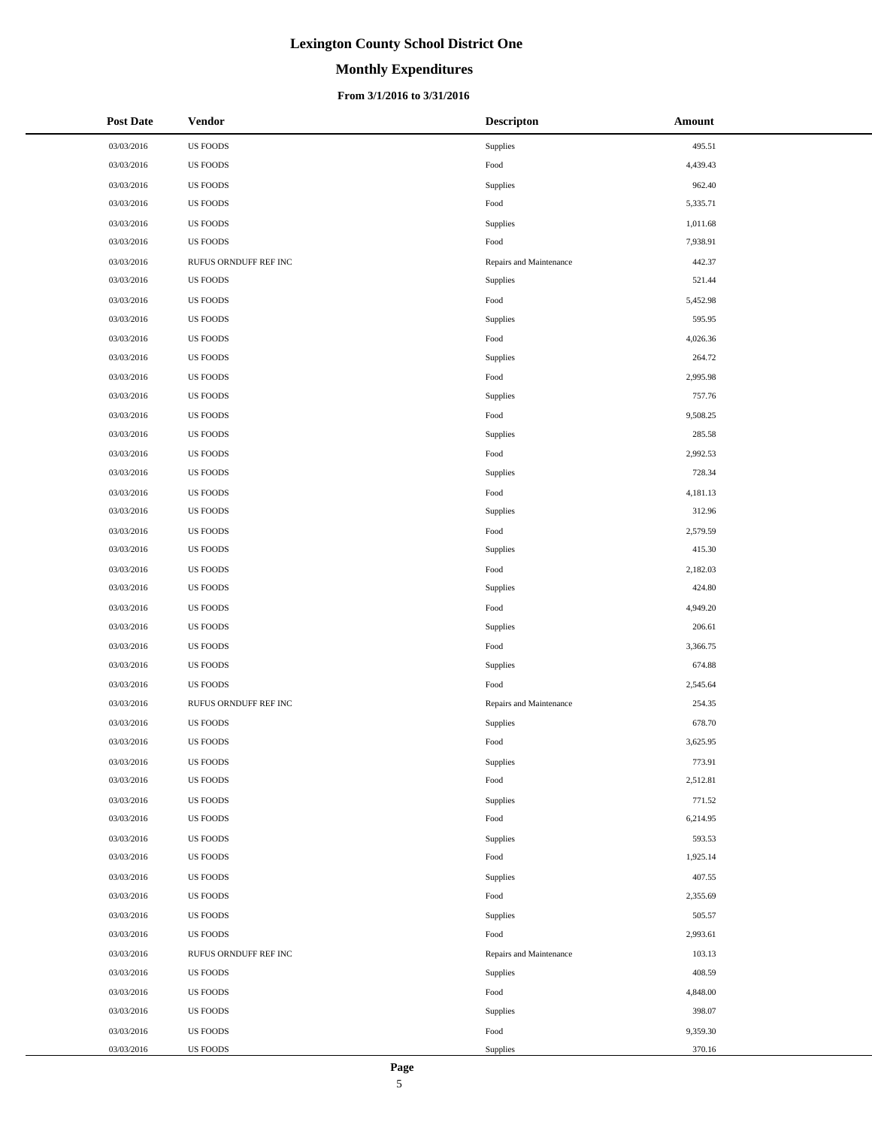# **Monthly Expenditures**

## **From 3/1/2016 to 3/31/2016**

| <b>Post Date</b> | <b>Vendor</b>         | <b>Descripton</b>       | Amount   |
|------------------|-----------------------|-------------------------|----------|
| 03/03/2016       | <b>US FOODS</b>       | Supplies                | 495.51   |
| 03/03/2016       | US FOODS              | Food                    | 4,439.43 |
| 03/03/2016       | <b>US FOODS</b>       | Supplies                | 962.40   |
| 03/03/2016       | <b>US FOODS</b>       | Food                    | 5,335.71 |
| 03/03/2016       | <b>US FOODS</b>       | Supplies                | 1,011.68 |
| 03/03/2016       | US FOODS              | Food                    | 7,938.91 |
| 03/03/2016       | RUFUS ORNDUFF REF INC | Repairs and Maintenance | 442.37   |
| 03/03/2016       | US FOODS              | Supplies                | 521.44   |
| 03/03/2016       | <b>US FOODS</b>       | Food                    | 5,452.98 |
| 03/03/2016       | <b>US FOODS</b>       | Supplies                | 595.95   |
| 03/03/2016       | <b>US FOODS</b>       | Food                    | 4,026.36 |
| 03/03/2016       | US FOODS              | Supplies                | 264.72   |
| 03/03/2016       | <b>US FOODS</b>       | Food                    | 2,995.98 |
| 03/03/2016       | <b>US FOODS</b>       | Supplies                | 757.76   |
| 03/03/2016       | US FOODS              | Food                    | 9,508.25 |
| 03/03/2016       | US FOODS              | Supplies                | 285.58   |
| 03/03/2016       | <b>US FOODS</b>       | Food                    | 2,992.53 |
| 03/03/2016       | US FOODS              | Supplies                | 728.34   |
| 03/03/2016       | <b>US FOODS</b>       | Food                    | 4,181.13 |
| 03/03/2016       | US FOODS              | Supplies                | 312.96   |
| 03/03/2016       | <b>US FOODS</b>       | Food                    | 2,579.59 |
| 03/03/2016       | <b>US FOODS</b>       | Supplies                | 415.30   |
| 03/03/2016       | US FOODS              | Food                    | 2,182.03 |
| 03/03/2016       | US FOODS              | Supplies                | 424.80   |
| 03/03/2016       | <b>US FOODS</b>       | Food                    | 4,949.20 |
| 03/03/2016       | <b>US FOODS</b>       | Supplies                | 206.61   |
| 03/03/2016       | <b>US FOODS</b>       | Food                    | 3,366.75 |
| 03/03/2016       | <b>US FOODS</b>       | Supplies                | 674.88   |
| 03/03/2016       | <b>US FOODS</b>       | Food                    | 2,545.64 |
| 03/03/2016       | RUFUS ORNDUFF REF INC | Repairs and Maintenance | 254.35   |
| 03/03/2016       | <b>US FOODS</b>       | Supplies                | 678.70   |
| 03/03/2016       | <b>US FOODS</b>       | Food                    | 3,625.95 |
| 03/03/2016       | <b>US FOODS</b>       | Supplies                | 773.91   |
| 03/03/2016       | <b>US FOODS</b>       | Food                    | 2,512.81 |
| 03/03/2016       | US FOODS              | Supplies                | 771.52   |
| 03/03/2016       | US FOODS              | Food                    | 6,214.95 |
| 03/03/2016       | <b>US FOODS</b>       | Supplies                | 593.53   |
| 03/03/2016       | US FOODS              | Food                    | 1,925.14 |
| 03/03/2016       | US FOODS              | Supplies                | 407.55   |
| 03/03/2016       | US FOODS              | Food                    | 2,355.69 |
| 03/03/2016       | <b>US FOODS</b>       | Supplies                | 505.57   |
| 03/03/2016       | <b>US FOODS</b>       | Food                    | 2,993.61 |
| 03/03/2016       | RUFUS ORNDUFF REF INC | Repairs and Maintenance | 103.13   |
| 03/03/2016       | US FOODS              | Supplies                | 408.59   |
| 03/03/2016       | <b>US FOODS</b>       | Food                    | 4,848.00 |
| 03/03/2016       | <b>US FOODS</b>       | Supplies                | 398.07   |
| 03/03/2016       | <b>US FOODS</b>       | Food                    | 9,359.30 |
| 03/03/2016       | US FOODS              | Supplies                | 370.16   |

 $\overline{a}$  $\overline{\phantom{a}}$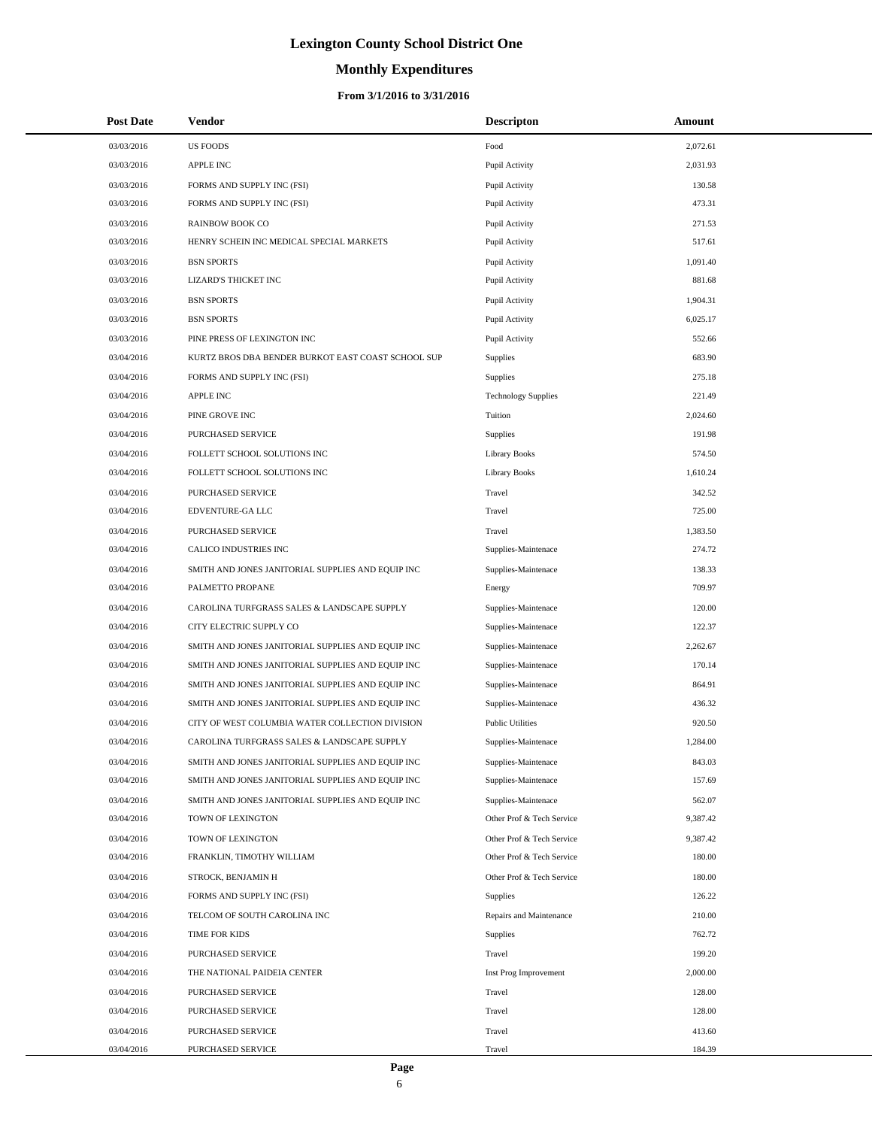# **Monthly Expenditures**

| <b>Post Date</b> | Vendor                                             | <b>Descripton</b>          | Amount   |
|------------------|----------------------------------------------------|----------------------------|----------|
| 03/03/2016       | <b>US FOODS</b>                                    | Food                       | 2,072.61 |
| 03/03/2016       | <b>APPLE INC</b>                                   | Pupil Activity             | 2,031.93 |
| 03/03/2016       | FORMS AND SUPPLY INC (FSI)                         | Pupil Activity             | 130.58   |
| 03/03/2016       | FORMS AND SUPPLY INC (FSI)                         | Pupil Activity             | 473.31   |
| 03/03/2016       | <b>RAINBOW BOOK CO</b>                             | Pupil Activity             | 271.53   |
| 03/03/2016       | HENRY SCHEIN INC MEDICAL SPECIAL MARKETS           | Pupil Activity             | 517.61   |
| 03/03/2016       | <b>BSN SPORTS</b>                                  | Pupil Activity             | 1,091.40 |
| 03/03/2016       | <b>LIZARD'S THICKET INC</b>                        | Pupil Activity             | 881.68   |
| 03/03/2016       | <b>BSN SPORTS</b>                                  | Pupil Activity             | 1,904.31 |
| 03/03/2016       | <b>BSN SPORTS</b>                                  | Pupil Activity             | 6,025.17 |
| 03/03/2016       | PINE PRESS OF LEXINGTON INC                        | Pupil Activity             | 552.66   |
| 03/04/2016       | KURTZ BROS DBA BENDER BURKOT EAST COAST SCHOOL SUP | Supplies                   | 683.90   |
| 03/04/2016       | FORMS AND SUPPLY INC (FSI)                         | Supplies                   | 275.18   |
| 03/04/2016       | <b>APPLE INC</b>                                   | <b>Technology Supplies</b> | 221.49   |
| 03/04/2016       | PINE GROVE INC                                     | Tuition                    | 2,024.60 |
| 03/04/2016       | PURCHASED SERVICE                                  | Supplies                   | 191.98   |
| 03/04/2016       | FOLLETT SCHOOL SOLUTIONS INC                       | <b>Library Books</b>       | 574.50   |
| 03/04/2016       | FOLLETT SCHOOL SOLUTIONS INC                       | <b>Library Books</b>       | 1,610.24 |
| 03/04/2016       | PURCHASED SERVICE                                  | Travel                     | 342.52   |
| 03/04/2016       | EDVENTURE-GA LLC                                   | Travel                     | 725.00   |
| 03/04/2016       | PURCHASED SERVICE                                  | Travel                     | 1,383.50 |
| 03/04/2016       | CALICO INDUSTRIES INC                              | Supplies-Maintenace        | 274.72   |
| 03/04/2016       | SMITH AND JONES JANITORIAL SUPPLIES AND EQUIP INC  | Supplies-Maintenace        | 138.33   |
| 03/04/2016       | PALMETTO PROPANE                                   | Energy                     | 709.97   |
| 03/04/2016       | CAROLINA TURFGRASS SALES & LANDSCAPE SUPPLY        | Supplies-Maintenace        | 120.00   |
| 03/04/2016       | CITY ELECTRIC SUPPLY CO                            | Supplies-Maintenace        | 122.37   |
| 03/04/2016       | SMITH AND JONES JANITORIAL SUPPLIES AND EQUIP INC  | Supplies-Maintenace        | 2,262.67 |
| 03/04/2016       | SMITH AND JONES JANITORIAL SUPPLIES AND EQUIP INC  | Supplies-Maintenace        | 170.14   |
| 03/04/2016       | SMITH AND JONES JANITORIAL SUPPLIES AND EQUIP INC  | Supplies-Maintenace        | 864.91   |
| 03/04/2016       | SMITH AND JONES JANITORIAL SUPPLIES AND EQUIP INC  | Supplies-Maintenace        | 436.32   |
| 03/04/2016       | CITY OF WEST COLUMBIA WATER COLLECTION DIVISION    | <b>Public Utilities</b>    | 920.50   |
| 03/04/2016       | CAROLINA TURFGRASS SALES & LANDSCAPE SUPPLY        | Supplies-Maintenace        | 1,284.00 |
| 03/04/2016       | SMITH AND JONES JANITORIAL SUPPLIES AND EQUIP INC  | Supplies-Maintenace        | 843.03   |
| 03/04/2016       | SMITH AND JONES JANITORIAL SUPPLIES AND EQUIP INC  | Supplies-Maintenace        | 157.69   |
| 03/04/2016       | SMITH AND JONES JANITORIAL SUPPLIES AND EQUIP INC  | Supplies-Maintenace        | 562.07   |
| 03/04/2016       | TOWN OF LEXINGTON                                  | Other Prof & Tech Service  | 9,387.42 |
| 03/04/2016       | TOWN OF LEXINGTON                                  | Other Prof & Tech Service  | 9,387.42 |
| 03/04/2016       | FRANKLIN, TIMOTHY WILLIAM                          | Other Prof & Tech Service  | 180.00   |
| 03/04/2016       | STROCK, BENJAMIN H                                 | Other Prof & Tech Service  | 180.00   |
| 03/04/2016       | FORMS AND SUPPLY INC (FSI)                         | Supplies                   | 126.22   |
| 03/04/2016       | TELCOM OF SOUTH CAROLINA INC                       | Repairs and Maintenance    | 210.00   |
| 03/04/2016       | TIME FOR KIDS                                      | Supplies                   | 762.72   |
| 03/04/2016       | PURCHASED SERVICE                                  | Travel                     | 199.20   |
| 03/04/2016       | THE NATIONAL PAIDEIA CENTER                        | Inst Prog Improvement      | 2,000.00 |
| 03/04/2016       | PURCHASED SERVICE                                  | Travel                     | 128.00   |
| 03/04/2016       | PURCHASED SERVICE                                  | Travel                     | 128.00   |
| 03/04/2016       | PURCHASED SERVICE                                  | Travel                     | 413.60   |
| 03/04/2016       | PURCHASED SERVICE                                  | Travel                     | 184.39   |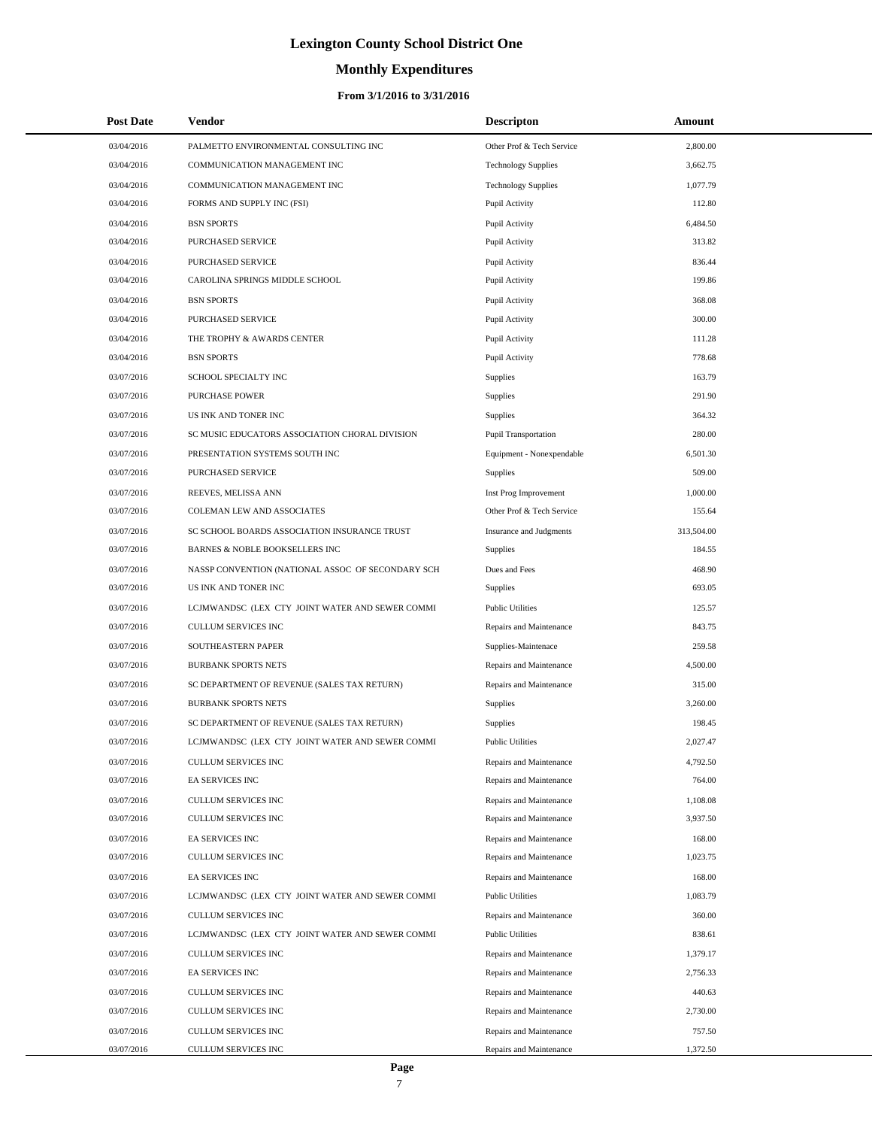# **Monthly Expenditures**

| <b>Post Date</b> | Vendor                                            | <b>Descripton</b>          | Amount     |
|------------------|---------------------------------------------------|----------------------------|------------|
| 03/04/2016       | PALMETTO ENVIRONMENTAL CONSULTING INC             | Other Prof & Tech Service  | 2,800.00   |
| 03/04/2016       | COMMUNICATION MANAGEMENT INC                      | <b>Technology Supplies</b> | 3,662.75   |
| 03/04/2016       | COMMUNICATION MANAGEMENT INC                      | <b>Technology Supplies</b> | 1,077.79   |
| 03/04/2016       | FORMS AND SUPPLY INC (FSI)                        | Pupil Activity             | 112.80     |
| 03/04/2016       | <b>BSN SPORTS</b>                                 | Pupil Activity             | 6,484.50   |
| 03/04/2016       | PURCHASED SERVICE                                 | Pupil Activity             | 313.82     |
| 03/04/2016       | PURCHASED SERVICE                                 | Pupil Activity             | 836.44     |
| 03/04/2016       | CAROLINA SPRINGS MIDDLE SCHOOL                    | Pupil Activity             | 199.86     |
| 03/04/2016       | <b>BSN SPORTS</b>                                 | Pupil Activity             | 368.08     |
| 03/04/2016       | <b>PURCHASED SERVICE</b>                          | Pupil Activity             | 300.00     |
| 03/04/2016       | THE TROPHY & AWARDS CENTER                        | Pupil Activity             | 111.28     |
| 03/04/2016       | <b>BSN SPORTS</b>                                 | Pupil Activity             | 778.68     |
| 03/07/2016       | SCHOOL SPECIALTY INC                              | Supplies                   | 163.79     |
| 03/07/2016       | <b>PURCHASE POWER</b>                             | Supplies                   | 291.90     |
| 03/07/2016       | US INK AND TONER INC                              | Supplies                   | 364.32     |
| 03/07/2016       | SC MUSIC EDUCATORS ASSOCIATION CHORAL DIVISION    | Pupil Transportation       | 280.00     |
| 03/07/2016       | PRESENTATION SYSTEMS SOUTH INC                    | Equipment - Nonexpendable  | 6,501.30   |
| 03/07/2016       | PURCHASED SERVICE                                 | <b>Supplies</b>            | 509.00     |
| 03/07/2016       | REEVES, MELISSA ANN                               | Inst Prog Improvement      | 1,000.00   |
| 03/07/2016       | COLEMAN LEW AND ASSOCIATES                        | Other Prof & Tech Service  | 155.64     |
| 03/07/2016       | SC SCHOOL BOARDS ASSOCIATION INSURANCE TRUST      | Insurance and Judgments    | 313,504.00 |
| 03/07/2016       | BARNES & NOBLE BOOKSELLERS INC                    | Supplies                   | 184.55     |
| 03/07/2016       | NASSP CONVENTION (NATIONAL ASSOC OF SECONDARY SCH | Dues and Fees              | 468.90     |
| 03/07/2016       | US INK AND TONER INC                              | Supplies                   | 693.05     |
| 03/07/2016       | LCJMWANDSC (LEX CTY JOINT WATER AND SEWER COMMI   | <b>Public Utilities</b>    | 125.57     |
| 03/07/2016       | CULLUM SERVICES INC                               | Repairs and Maintenance    | 843.75     |
| 03/07/2016       | SOUTHEASTERN PAPER                                | Supplies-Maintenace        | 259.58     |
| 03/07/2016       | <b>BURBANK SPORTS NETS</b>                        | Repairs and Maintenance    | 4,500.00   |
| 03/07/2016       | SC DEPARTMENT OF REVENUE (SALES TAX RETURN)       | Repairs and Maintenance    | 315.00     |
| 03/07/2016       | <b>BURBANK SPORTS NETS</b>                        | <b>Supplies</b>            | 3,260.00   |
| 03/07/2016       | SC DEPARTMENT OF REVENUE (SALES TAX RETURN)       | Supplies                   | 198.45     |
| 03/07/2016       | LCJMWANDSC (LEX CTY JOINT WATER AND SEWER COMMI   | <b>Public Utilities</b>    | 2,027.47   |
| 03/07/2016       | CULLUM SERVICES INC                               | Repairs and Maintenance    | 4,792.50   |
| 03/07/2016       | EA SERVICES INC                                   | Repairs and Maintenance    | 764.00     |
| 03/07/2016       | <b>CULLUM SERVICES INC</b>                        | Repairs and Maintenance    | 1,108.08   |
| 03/07/2016       | CULLUM SERVICES INC                               | Repairs and Maintenance    | 3,937.50   |
| 03/07/2016       | EA SERVICES INC                                   | Repairs and Maintenance    | 168.00     |
| 03/07/2016       | CULLUM SERVICES INC                               | Repairs and Maintenance    | 1,023.75   |
| 03/07/2016       | EA SERVICES INC                                   | Repairs and Maintenance    | 168.00     |
| 03/07/2016       | LCJMWANDSC (LEX CTY JOINT WATER AND SEWER COMMI   | <b>Public Utilities</b>    | 1,083.79   |
| 03/07/2016       | CULLUM SERVICES INC                               | Repairs and Maintenance    | 360.00     |
| 03/07/2016       | LCJMWANDSC (LEX CTY JOINT WATER AND SEWER COMMI   | <b>Public Utilities</b>    | 838.61     |
| 03/07/2016       | CULLUM SERVICES INC                               | Repairs and Maintenance    | 1,379.17   |
| 03/07/2016       | EA SERVICES INC                                   | Repairs and Maintenance    | 2,756.33   |
| 03/07/2016       | CULLUM SERVICES INC                               | Repairs and Maintenance    | 440.63     |
| 03/07/2016       | CULLUM SERVICES INC                               | Repairs and Maintenance    | 2,730.00   |
| 03/07/2016       | CULLUM SERVICES INC                               | Repairs and Maintenance    | 757.50     |
| 03/07/2016       | CULLUM SERVICES INC                               | Repairs and Maintenance    | 1,372.50   |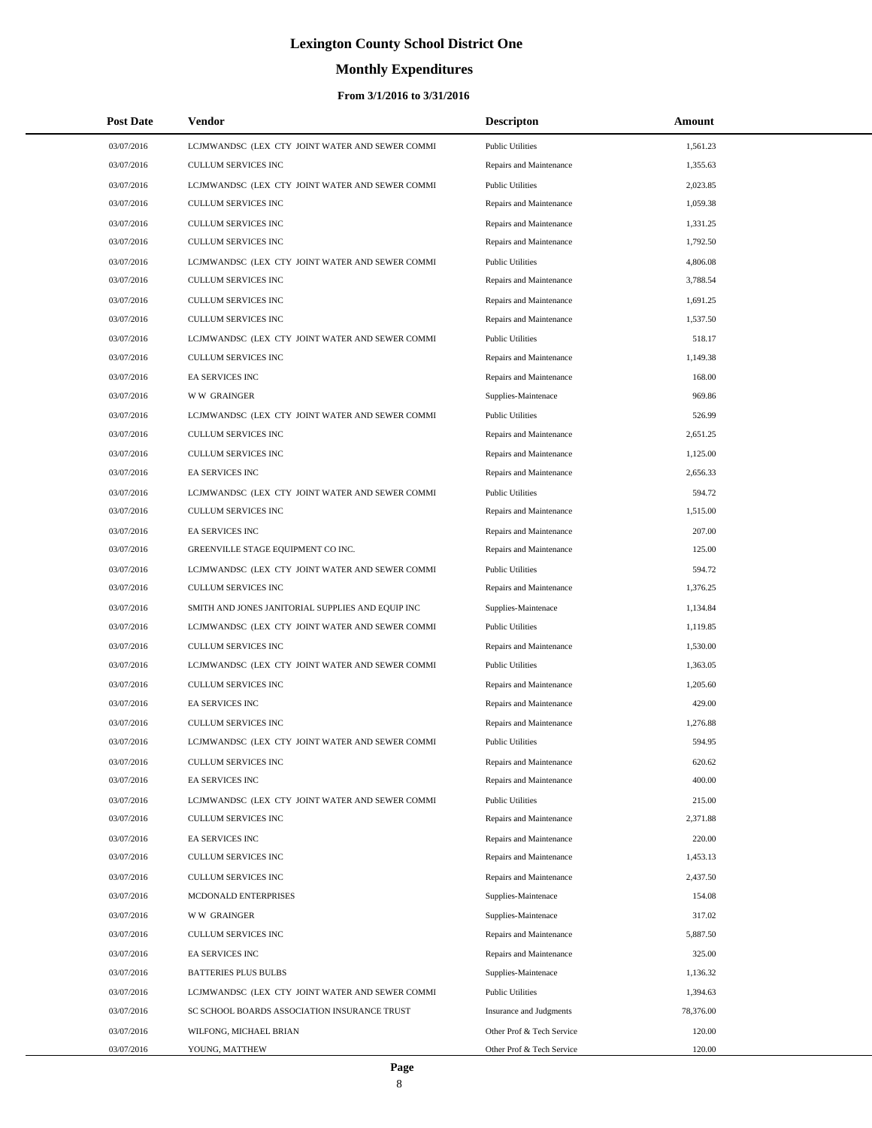# **Monthly Expenditures**

| <b>Post Date</b> | Vendor                                            | <b>Descripton</b>         | Amount    |
|------------------|---------------------------------------------------|---------------------------|-----------|
| 03/07/2016       | LCJMWANDSC (LEX CTY JOINT WATER AND SEWER COMMI   | <b>Public Utilities</b>   | 1,561.23  |
| 03/07/2016       | CULLUM SERVICES INC                               | Repairs and Maintenance   | 1,355.63  |
| 03/07/2016       | LCJMWANDSC (LEX CTY JOINT WATER AND SEWER COMMI   | <b>Public Utilities</b>   | 2,023.85  |
| 03/07/2016       | <b>CULLUM SERVICES INC</b>                        | Repairs and Maintenance   | 1,059.38  |
| 03/07/2016       | <b>CULLUM SERVICES INC</b>                        | Repairs and Maintenance   | 1,331.25  |
| 03/07/2016       | CULLUM SERVICES INC                               | Repairs and Maintenance   | 1,792.50  |
| 03/07/2016       | LCJMWANDSC (LEX CTY JOINT WATER AND SEWER COMMI   | <b>Public Utilities</b>   | 4,806.08  |
| 03/07/2016       | CULLUM SERVICES INC                               | Repairs and Maintenance   | 3,788.54  |
| 03/07/2016       | <b>CULLUM SERVICES INC</b>                        | Repairs and Maintenance   | 1,691.25  |
| 03/07/2016       | CULLUM SERVICES INC                               | Repairs and Maintenance   | 1,537.50  |
| 03/07/2016       | LCJMWANDSC (LEX CTY JOINT WATER AND SEWER COMMI   | <b>Public Utilities</b>   | 518.17    |
| 03/07/2016       | CULLUM SERVICES INC                               | Repairs and Maintenance   | 1,149.38  |
| 03/07/2016       | EA SERVICES INC                                   | Repairs and Maintenance   | 168.00    |
| 03/07/2016       | W W GRAINGER                                      | Supplies-Maintenace       | 969.86    |
| 03/07/2016       | LCJMWANDSC (LEX CTY JOINT WATER AND SEWER COMMI   | <b>Public Utilities</b>   | 526.99    |
| 03/07/2016       | CULLUM SERVICES INC                               | Repairs and Maintenance   | 2,651.25  |
| 03/07/2016       | <b>CULLUM SERVICES INC</b>                        | Repairs and Maintenance   | 1,125.00  |
| 03/07/2016       | EA SERVICES INC                                   | Repairs and Maintenance   | 2,656.33  |
| 03/07/2016       | LCJMWANDSC (LEX CTY JOINT WATER AND SEWER COMMI   | <b>Public Utilities</b>   | 594.72    |
| 03/07/2016       | <b>CULLUM SERVICES INC</b>                        | Repairs and Maintenance   | 1,515.00  |
| 03/07/2016       | EA SERVICES INC                                   | Repairs and Maintenance   | 207.00    |
| 03/07/2016       | GREENVILLE STAGE EQUIPMENT CO INC.                | Repairs and Maintenance   | 125.00    |
| 03/07/2016       | LCJMWANDSC (LEX CTY JOINT WATER AND SEWER COMMI   | <b>Public Utilities</b>   | 594.72    |
| 03/07/2016       | CULLUM SERVICES INC                               | Repairs and Maintenance   | 1,376.25  |
| 03/07/2016       | SMITH AND JONES JANITORIAL SUPPLIES AND EQUIP INC | Supplies-Maintenace       | 1,134.84  |
| 03/07/2016       | LCJMWANDSC (LEX CTY JOINT WATER AND SEWER COMMI   | <b>Public Utilities</b>   | 1,119.85  |
| 03/07/2016       | <b>CULLUM SERVICES INC</b>                        | Repairs and Maintenance   | 1,530.00  |
| 03/07/2016       | LCJMWANDSC (LEX CTY JOINT WATER AND SEWER COMMI   | <b>Public Utilities</b>   | 1,363.05  |
| 03/07/2016       | <b>CULLUM SERVICES INC</b>                        | Repairs and Maintenance   | 1,205.60  |
| 03/07/2016       | EA SERVICES INC                                   | Repairs and Maintenance   | 429.00    |
| 03/07/2016       | <b>CULLUM SERVICES INC</b>                        | Repairs and Maintenance   | 1,276.88  |
| 03/07/2016       | LCJMWANDSC (LEX CTY JOINT WATER AND SEWER COMMI   | <b>Public Utilities</b>   | 594.95    |
| 03/07/2016       | <b>CULLUM SERVICES INC</b>                        | Repairs and Maintenance   | 620.62    |
| 03/07/2016       | EA SERVICES INC                                   | Repairs and Maintenance   | 400.00    |
| 03/07/2016       | LCJMWANDSC (LEX CTY JOINT WATER AND SEWER COMMI   | <b>Public Utilities</b>   | 215.00    |
| 03/07/2016       | CULLUM SERVICES INC                               | Repairs and Maintenance   | 2,371.88  |
| 03/07/2016       | EA SERVICES INC                                   | Repairs and Maintenance   | 220.00    |
| 03/07/2016       | <b>CULLUM SERVICES INC</b>                        | Repairs and Maintenance   | 1,453.13  |
| 03/07/2016       | CULLUM SERVICES INC                               | Repairs and Maintenance   | 2,437.50  |
| 03/07/2016       | MCDONALD ENTERPRISES                              | Supplies-Maintenace       | 154.08    |
| 03/07/2016       | <b>WW GRAINGER</b>                                | Supplies-Maintenace       | 317.02    |
| 03/07/2016       | <b>CULLUM SERVICES INC</b>                        | Repairs and Maintenance   | 5,887.50  |
| 03/07/2016       | EA SERVICES INC                                   | Repairs and Maintenance   | 325.00    |
| 03/07/2016       | <b>BATTERIES PLUS BULBS</b>                       | Supplies-Maintenace       | 1,136.32  |
| 03/07/2016       | LCJMWANDSC (LEX CTY JOINT WATER AND SEWER COMMI   | <b>Public Utilities</b>   | 1,394.63  |
| 03/07/2016       | SC SCHOOL BOARDS ASSOCIATION INSURANCE TRUST      | Insurance and Judgments   | 78,376.00 |
| 03/07/2016       | WILFONG, MICHAEL BRIAN                            | Other Prof & Tech Service | 120.00    |
| 03/07/2016       | YOUNG, MATTHEW                                    | Other Prof & Tech Service | 120.00    |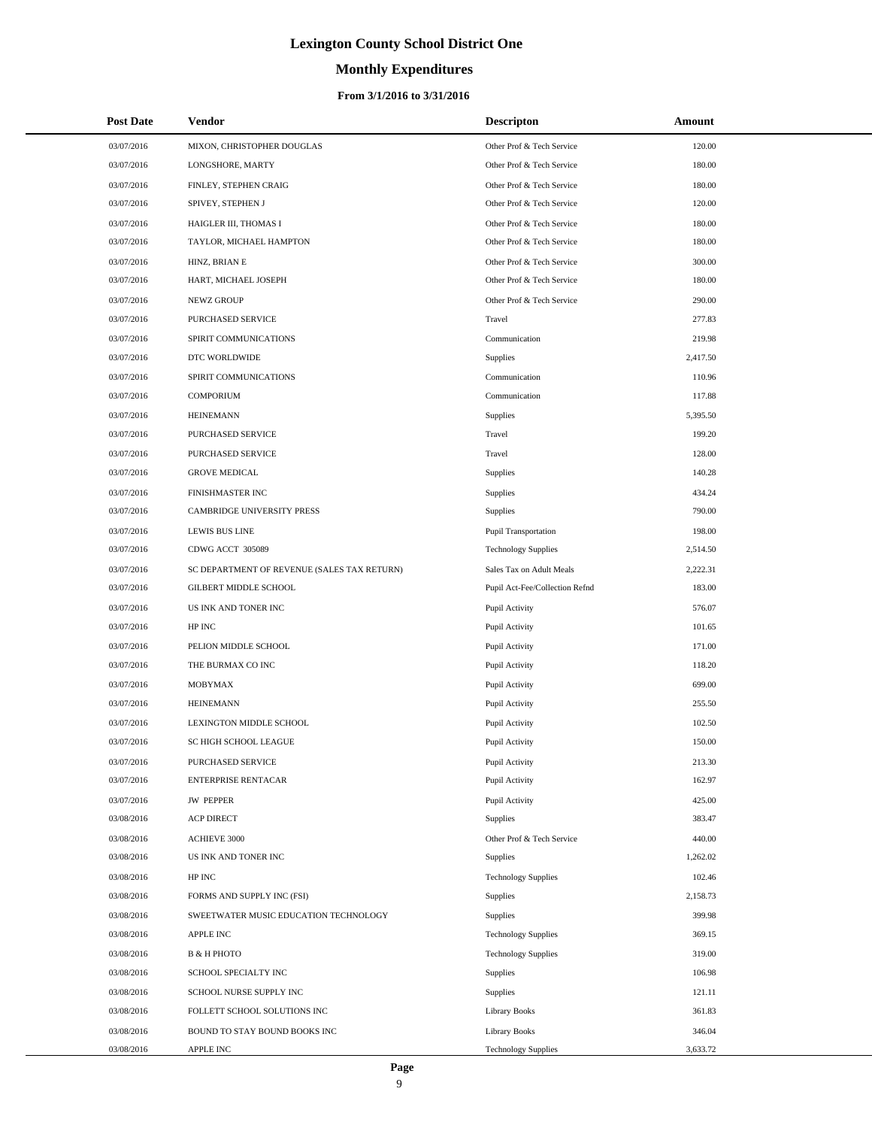# **Monthly Expenditures**

## **From 3/1/2016 to 3/31/2016**

| <b>Post Date</b> | Vendor                                      | <b>Descripton</b>              | Amount   |  |
|------------------|---------------------------------------------|--------------------------------|----------|--|
| 03/07/2016       | MIXON, CHRISTOPHER DOUGLAS                  | Other Prof & Tech Service      | 120.00   |  |
| 03/07/2016       | LONGSHORE, MARTY                            | Other Prof & Tech Service      | 180.00   |  |
| 03/07/2016       | FINLEY, STEPHEN CRAIG                       | Other Prof & Tech Service      | 180.00   |  |
| 03/07/2016       | SPIVEY, STEPHEN J                           | Other Prof & Tech Service      | 120.00   |  |
| 03/07/2016       | HAIGLER III, THOMAS I                       | Other Prof & Tech Service      | 180.00   |  |
| 03/07/2016       | TAYLOR, MICHAEL HAMPTON                     | Other Prof & Tech Service      | 180.00   |  |
| 03/07/2016       | HINZ, BRIAN E                               | Other Prof & Tech Service      | 300.00   |  |
| 03/07/2016       | HART, MICHAEL JOSEPH                        | Other Prof & Tech Service      | 180.00   |  |
| 03/07/2016       | NEWZ GROUP                                  | Other Prof & Tech Service      | 290.00   |  |
| 03/07/2016       | PURCHASED SERVICE                           | Travel                         | 277.83   |  |
| 03/07/2016       | SPIRIT COMMUNICATIONS                       | Communication                  | 219.98   |  |
| 03/07/2016       | DTC WORLDWIDE                               | <b>Supplies</b>                | 2,417.50 |  |
| 03/07/2016       | SPIRIT COMMUNICATIONS                       | Communication                  | 110.96   |  |
| 03/07/2016       | <b>COMPORIUM</b>                            | Communication                  | 117.88   |  |
| 03/07/2016       | <b>HEINEMANN</b>                            | Supplies                       | 5,395.50 |  |
| 03/07/2016       | PURCHASED SERVICE                           | Travel                         | 199.20   |  |
| 03/07/2016       | <b>PURCHASED SERVICE</b>                    | Travel                         | 128.00   |  |
| 03/07/2016       | <b>GROVE MEDICAL</b>                        | <b>Supplies</b>                | 140.28   |  |
| 03/07/2016       | FINISHMASTER INC                            | Supplies                       | 434.24   |  |
| 03/07/2016       | <b>CAMBRIDGE UNIVERSITY PRESS</b>           | <b>Supplies</b>                | 790.00   |  |
| 03/07/2016       | <b>LEWIS BUS LINE</b>                       | <b>Pupil Transportation</b>    | 198.00   |  |
| 03/07/2016       | CDWG ACCT 305089                            | <b>Technology Supplies</b>     | 2,514.50 |  |
| 03/07/2016       | SC DEPARTMENT OF REVENUE (SALES TAX RETURN) | Sales Tax on Adult Meals       | 2,222.31 |  |
| 03/07/2016       | GILBERT MIDDLE SCHOOL                       | Pupil Act-Fee/Collection Refnd | 183.00   |  |
| 03/07/2016       | US INK AND TONER INC                        | Pupil Activity                 | 576.07   |  |
| 03/07/2016       | HP INC                                      | Pupil Activity                 | 101.65   |  |
| 03/07/2016       | PELION MIDDLE SCHOOL                        | Pupil Activity                 | 171.00   |  |
| 03/07/2016       | THE BURMAX CO INC                           | Pupil Activity                 | 118.20   |  |
| 03/07/2016       | MOBYMAX                                     | Pupil Activity                 | 699.00   |  |
| 03/07/2016       | <b>HEINEMANN</b>                            | Pupil Activity                 | 255.50   |  |
| 03/07/2016       | LEXINGTON MIDDLE SCHOOL                     | Pupil Activity                 | 102.50   |  |
| 03/07/2016       | SC HIGH SCHOOL LEAGUE                       | Pupil Activity                 | 150.00   |  |
| 03/07/2016       | PURCHASED SERVICE                           | Pupil Activity                 | 213.30   |  |
| 03/07/2016       | <b>ENTERPRISE RENTACAR</b>                  | Pupil Activity                 | 162.97   |  |
| 03/07/2016       | <b>JW PEPPER</b>                            | Pupil Activity                 | 425.00   |  |
| 03/08/2016       | <b>ACP DIRECT</b>                           | Supplies                       | 383.47   |  |
| 03/08/2016       | <b>ACHIEVE 3000</b>                         | Other Prof & Tech Service      | 440.00   |  |
| 03/08/2016       | US INK AND TONER INC                        | Supplies                       | 1,262.02 |  |
| 03/08/2016       | HP INC                                      | <b>Technology Supplies</b>     | 102.46   |  |
| 03/08/2016       | FORMS AND SUPPLY INC (FSI)                  | Supplies                       | 2,158.73 |  |
| 03/08/2016       | SWEETWATER MUSIC EDUCATION TECHNOLOGY       | Supplies                       | 399.98   |  |
| 03/08/2016       | <b>APPLE INC</b>                            | <b>Technology Supplies</b>     | 369.15   |  |
| 03/08/2016       | В & Н РНОТО                                 | <b>Technology Supplies</b>     | 319.00   |  |
| 03/08/2016       | SCHOOL SPECIALTY INC                        | Supplies                       | 106.98   |  |
| 03/08/2016       | SCHOOL NURSE SUPPLY INC                     | Supplies                       | 121.11   |  |
| 03/08/2016       | FOLLETT SCHOOL SOLUTIONS INC                | Library Books                  | 361.83   |  |
| 03/08/2016       | BOUND TO STAY BOUND BOOKS INC               | <b>Library Books</b>           | 346.04   |  |
| 03/08/2016       | APPLE INC                                   | <b>Technology Supplies</b>     | 3,633.72 |  |

L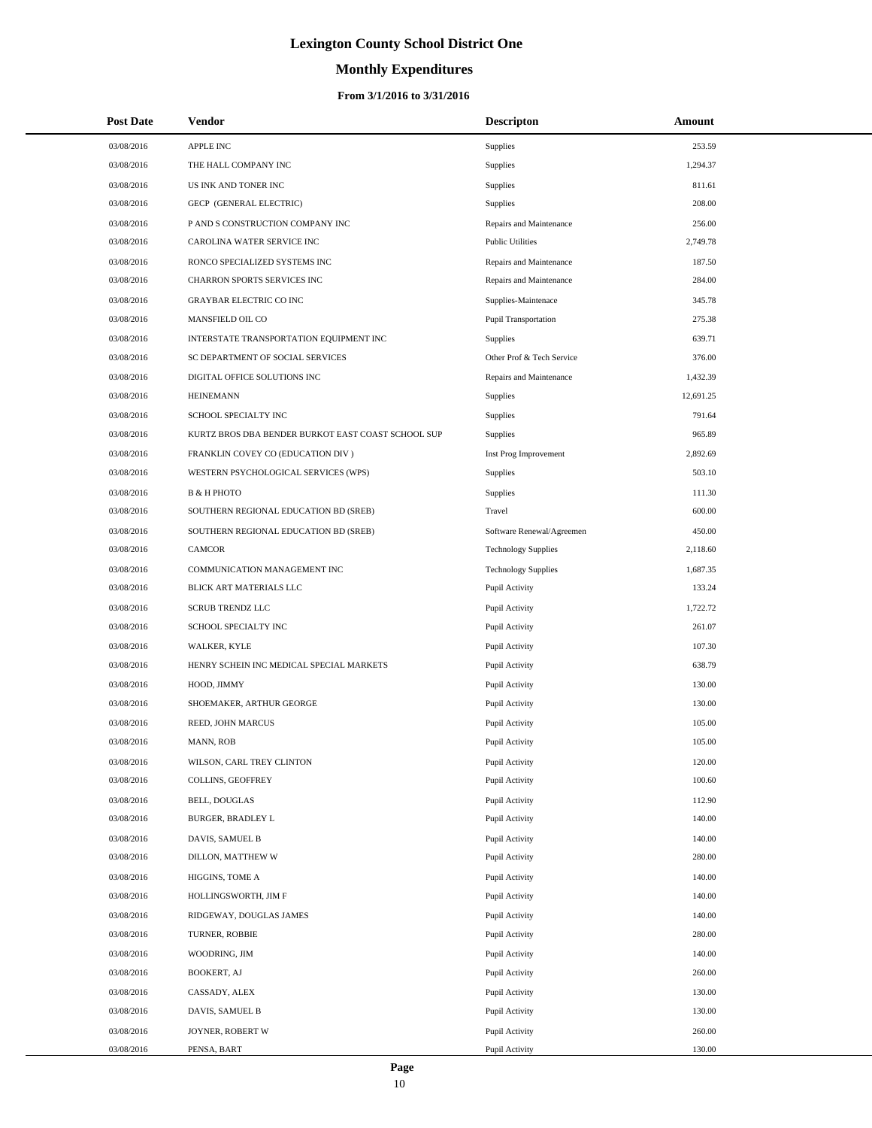# **Monthly Expenditures**

## **From 3/1/2016 to 3/31/2016**

| <b>Post Date</b> | Vendor                                             | <b>Descripton</b>           | Amount    |
|------------------|----------------------------------------------------|-----------------------------|-----------|
| 03/08/2016       | <b>APPLE INC</b>                                   | Supplies                    | 253.59    |
| 03/08/2016       | THE HALL COMPANY INC                               | Supplies                    | 1,294.37  |
| 03/08/2016       | US INK AND TONER INC                               | Supplies                    | 811.61    |
| 03/08/2016       | GECP (GENERAL ELECTRIC)                            | Supplies                    | 208.00    |
| 03/08/2016       | P AND S CONSTRUCTION COMPANY INC                   | Repairs and Maintenance     | 256.00    |
| 03/08/2016       | CAROLINA WATER SERVICE INC                         | <b>Public Utilities</b>     | 2,749.78  |
| 03/08/2016       | RONCO SPECIALIZED SYSTEMS INC                      | Repairs and Maintenance     | 187.50    |
| 03/08/2016       | CHARRON SPORTS SERVICES INC                        | Repairs and Maintenance     | 284.00    |
| 03/08/2016       | <b>GRAYBAR ELECTRIC CO INC</b>                     | Supplies-Maintenace         | 345.78    |
| 03/08/2016       | MANSFIELD OIL CO                                   | <b>Pupil Transportation</b> | 275.38    |
| 03/08/2016       | INTERSTATE TRANSPORTATION EQUIPMENT INC            | Supplies                    | 639.71    |
| 03/08/2016       | SC DEPARTMENT OF SOCIAL SERVICES                   | Other Prof & Tech Service   | 376.00    |
| 03/08/2016       | DIGITAL OFFICE SOLUTIONS INC                       | Repairs and Maintenance     | 1,432.39  |
| 03/08/2016       | <b>HEINEMANN</b>                                   | <b>Supplies</b>             | 12,691.25 |
| 03/08/2016       | SCHOOL SPECIALTY INC                               | Supplies                    | 791.64    |
| 03/08/2016       | KURTZ BROS DBA BENDER BURKOT EAST COAST SCHOOL SUP | Supplies                    | 965.89    |
| 03/08/2016       | FRANKLIN COVEY CO (EDUCATION DIV)                  | Inst Prog Improvement       | 2.892.69  |
| 03/08/2016       | WESTERN PSYCHOLOGICAL SERVICES (WPS)               | <b>Supplies</b>             | 503.10    |
| 03/08/2016       | <b>B &amp; H PHOTO</b>                             | Supplies                    | 111.30    |
| 03/08/2016       | SOUTHERN REGIONAL EDUCATION BD (SREB)              | Travel                      | 600.00    |
| 03/08/2016       | SOUTHERN REGIONAL EDUCATION BD (SREB)              | Software Renewal/Agreemen   | 450.00    |
| 03/08/2016       | <b>CAMCOR</b>                                      | <b>Technology Supplies</b>  | 2,118.60  |
| 03/08/2016       | COMMUNICATION MANAGEMENT INC                       | <b>Technology Supplies</b>  | 1,687.35  |
| 03/08/2016       | BLICK ART MATERIALS LLC                            | Pupil Activity              | 133.24    |
| 03/08/2016       | <b>SCRUB TRENDZ LLC</b>                            | Pupil Activity              | 1,722.72  |
| 03/08/2016       | SCHOOL SPECIALTY INC                               | Pupil Activity              | 261.07    |
| 03/08/2016       | WALKER, KYLE                                       | Pupil Activity              | 107.30    |
| 03/08/2016       | HENRY SCHEIN INC MEDICAL SPECIAL MARKETS           | Pupil Activity              | 638.79    |
| 03/08/2016       | HOOD, JIMMY                                        | Pupil Activity              | 130.00    |
| 03/08/2016       | SHOEMAKER, ARTHUR GEORGE                           | Pupil Activity              | 130.00    |
| 03/08/2016       | REED, JOHN MARCUS                                  | Pupil Activity              | 105.00    |
| 03/08/2016       | MANN, ROB                                          | Pupil Activity              | 105.00    |
| 03/08/2016       | WILSON, CARL TREY CLINTON                          | Pupil Activity              | 120.00    |
| 03/08/2016       | COLLINS, GEOFFREY                                  | Pupil Activity              | 100.60    |
| 03/08/2016       | BELL, DOUGLAS                                      | Pupil Activity              | 112.90    |
| 03/08/2016       | BURGER, BRADLEY L                                  | Pupil Activity              | 140.00    |
| 03/08/2016       | DAVIS, SAMUEL B                                    | Pupil Activity              | 140.00    |
| 03/08/2016       | DILLON, MATTHEW W                                  | Pupil Activity              | 280.00    |
| 03/08/2016       | HIGGINS, TOME A                                    | Pupil Activity              | 140.00    |
| 03/08/2016       | HOLLINGSWORTH, JIM F                               | Pupil Activity              | 140.00    |
| 03/08/2016       | RIDGEWAY, DOUGLAS JAMES                            | Pupil Activity              | 140.00    |
| 03/08/2016       | TURNER, ROBBIE                                     | Pupil Activity              | 280.00    |
| 03/08/2016       | WOODRING, JIM                                      | Pupil Activity              | 140.00    |
| 03/08/2016       | BOOKERT, AJ                                        | Pupil Activity              | 260.00    |
| 03/08/2016       | CASSADY, ALEX                                      | Pupil Activity              | 130.00    |
| 03/08/2016       | DAVIS, SAMUEL B                                    | Pupil Activity              | 130.00    |
| 03/08/2016       | JOYNER, ROBERT W                                   | Pupil Activity              | 260.00    |
| 03/08/2016       | PENSA, BART                                        | Pupil Activity              | 130.00    |

L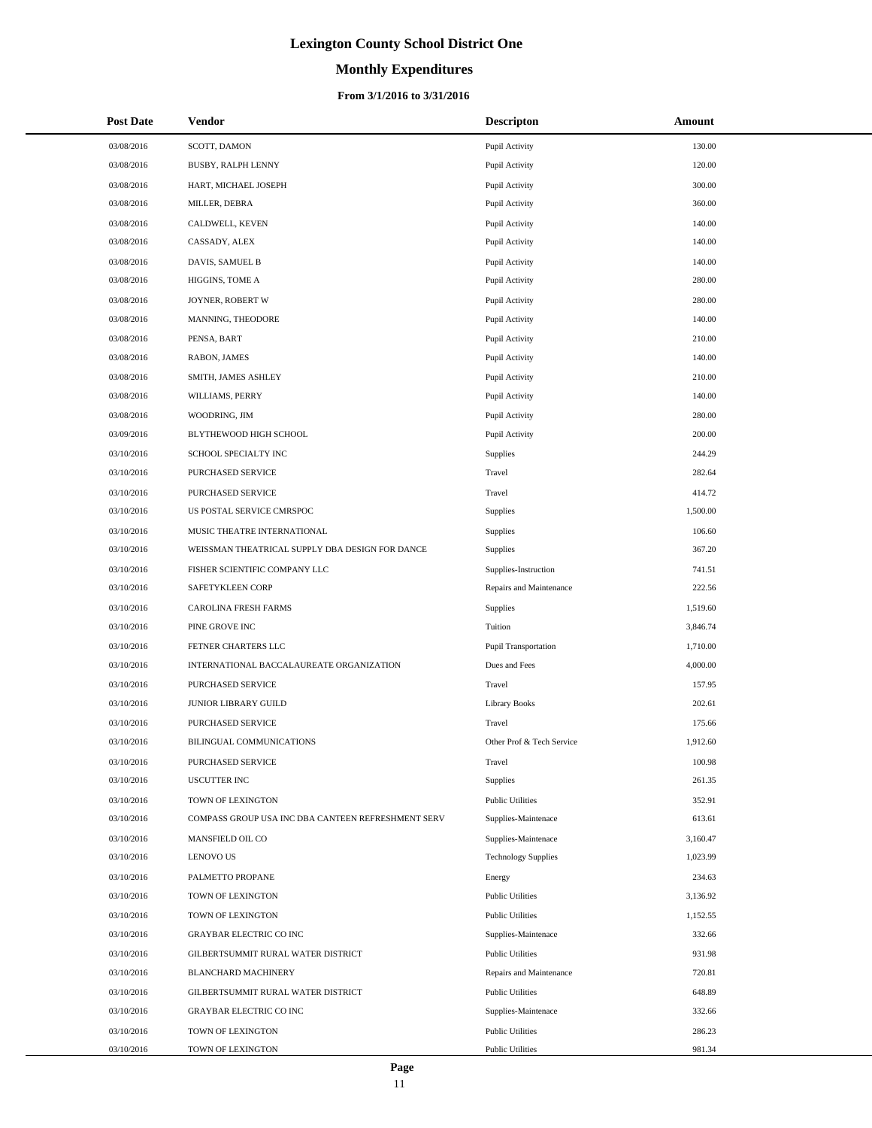# **Monthly Expenditures**

| <b>Post Date</b> | <b>Vendor</b>                                      | <b>Descripton</b>          | Amount   |
|------------------|----------------------------------------------------|----------------------------|----------|
| 03/08/2016       | SCOTT, DAMON                                       | Pupil Activity             | 130.00   |
| 03/08/2016       | BUSBY, RALPH LENNY                                 | Pupil Activity             | 120.00   |
| 03/08/2016       | HART, MICHAEL JOSEPH                               | Pupil Activity             | 300.00   |
| 03/08/2016       | MILLER, DEBRA                                      | Pupil Activity             | 360.00   |
| 03/08/2016       | CALDWELL, KEVEN                                    | Pupil Activity             | 140.00   |
| 03/08/2016       | CASSADY, ALEX                                      | Pupil Activity             | 140.00   |
| 03/08/2016       | DAVIS, SAMUEL B                                    | Pupil Activity             | 140.00   |
| 03/08/2016       | HIGGINS, TOME A                                    | Pupil Activity             | 280.00   |
| 03/08/2016       | JOYNER, ROBERT W                                   | Pupil Activity             | 280.00   |
| 03/08/2016       | MANNING, THEODORE                                  | Pupil Activity             | 140.00   |
| 03/08/2016       | PENSA, BART                                        | Pupil Activity             | 210.00   |
| 03/08/2016       | RABON, JAMES                                       | Pupil Activity             | 140.00   |
| 03/08/2016       | SMITH, JAMES ASHLEY                                | Pupil Activity             | 210.00   |
| 03/08/2016       | WILLIAMS, PERRY                                    | Pupil Activity             | 140.00   |
| 03/08/2016       | WOODRING, JIM                                      | Pupil Activity             | 280.00   |
| 03/09/2016       | BLYTHEWOOD HIGH SCHOOL                             | Pupil Activity             | 200.00   |
| 03/10/2016       | SCHOOL SPECIALTY INC                               | <b>Supplies</b>            | 244.29   |
| 03/10/2016       | PURCHASED SERVICE                                  | Travel                     | 282.64   |
| 03/10/2016       | PURCHASED SERVICE                                  | Travel                     | 414.72   |
| 03/10/2016       | US POSTAL SERVICE CMRSPOC                          | <b>Supplies</b>            | 1,500.00 |
| 03/10/2016       | MUSIC THEATRE INTERNATIONAL                        | <b>Supplies</b>            | 106.60   |
| 03/10/2016       | WEISSMAN THEATRICAL SUPPLY DBA DESIGN FOR DANCE    | <b>Supplies</b>            | 367.20   |
| 03/10/2016       | FISHER SCIENTIFIC COMPANY LLC                      | Supplies-Instruction       | 741.51   |
| 03/10/2016       | SAFETYKLEEN CORP                                   | Repairs and Maintenance    | 222.56   |
| 03/10/2016       | <b>CAROLINA FRESH FARMS</b>                        | <b>Supplies</b>            | 1,519.60 |
| 03/10/2016       | PINE GROVE INC                                     | Tuition                    | 3,846.74 |
| 03/10/2016       | FETNER CHARTERS LLC                                | Pupil Transportation       | 1,710.00 |
| 03/10/2016       | INTERNATIONAL BACCALAUREATE ORGANIZATION           | Dues and Fees              | 4,000.00 |
| 03/10/2016       | PURCHASED SERVICE                                  | Travel                     | 157.95   |
| 03/10/2016       | JUNIOR LIBRARY GUILD                               | <b>Library Books</b>       | 202.61   |
| 03/10/2016       | PURCHASED SERVICE                                  | Travel                     | 175.66   |
| 03/10/2016       | <b>BILINGUAL COMMUNICATIONS</b>                    | Other Prof & Tech Service  | 1,912.60 |
| 03/10/2016       | PURCHASED SERVICE                                  | Travel                     | 100.98   |
| 03/10/2016       | <b>USCUTTER INC</b>                                | <b>Supplies</b>            | 261.35   |
| 03/10/2016       | TOWN OF LEXINGTON                                  | <b>Public Utilities</b>    | 352.91   |
| 03/10/2016       | COMPASS GROUP USA INC DBA CANTEEN REFRESHMENT SERV | Supplies-Maintenace        | 613.61   |
| 03/10/2016       | MANSFIELD OIL CO                                   | Supplies-Maintenace        | 3,160.47 |
| 03/10/2016       | <b>LENOVO US</b>                                   | <b>Technology Supplies</b> | 1,023.99 |
| 03/10/2016       | PALMETTO PROPANE                                   | Energy                     | 234.63   |
| 03/10/2016       | TOWN OF LEXINGTON                                  | <b>Public Utilities</b>    | 3,136.92 |
| 03/10/2016       | TOWN OF LEXINGTON                                  | <b>Public Utilities</b>    | 1,152.55 |
| 03/10/2016       | <b>GRAYBAR ELECTRIC CO INC</b>                     | Supplies-Maintenace        | 332.66   |
| 03/10/2016       | GILBERTSUMMIT RURAL WATER DISTRICT                 | <b>Public Utilities</b>    | 931.98   |
| 03/10/2016       | <b>BLANCHARD MACHINERY</b>                         | Repairs and Maintenance    | 720.81   |
| 03/10/2016       | GILBERTSUMMIT RURAL WATER DISTRICT                 | <b>Public Utilities</b>    | 648.89   |
| 03/10/2016       | GRAYBAR ELECTRIC CO INC                            | Supplies-Maintenace        | 332.66   |
| 03/10/2016       | TOWN OF LEXINGTON                                  | <b>Public Utilities</b>    | 286.23   |
| 03/10/2016       | TOWN OF LEXINGTON                                  | <b>Public Utilities</b>    | 981.34   |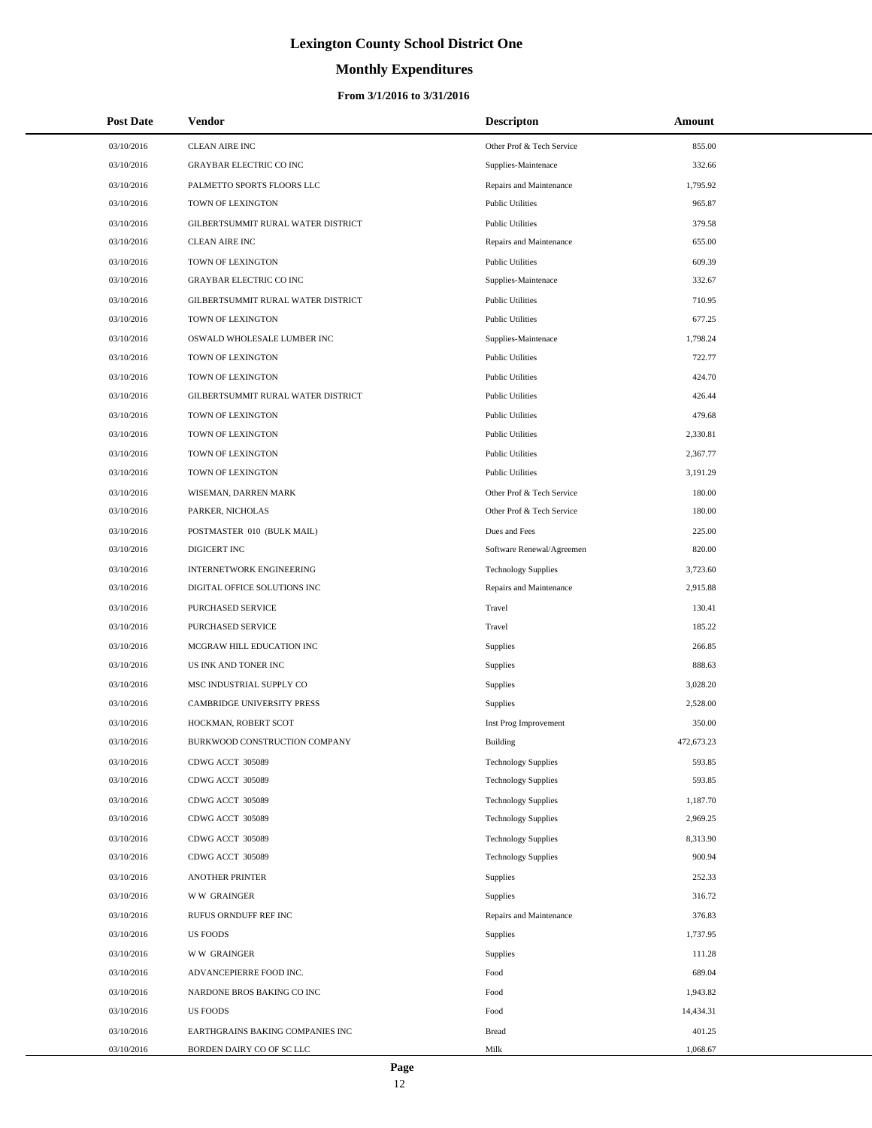# **Monthly Expenditures**

| <b>Post Date</b> | <b>Vendor</b>                      | <b>Descripton</b>          | Amount     |
|------------------|------------------------------------|----------------------------|------------|
| 03/10/2016       | <b>CLEAN AIRE INC</b>              | Other Prof & Tech Service  | 855.00     |
| 03/10/2016       | <b>GRAYBAR ELECTRIC CO INC</b>     | Supplies-Maintenace        | 332.66     |
| 03/10/2016       | PALMETTO SPORTS FLOORS LLC         | Repairs and Maintenance    | 1,795.92   |
| 03/10/2016       | TOWN OF LEXINGTON                  | <b>Public Utilities</b>    | 965.87     |
| 03/10/2016       | GILBERTSUMMIT RURAL WATER DISTRICT | <b>Public Utilities</b>    | 379.58     |
| 03/10/2016       | <b>CLEAN AIRE INC</b>              | Repairs and Maintenance    | 655.00     |
| 03/10/2016       | TOWN OF LEXINGTON                  | <b>Public Utilities</b>    | 609.39     |
| 03/10/2016       | <b>GRAYBAR ELECTRIC CO INC</b>     | Supplies-Maintenace        | 332.67     |
| 03/10/2016       | GILBERTSUMMIT RURAL WATER DISTRICT | <b>Public Utilities</b>    | 710.95     |
| 03/10/2016       | TOWN OF LEXINGTON                  | <b>Public Utilities</b>    | 677.25     |
| 03/10/2016       | OSWALD WHOLESALE LUMBER INC        | Supplies-Maintenace        | 1,798.24   |
| 03/10/2016       | TOWN OF LEXINGTON                  | <b>Public Utilities</b>    | 722.77     |
| 03/10/2016       | TOWN OF LEXINGTON                  | <b>Public Utilities</b>    | 424.70     |
| 03/10/2016       | GILBERTSUMMIT RURAL WATER DISTRICT | <b>Public Utilities</b>    | 426.44     |
| 03/10/2016       | TOWN OF LEXINGTON                  | <b>Public Utilities</b>    | 479.68     |
| 03/10/2016       | TOWN OF LEXINGTON                  | <b>Public Utilities</b>    | 2,330.81   |
| 03/10/2016       | TOWN OF LEXINGTON                  | <b>Public Utilities</b>    | 2,367.77   |
| 03/10/2016       | TOWN OF LEXINGTON                  | <b>Public Utilities</b>    | 3,191.29   |
| 03/10/2016       | WISEMAN, DARREN MARK               | Other Prof & Tech Service  | 180.00     |
| 03/10/2016       | PARKER, NICHOLAS                   | Other Prof & Tech Service  | 180.00     |
| 03/10/2016       | POSTMASTER 010 (BULK MAIL)         | Dues and Fees              | 225.00     |
| 03/10/2016       | DIGICERT INC                       | Software Renewal/Agreemen  | 820.00     |
| 03/10/2016       | <b>INTERNETWORK ENGINEERING</b>    | <b>Technology Supplies</b> | 3,723.60   |
| 03/10/2016       | DIGITAL OFFICE SOLUTIONS INC       | Repairs and Maintenance    | 2,915.88   |
| 03/10/2016       | PURCHASED SERVICE                  | Travel                     | 130.41     |
| 03/10/2016       | PURCHASED SERVICE                  | Travel                     | 185.22     |
| 03/10/2016       | MCGRAW HILL EDUCATION INC          | Supplies                   | 266.85     |
| 03/10/2016       | US INK AND TONER INC               | Supplies                   | 888.63     |
| 03/10/2016       | MSC INDUSTRIAL SUPPLY CO           | Supplies                   | 3,028.20   |
| 03/10/2016       | CAMBRIDGE UNIVERSITY PRESS         | Supplies                   | 2,528.00   |
| 03/10/2016       | HOCKMAN, ROBERT SCOT               | Inst Prog Improvement      | 350.00     |
| 03/10/2016       | BURKWOOD CONSTRUCTION COMPANY      | Building                   | 472,673.23 |
| 03/10/2016       | CDWG ACCT 305089                   | <b>Technology Supplies</b> | 593.85     |
| 03/10/2016       | CDWG ACCT 305089                   | <b>Technology Supplies</b> | 593.85     |
| 03/10/2016       | CDWG ACCT 305089                   | <b>Technology Supplies</b> | 1,187.70   |
| 03/10/2016       | CDWG ACCT 305089                   | <b>Technology Supplies</b> | 2,969.25   |
| 03/10/2016       | CDWG ACCT 305089                   | <b>Technology Supplies</b> | 8,313.90   |
| 03/10/2016       | CDWG ACCT 305089                   | <b>Technology Supplies</b> | 900.94     |
| 03/10/2016       | <b>ANOTHER PRINTER</b>             | <b>Supplies</b>            | 252.33     |
| 03/10/2016       | <b>WW GRAINGER</b>                 | <b>Supplies</b>            | 316.72     |
| 03/10/2016       | RUFUS ORNDUFF REF INC              | Repairs and Maintenance    | 376.83     |
| 03/10/2016       | <b>US FOODS</b>                    | Supplies                   | 1,737.95   |
| 03/10/2016       | <b>WW GRAINGER</b>                 | Supplies                   | 111.28     |
| 03/10/2016       | ADVANCEPIERRE FOOD INC.            | Food                       | 689.04     |
| 03/10/2016       | NARDONE BROS BAKING CO INC         | Food                       | 1,943.82   |
| 03/10/2016       | <b>US FOODS</b>                    | Food                       | 14,434.31  |
| 03/10/2016       | EARTHGRAINS BAKING COMPANIES INC   | <b>Bread</b>               | 401.25     |
| 03/10/2016       | BORDEN DAIRY CO OF SC LLC          | Milk                       | 1,068.67   |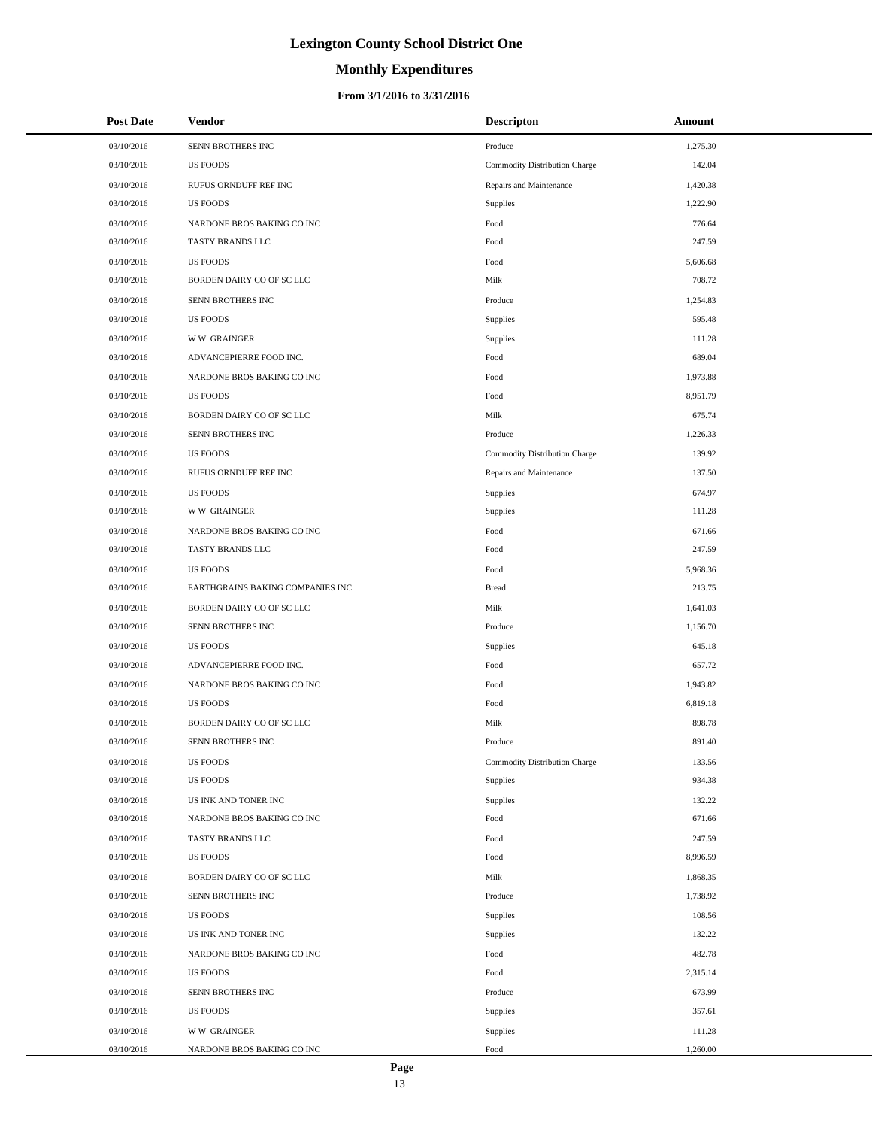# **Monthly Expenditures**

| <b>Post Date</b> | Vendor                           | <b>Descripton</b>             | Amount   |
|------------------|----------------------------------|-------------------------------|----------|
| 03/10/2016       | SENN BROTHERS INC                | Produce                       | 1,275.30 |
| 03/10/2016       | <b>US FOODS</b>                  | Commodity Distribution Charge | 142.04   |
| 03/10/2016       | RUFUS ORNDUFF REF INC            | Repairs and Maintenance       | 1,420.38 |
| 03/10/2016       | <b>US FOODS</b>                  | Supplies                      | 1,222.90 |
| 03/10/2016       | NARDONE BROS BAKING CO INC       | Food                          | 776.64   |
| 03/10/2016       | TASTY BRANDS LLC                 | Food                          | 247.59   |
| 03/10/2016       | <b>US FOODS</b>                  | Food                          | 5,606.68 |
| 03/10/2016       | BORDEN DAIRY CO OF SC LLC        | Milk                          | 708.72   |
| 03/10/2016       | SENN BROTHERS INC                | Produce                       | 1,254.83 |
| 03/10/2016       | <b>US FOODS</b>                  | Supplies                      | 595.48   |
| 03/10/2016       | <b>WW GRAINGER</b>               | Supplies                      | 111.28   |
| 03/10/2016       | ADVANCEPIERRE FOOD INC.          | Food                          | 689.04   |
| 03/10/2016       | NARDONE BROS BAKING CO INC       | Food                          | 1,973.88 |
| 03/10/2016       | <b>US FOODS</b>                  | Food                          | 8,951.79 |
| 03/10/2016       | BORDEN DAIRY CO OF SC LLC        | Milk                          | 675.74   |
| 03/10/2016       | SENN BROTHERS INC                | Produce                       | 1,226.33 |
| 03/10/2016       | <b>US FOODS</b>                  | Commodity Distribution Charge | 139.92   |
| 03/10/2016       | RUFUS ORNDUFF REF INC            | Repairs and Maintenance       | 137.50   |
| 03/10/2016       | <b>US FOODS</b>                  | Supplies                      | 674.97   |
| 03/10/2016       | <b>WW GRAINGER</b>               | Supplies                      | 111.28   |
| 03/10/2016       | NARDONE BROS BAKING CO INC       | Food                          | 671.66   |
| 03/10/2016       | TASTY BRANDS LLC                 | Food                          | 247.59   |
| 03/10/2016       | <b>US FOODS</b>                  | Food                          | 5,968.36 |
| 03/10/2016       | EARTHGRAINS BAKING COMPANIES INC | <b>Bread</b>                  | 213.75   |
| 03/10/2016       | BORDEN DAIRY CO OF SC LLC        | Milk                          | 1,641.03 |
| 03/10/2016       | SENN BROTHERS INC                | Produce                       | 1,156.70 |
| 03/10/2016       | <b>US FOODS</b>                  | Supplies                      | 645.18   |
| 03/10/2016       | ADVANCEPIERRE FOOD INC.          | Food                          | 657.72   |
| 03/10/2016       | NARDONE BROS BAKING CO INC       | Food                          | 1,943.82 |
| 03/10/2016       | <b>US FOODS</b>                  | Food                          | 6,819.18 |
| 03/10/2016       | BORDEN DAIRY CO OF SC LLC        | Milk                          | 898.78   |
| 03/10/2016       | SENN BROTHERS INC                | Produce                       | 891.40   |
| 03/10/2016       | <b>US FOODS</b>                  | Commodity Distribution Charge | 133.56   |
| 03/10/2016       | <b>US FOODS</b>                  | Supplies                      | 934.38   |
| 03/10/2016       | US INK AND TONER INC             | Supplies                      | 132.22   |
| 03/10/2016       | NARDONE BROS BAKING CO INC       | Food                          | 671.66   |
| 03/10/2016       | TASTY BRANDS LLC                 | Food                          | 247.59   |
| 03/10/2016       | <b>US FOODS</b>                  | Food                          | 8,996.59 |
| 03/10/2016       | BORDEN DAIRY CO OF SC LLC        | Milk                          | 1,868.35 |
| 03/10/2016       | SENN BROTHERS INC                | Produce                       | 1,738.92 |
| 03/10/2016       | <b>US FOODS</b>                  | Supplies                      | 108.56   |
| 03/10/2016       | US INK AND TONER INC             | Supplies                      | 132.22   |
| 03/10/2016       | NARDONE BROS BAKING CO INC       | Food                          | 482.78   |
| 03/10/2016       | US FOODS                         | Food                          | 2,315.14 |
| 03/10/2016       | SENN BROTHERS INC                | Produce                       | 673.99   |
| 03/10/2016       | <b>US FOODS</b>                  | Supplies                      | 357.61   |
| 03/10/2016       | <b>WW GRAINGER</b>               | Supplies                      | 111.28   |
| 03/10/2016       | NARDONE BROS BAKING CO INC       | Food                          | 1,260.00 |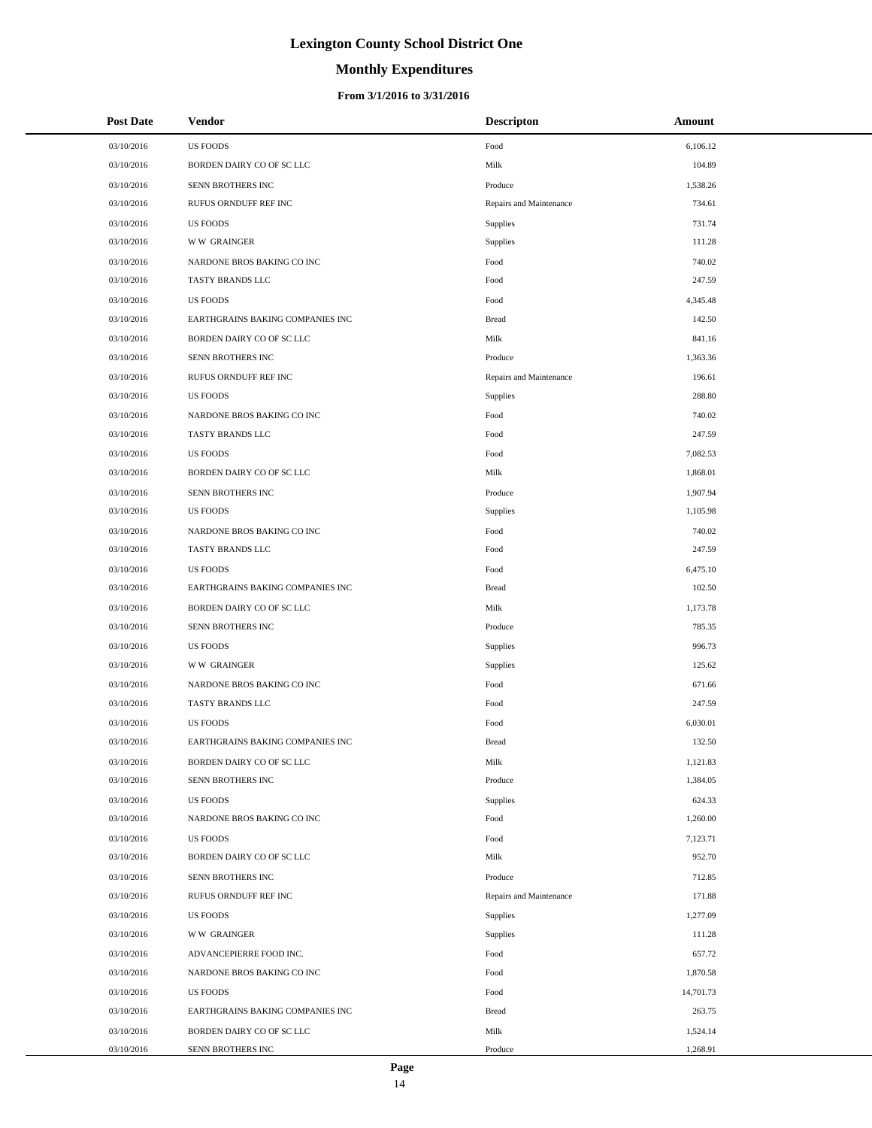# **Monthly Expenditures**

## **From 3/1/2016 to 3/31/2016**

| <b>Post Date</b> | <b>Vendor</b>                    | <b>Descripton</b>       | Amount    |
|------------------|----------------------------------|-------------------------|-----------|
| 03/10/2016       | <b>US FOODS</b>                  | Food                    | 6,106.12  |
| 03/10/2016       | BORDEN DAIRY CO OF SC LLC        | Milk                    | 104.89    |
| 03/10/2016       | SENN BROTHERS INC                | Produce                 | 1,538.26  |
| 03/10/2016       | RUFUS ORNDUFF REF INC            | Repairs and Maintenance | 734.61    |
| 03/10/2016       | <b>US FOODS</b>                  | <b>Supplies</b>         | 731.74    |
| 03/10/2016       | <b>WW GRAINGER</b>               | Supplies                | 111.28    |
| 03/10/2016       | NARDONE BROS BAKING CO INC       | Food                    | 740.02    |
| 03/10/2016       | TASTY BRANDS LLC                 | Food                    | 247.59    |
| 03/10/2016       | <b>US FOODS</b>                  | Food                    | 4,345.48  |
| 03/10/2016       | EARTHGRAINS BAKING COMPANIES INC | <b>Bread</b>            | 142.50    |
| 03/10/2016       | BORDEN DAIRY CO OF SC LLC        | Milk                    | 841.16    |
| 03/10/2016       | SENN BROTHERS INC                | Produce                 | 1,363.36  |
| 03/10/2016       | RUFUS ORNDUFF REF INC            | Repairs and Maintenance | 196.61    |
| 03/10/2016       | <b>US FOODS</b>                  | Supplies                | 288.80    |
| 03/10/2016       | NARDONE BROS BAKING CO INC       | Food                    | 740.02    |
| 03/10/2016       | TASTY BRANDS LLC                 | Food                    | 247.59    |
| 03/10/2016       | <b>US FOODS</b>                  | Food                    | 7,082.53  |
| 03/10/2016       | BORDEN DAIRY CO OF SC LLC        | Milk                    | 1,868.01  |
| 03/10/2016       | SENN BROTHERS INC                | Produce                 | 1,907.94  |
| 03/10/2016       | <b>US FOODS</b>                  | Supplies                | 1,105.98  |
| 03/10/2016       | NARDONE BROS BAKING CO INC       | Food                    | 740.02    |
| 03/10/2016       | TASTY BRANDS LLC                 | Food                    | 247.59    |
| 03/10/2016       | <b>US FOODS</b>                  | Food                    | 6,475.10  |
| 03/10/2016       | EARTHGRAINS BAKING COMPANIES INC | <b>Bread</b>            | 102.50    |
| 03/10/2016       | BORDEN DAIRY CO OF SC LLC        | Milk                    | 1,173.78  |
| 03/10/2016       | SENN BROTHERS INC                | Produce                 | 785.35    |
| 03/10/2016       | <b>US FOODS</b>                  | Supplies                | 996.73    |
| 03/10/2016       | <b>WW GRAINGER</b>               | Supplies                | 125.62    |
| 03/10/2016       | NARDONE BROS BAKING CO INC       | Food                    | 671.66    |
| 03/10/2016       | TASTY BRANDS LLC                 | Food                    | 247.59    |
| 03/10/2016       | <b>US FOODS</b>                  | Food                    | 6,030.01  |
| 03/10/2016       | EARTHGRAINS BAKING COMPANIES INC | <b>Bread</b>            | 132.50    |
| 03/10/2016       | BORDEN DAIRY CO OF SC LLC        | Milk                    | 1,121.83  |
| 03/10/2016       | SENN BROTHERS INC                | Produce                 | 1,384.05  |
| 03/10/2016       | <b>US FOODS</b>                  | <b>Supplies</b>         | 624.33    |
| 03/10/2016       | NARDONE BROS BAKING CO INC       | Food                    | 1,260.00  |
| 03/10/2016       | <b>US FOODS</b>                  | Food                    | 7,123.71  |
| 03/10/2016       | BORDEN DAIRY CO OF SC LLC        | Milk                    | 952.70    |
| 03/10/2016       | SENN BROTHERS INC                | Produce                 | 712.85    |
| 03/10/2016       | RUFUS ORNDUFF REF INC            | Repairs and Maintenance | 171.88    |
| 03/10/2016       | <b>US FOODS</b>                  | Supplies                | 1,277.09  |
| 03/10/2016       | <b>WW GRAINGER</b>               | Supplies                | 111.28    |
| 03/10/2016       | ADVANCEPIERRE FOOD INC.          | Food                    | 657.72    |
| 03/10/2016       | NARDONE BROS BAKING CO INC       | Food                    | 1,870.58  |
| 03/10/2016       | <b>US FOODS</b>                  | Food                    | 14,701.73 |
| 03/10/2016       | EARTHGRAINS BAKING COMPANIES INC | <b>Bread</b>            | 263.75    |
| 03/10/2016       | BORDEN DAIRY CO OF SC LLC        | Milk                    | 1,524.14  |
| 03/10/2016       | SENN BROTHERS INC                | Produce                 | 1,268.91  |

L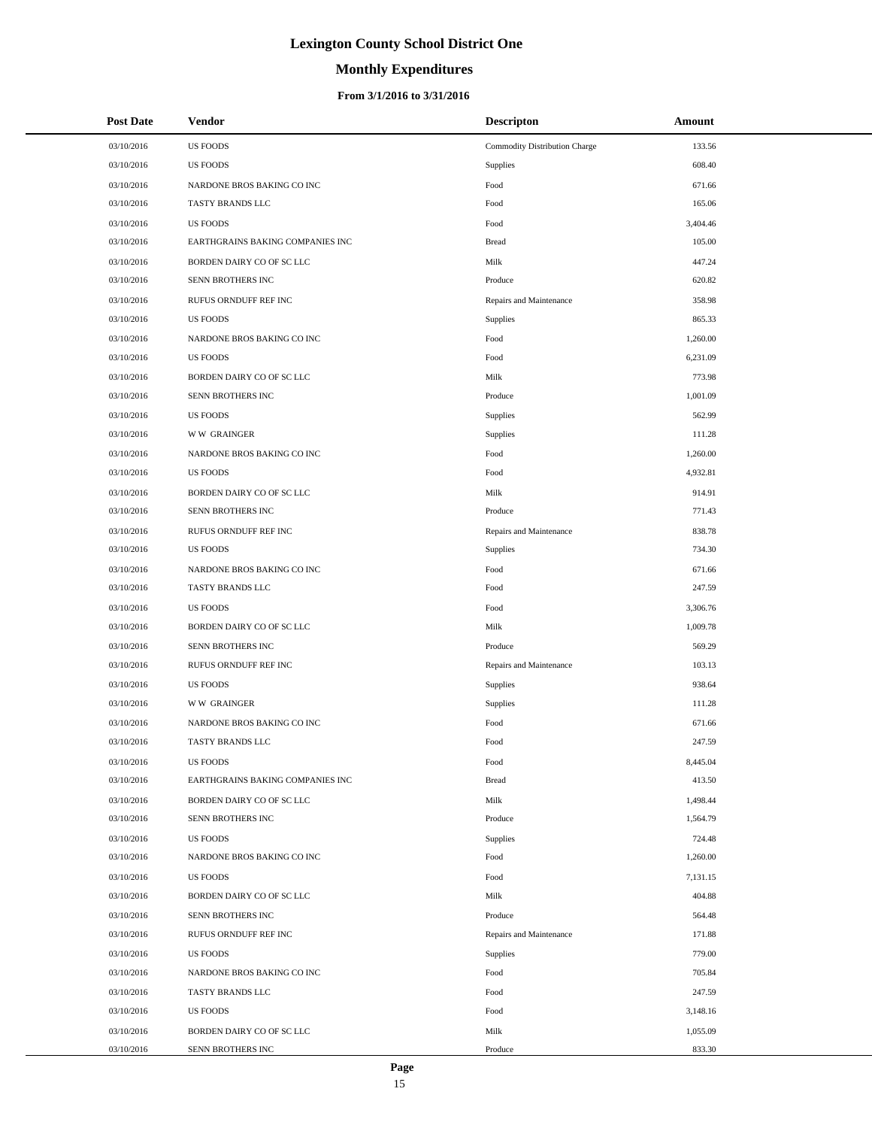# **Monthly Expenditures**

## **From 3/1/2016 to 3/31/2016**

| <b>Post Date</b> | <b>Vendor</b>                    | <b>Descripton</b>             | Amount   |
|------------------|----------------------------------|-------------------------------|----------|
| 03/10/2016       | <b>US FOODS</b>                  | Commodity Distribution Charge | 133.56   |
| 03/10/2016       | <b>US FOODS</b>                  | <b>Supplies</b>               | 608.40   |
| 03/10/2016       | NARDONE BROS BAKING CO INC       | Food                          | 671.66   |
| 03/10/2016       | TASTY BRANDS LLC                 | Food                          | 165.06   |
| 03/10/2016       | <b>US FOODS</b>                  | Food                          | 3,404.46 |
| 03/10/2016       | EARTHGRAINS BAKING COMPANIES INC | <b>Bread</b>                  | 105.00   |
| 03/10/2016       | BORDEN DAIRY CO OF SC LLC        | Milk                          | 447.24   |
| 03/10/2016       | SENN BROTHERS INC                | Produce                       | 620.82   |
| 03/10/2016       | RUFUS ORNDUFF REF INC            | Repairs and Maintenance       | 358.98   |
| 03/10/2016       | <b>US FOODS</b>                  | <b>Supplies</b>               | 865.33   |
| 03/10/2016       | NARDONE BROS BAKING CO INC       | Food                          | 1,260.00 |
| 03/10/2016       | <b>US FOODS</b>                  | Food                          | 6,231.09 |
| 03/10/2016       | BORDEN DAIRY CO OF SC LLC        | Milk                          | 773.98   |
| 03/10/2016       | SENN BROTHERS INC                | Produce                       | 1,001.09 |
| 03/10/2016       | <b>US FOODS</b>                  | <b>Supplies</b>               | 562.99   |
| 03/10/2016       | <b>WW GRAINGER</b>               | <b>Supplies</b>               | 111.28   |
| 03/10/2016       | NARDONE BROS BAKING CO INC       | $\operatorname*{Food}$        | 1,260.00 |
| 03/10/2016       | <b>US FOODS</b>                  | Food                          | 4,932.81 |
| 03/10/2016       | BORDEN DAIRY CO OF SC LLC        | Milk                          | 914.91   |
| 03/10/2016       | SENN BROTHERS INC                | Produce                       | 771.43   |
| 03/10/2016       | RUFUS ORNDUFF REF INC            | Repairs and Maintenance       | 838.78   |
| 03/10/2016       | <b>US FOODS</b>                  | <b>Supplies</b>               | 734.30   |
| 03/10/2016       | NARDONE BROS BAKING CO INC       | Food                          | 671.66   |
| 03/10/2016       | TASTY BRANDS LLC                 | Food                          | 247.59   |
| 03/10/2016       | <b>US FOODS</b>                  | Food                          | 3,306.76 |
| 03/10/2016       | BORDEN DAIRY CO OF SC LLC        | Milk                          | 1,009.78 |
| 03/10/2016       | SENN BROTHERS INC                | Produce                       | 569.29   |
| 03/10/2016       | RUFUS ORNDUFF REF INC            | Repairs and Maintenance       | 103.13   |
| 03/10/2016       | <b>US FOODS</b>                  | <b>Supplies</b>               | 938.64   |
| 03/10/2016       | <b>WW GRAINGER</b>               | Supplies                      | 111.28   |
| 03/10/2016       | NARDONE BROS BAKING CO INC       | Food                          | 671.66   |
| 03/10/2016       | <b>TASTY BRANDS LLC</b>          | Food                          | 247.59   |
| 03/10/2016       | <b>US FOODS</b>                  | Food                          | 8,445.04 |
| 03/10/2016       | EARTHGRAINS BAKING COMPANIES INC | <b>Bread</b>                  | 413.50   |
| 03/10/2016       | BORDEN DAIRY CO OF SC LLC        | Milk                          | 1,498.44 |
| 03/10/2016       | SENN BROTHERS INC                | Produce                       | 1,564.79 |
| 03/10/2016       | <b>US FOODS</b>                  | Supplies                      | 724.48   |
| 03/10/2016       | NARDONE BROS BAKING CO INC       | Food                          | 1,260.00 |
| 03/10/2016       | <b>US FOODS</b>                  | Food                          | 7,131.15 |
| 03/10/2016       | BORDEN DAIRY CO OF SC LLC        | Milk                          | 404.88   |
| 03/10/2016       | SENN BROTHERS INC                | Produce                       | 564.48   |
| 03/10/2016       | RUFUS ORNDUFF REF INC            | Repairs and Maintenance       | 171.88   |
| 03/10/2016       | <b>US FOODS</b>                  | <b>Supplies</b>               | 779.00   |
| 03/10/2016       | NARDONE BROS BAKING CO INC       | Food                          | 705.84   |
| 03/10/2016       | TASTY BRANDS LLC                 | Food                          | 247.59   |
| 03/10/2016       | <b>US FOODS</b>                  | Food                          | 3,148.16 |
| 03/10/2016       | BORDEN DAIRY CO OF SC LLC        | Milk                          | 1,055.09 |
| 03/10/2016       | SENN BROTHERS INC                | Produce                       | 833.30   |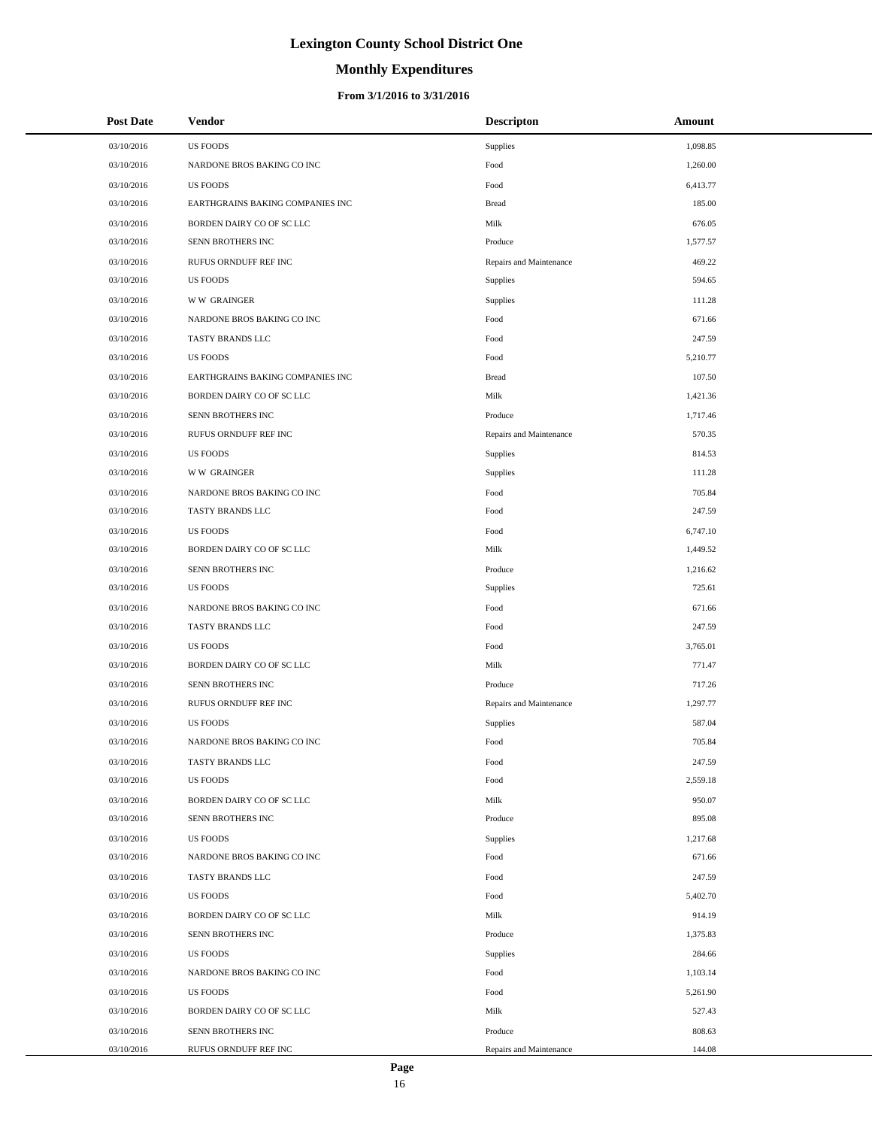# **Monthly Expenditures**

## **From 3/1/2016 to 3/31/2016**

| <b>Post Date</b> | Vendor                           | <b>Descripton</b>       | Amount   |
|------------------|----------------------------------|-------------------------|----------|
| 03/10/2016       | <b>US FOODS</b>                  | <b>Supplies</b>         | 1,098.85 |
| 03/10/2016       | NARDONE BROS BAKING CO INC       | Food                    | 1,260.00 |
| 03/10/2016       | <b>US FOODS</b>                  | Food                    | 6,413.77 |
| 03/10/2016       | EARTHGRAINS BAKING COMPANIES INC | <b>Bread</b>            | 185.00   |
| 03/10/2016       | BORDEN DAIRY CO OF SC LLC        | Milk                    | 676.05   |
| 03/10/2016       | SENN BROTHERS INC                | Produce                 | 1,577.57 |
| 03/10/2016       | RUFUS ORNDUFF REF INC            | Repairs and Maintenance | 469.22   |
| 03/10/2016       | <b>US FOODS</b>                  | Supplies                | 594.65   |
| 03/10/2016       | <b>WW GRAINGER</b>               | Supplies                | 111.28   |
| 03/10/2016       | NARDONE BROS BAKING CO INC       | Food                    | 671.66   |
| 03/10/2016       | TASTY BRANDS LLC                 | Food                    | 247.59   |
| 03/10/2016       | <b>US FOODS</b>                  | Food                    | 5,210.77 |
| 03/10/2016       | EARTHGRAINS BAKING COMPANIES INC | <b>Bread</b>            | 107.50   |
| 03/10/2016       | BORDEN DAIRY CO OF SC LLC        | Milk                    | 1,421.36 |
| 03/10/2016       | SENN BROTHERS INC                | Produce                 | 1,717.46 |
| 03/10/2016       | RUFUS ORNDUFF REF INC            | Repairs and Maintenance | 570.35   |
| 03/10/2016       | <b>US FOODS</b>                  | <b>Supplies</b>         | 814.53   |
| 03/10/2016       | <b>WW GRAINGER</b>               | Supplies                | 111.28   |
| 03/10/2016       | NARDONE BROS BAKING CO INC       | Food                    | 705.84   |
| 03/10/2016       | TASTY BRANDS LLC                 | Food                    | 247.59   |
| 03/10/2016       | <b>US FOODS</b>                  | Food                    | 6,747.10 |
| 03/10/2016       | BORDEN DAIRY CO OF SC LLC        | Milk                    | 1,449.52 |
| 03/10/2016       | SENN BROTHERS INC                | Produce                 | 1,216.62 |
| 03/10/2016       | <b>US FOODS</b>                  | Supplies                | 725.61   |
| 03/10/2016       | NARDONE BROS BAKING CO INC       | Food                    | 671.66   |
| 03/10/2016       | TASTY BRANDS LLC                 | Food                    | 247.59   |
| 03/10/2016       | <b>US FOODS</b>                  | Food                    | 3,765.01 |
| 03/10/2016       | BORDEN DAIRY CO OF SC LLC        | Milk                    | 771.47   |
| 03/10/2016       | SENN BROTHERS INC                | Produce                 | 717.26   |
| 03/10/2016       | RUFUS ORNDUFF REF INC            | Repairs and Maintenance | 1,297.77 |
| 03/10/2016       | <b>US FOODS</b>                  | Supplies                | 587.04   |
| 03/10/2016       | NARDONE BROS BAKING CO INC       | Food                    | 705.84   |
| 03/10/2016       | TASTY BRANDS LLC                 | Food                    | 247.59   |
| 03/10/2016       | <b>US FOODS</b>                  | Food                    | 2,559.18 |
| 03/10/2016       | BORDEN DAIRY CO OF SC LLC        | Milk                    | 950.07   |
| 03/10/2016       | SENN BROTHERS INC                | Produce                 | 895.08   |
| 03/10/2016       | <b>US FOODS</b>                  | Supplies                | 1,217.68 |
| 03/10/2016       | NARDONE BROS BAKING CO INC       | Food                    | 671.66   |
| 03/10/2016       | TASTY BRANDS LLC                 | Food                    | 247.59   |
| 03/10/2016       | <b>US FOODS</b>                  | Food                    | 5,402.70 |
| 03/10/2016       | BORDEN DAIRY CO OF SC LLC        | Milk                    | 914.19   |
| 03/10/2016       | SENN BROTHERS INC                | Produce                 | 1,375.83 |
| 03/10/2016       | <b>US FOODS</b>                  | Supplies                | 284.66   |
| 03/10/2016       | NARDONE BROS BAKING CO INC       | Food                    | 1,103.14 |
| 03/10/2016       | <b>US FOODS</b>                  | Food                    | 5,261.90 |
| 03/10/2016       | BORDEN DAIRY CO OF SC LLC        | Milk                    | 527.43   |
| 03/10/2016       | SENN BROTHERS INC                | Produce                 | 808.63   |
| 03/10/2016       | RUFUS ORNDUFF REF INC            | Repairs and Maintenance | 144.08   |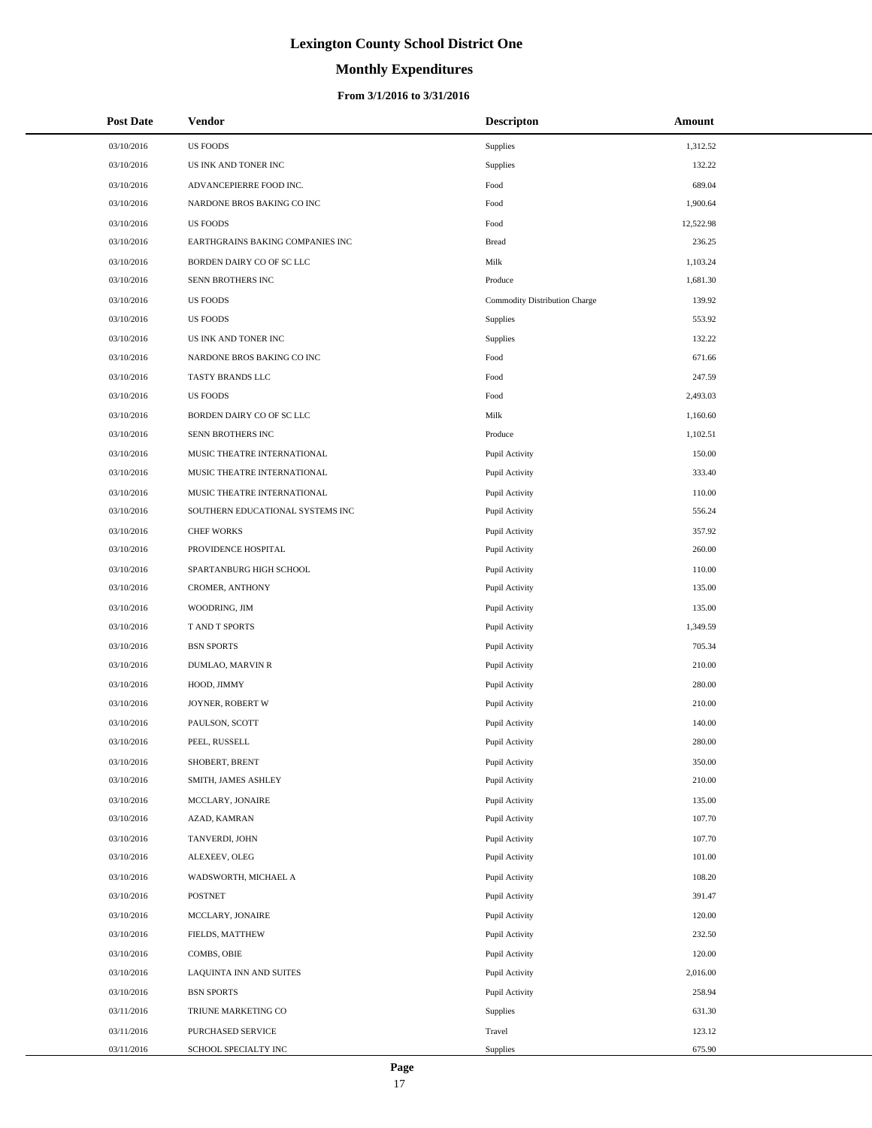# **Monthly Expenditures**

## **From 3/1/2016 to 3/31/2016**

| <b>Post Date</b> | Vendor                           | <b>Descripton</b>             | Amount    |
|------------------|----------------------------------|-------------------------------|-----------|
| 03/10/2016       | <b>US FOODS</b>                  | Supplies                      | 1,312.52  |
| 03/10/2016       | US INK AND TONER INC             | Supplies                      | 132.22    |
| 03/10/2016       | ADVANCEPIERRE FOOD INC.          | Food                          | 689.04    |
| 03/10/2016       | NARDONE BROS BAKING CO INC       | Food                          | 1,900.64  |
| 03/10/2016       | <b>US FOODS</b>                  | Food                          | 12,522.98 |
| 03/10/2016       | EARTHGRAINS BAKING COMPANIES INC | <b>Bread</b>                  | 236.25    |
| 03/10/2016       | BORDEN DAIRY CO OF SC LLC        | Milk                          | 1,103.24  |
| 03/10/2016       | SENN BROTHERS INC                | Produce                       | 1,681.30  |
| 03/10/2016       | <b>US FOODS</b>                  | Commodity Distribution Charge | 139.92    |
| 03/10/2016       | <b>US FOODS</b>                  | Supplies                      | 553.92    |
| 03/10/2016       | US INK AND TONER INC             | Supplies                      | 132.22    |
| 03/10/2016       | NARDONE BROS BAKING CO INC       | Food                          | 671.66    |
| 03/10/2016       | TASTY BRANDS LLC                 | Food                          | 247.59    |
| 03/10/2016       | <b>US FOODS</b>                  | Food                          | 2,493.03  |
| 03/10/2016       | BORDEN DAIRY CO OF SC LLC        | Milk                          | 1,160.60  |
| 03/10/2016       | SENN BROTHERS INC                | Produce                       | 1,102.51  |
| 03/10/2016       | MUSIC THEATRE INTERNATIONAL      | Pupil Activity                | 150.00    |
| 03/10/2016       | MUSIC THEATRE INTERNATIONAL      | Pupil Activity                | 333.40    |
| 03/10/2016       | MUSIC THEATRE INTERNATIONAL      | Pupil Activity                | 110.00    |
| 03/10/2016       | SOUTHERN EDUCATIONAL SYSTEMS INC | Pupil Activity                | 556.24    |
| 03/10/2016       | <b>CHEF WORKS</b>                | Pupil Activity                | 357.92    |
| 03/10/2016       | PROVIDENCE HOSPITAL              | Pupil Activity                | 260.00    |
| 03/10/2016       | SPARTANBURG HIGH SCHOOL          | Pupil Activity                | 110.00    |
| 03/10/2016       | CROMER, ANTHONY                  | Pupil Activity                | 135.00    |
| 03/10/2016       | WOODRING, JIM                    | Pupil Activity                | 135.00    |
| 03/10/2016       | T AND T SPORTS                   | Pupil Activity                | 1,349.59  |
| 03/10/2016       | <b>BSN SPORTS</b>                | Pupil Activity                | 705.34    |
| 03/10/2016       | DUMLAO, MARVIN R                 | Pupil Activity                | 210.00    |
| 03/10/2016       | HOOD, JIMMY                      | Pupil Activity                | 280.00    |
| 03/10/2016       | JOYNER, ROBERT W                 | Pupil Activity                | 210.00    |
| 03/10/2016       | PAULSON, SCOTT                   | Pupil Activity                | 140.00    |
| 03/10/2016       | PEEL, RUSSELL                    | Pupil Activity                | 280.00    |
| 03/10/2016       | SHOBERT, BRENT                   | Pupil Activity                | 350.00    |
| 03/10/2016       | SMITH, JAMES ASHLEY              | Pupil Activity                | 210.00    |
| 03/10/2016       | MCCLARY, JONAIRE                 | Pupil Activity                | 135.00    |
| 03/10/2016       | AZAD, KAMRAN                     | Pupil Activity                | 107.70    |
| 03/10/2016       | TANVERDI, JOHN                   | Pupil Activity                | 107.70    |
| 03/10/2016       | ALEXEEV, OLEG                    | Pupil Activity                | 101.00    |
| 03/10/2016       | WADSWORTH, MICHAEL A             | Pupil Activity                | 108.20    |
| 03/10/2016       | <b>POSTNET</b>                   | Pupil Activity                | 391.47    |
| 03/10/2016       | MCCLARY, JONAIRE                 | Pupil Activity                | 120.00    |
| 03/10/2016       | FIELDS, MATTHEW                  | Pupil Activity                | 232.50    |
| 03/10/2016       | COMBS, OBIE                      | Pupil Activity                | 120.00    |
| 03/10/2016       | LAQUINTA INN AND SUITES          | Pupil Activity                | 2,016.00  |
| 03/10/2016       | <b>BSN SPORTS</b>                | Pupil Activity                | 258.94    |
| 03/11/2016       | TRIUNE MARKETING CO              | Supplies                      | 631.30    |
| 03/11/2016       | PURCHASED SERVICE                | Travel                        | 123.12    |
| 03/11/2016       | SCHOOL SPECIALTY INC             | Supplies                      | 675.90    |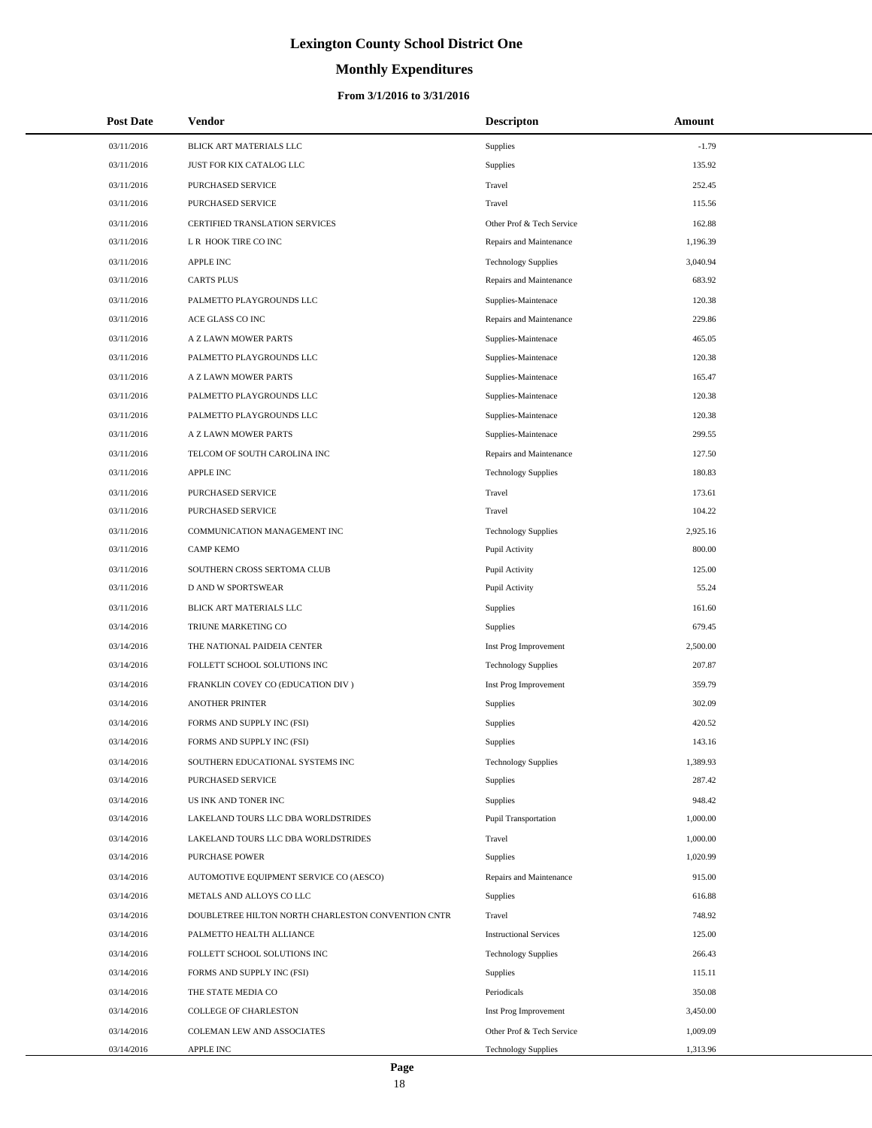# **Monthly Expenditures**

## **From 3/1/2016 to 3/31/2016**

| <b>Post Date</b> | Vendor                                             | <b>Descripton</b>             | Amount   |  |
|------------------|----------------------------------------------------|-------------------------------|----------|--|
| 03/11/2016       | BLICK ART MATERIALS LLC                            | Supplies                      | $-1.79$  |  |
| 03/11/2016       | JUST FOR KIX CATALOG LLC                           | Supplies                      | 135.92   |  |
| 03/11/2016       | PURCHASED SERVICE                                  | Travel                        | 252.45   |  |
| 03/11/2016       | PURCHASED SERVICE                                  | Travel                        | 115.56   |  |
| 03/11/2016       | CERTIFIED TRANSLATION SERVICES                     | Other Prof & Tech Service     | 162.88   |  |
| 03/11/2016       | L R HOOK TIRE CO INC                               | Repairs and Maintenance       | 1,196.39 |  |
| 03/11/2016       | <b>APPLE INC</b>                                   | <b>Technology Supplies</b>    | 3,040.94 |  |
| 03/11/2016       | <b>CARTS PLUS</b>                                  | Repairs and Maintenance       | 683.92   |  |
| 03/11/2016       | PALMETTO PLAYGROUNDS LLC                           | Supplies-Maintenace           | 120.38   |  |
| 03/11/2016       | ACE GLASS CO INC                                   | Repairs and Maintenance       | 229.86   |  |
| 03/11/2016       | A Z LAWN MOWER PARTS                               | Supplies-Maintenace           | 465.05   |  |
| 03/11/2016       | PALMETTO PLAYGROUNDS LLC                           | Supplies-Maintenace           | 120.38   |  |
| 03/11/2016       | A Z LAWN MOWER PARTS                               | Supplies-Maintenace           | 165.47   |  |
| 03/11/2016       | PALMETTO PLAYGROUNDS LLC                           | Supplies-Maintenace           | 120.38   |  |
| 03/11/2016       | PALMETTO PLAYGROUNDS LLC                           | Supplies-Maintenace           | 120.38   |  |
| 03/11/2016       | A Z LAWN MOWER PARTS                               | Supplies-Maintenace           | 299.55   |  |
| 03/11/2016       | TELCOM OF SOUTH CAROLINA INC                       | Repairs and Maintenance       | 127.50   |  |
| 03/11/2016       | <b>APPLE INC</b>                                   | <b>Technology Supplies</b>    | 180.83   |  |
| 03/11/2016       | PURCHASED SERVICE                                  | Travel                        | 173.61   |  |
| 03/11/2016       | PURCHASED SERVICE                                  | Travel                        | 104.22   |  |
| 03/11/2016       | COMMUNICATION MANAGEMENT INC                       | <b>Technology Supplies</b>    | 2,925.16 |  |
| 03/11/2016       | <b>CAMP KEMO</b>                                   | Pupil Activity                | 800.00   |  |
| 03/11/2016       | SOUTHERN CROSS SERTOMA CLUB                        | Pupil Activity                | 125.00   |  |
| 03/11/2016       | D AND W SPORTSWEAR                                 | Pupil Activity                | 55.24    |  |
| 03/11/2016       | BLICK ART MATERIALS LLC                            | Supplies                      | 161.60   |  |
| 03/14/2016       | TRIUNE MARKETING CO                                | Supplies                      | 679.45   |  |
| 03/14/2016       | THE NATIONAL PAIDEIA CENTER                        | Inst Prog Improvement         | 2,500.00 |  |
| 03/14/2016       | FOLLETT SCHOOL SOLUTIONS INC                       | <b>Technology Supplies</b>    | 207.87   |  |
| 03/14/2016       | FRANKLIN COVEY CO (EDUCATION DIV)                  | Inst Prog Improvement         | 359.79   |  |
| 03/14/2016       | <b>ANOTHER PRINTER</b>                             | Supplies                      | 302.09   |  |
| 03/14/2016       | FORMS AND SUPPLY INC (FSI)                         | Supplies                      | 420.52   |  |
| 03/14/2016       | FORMS AND SUPPLY INC (FSI)                         | Supplies                      | 143.16   |  |
| 03/14/2016       | SOUTHERN EDUCATIONAL SYSTEMS INC                   | <b>Technology Supplies</b>    | 1,389.93 |  |
| 03/14/2016       | PURCHASED SERVICE                                  | Supplies                      | 287.42   |  |
| 03/14/2016       | US INK AND TONER INC                               | Supplies                      | 948.42   |  |
| 03/14/2016       | LAKELAND TOURS LLC DBA WORLDSTRIDES                | <b>Pupil Transportation</b>   | 1,000.00 |  |
| 03/14/2016       | LAKELAND TOURS LLC DBA WORLDSTRIDES                | Travel                        | 1,000.00 |  |
| 03/14/2016       | <b>PURCHASE POWER</b>                              | Supplies                      | 1,020.99 |  |
| 03/14/2016       | AUTOMOTIVE EQUIPMENT SERVICE CO (AESCO)            | Repairs and Maintenance       | 915.00   |  |
| 03/14/2016       | METALS AND ALLOYS CO LLC                           | Supplies                      | 616.88   |  |
| 03/14/2016       | DOUBLETREE HILTON NORTH CHARLESTON CONVENTION CNTR | Travel                        | 748.92   |  |
| 03/14/2016       | PALMETTO HEALTH ALLIANCE                           | <b>Instructional Services</b> | 125.00   |  |
| 03/14/2016       | FOLLETT SCHOOL SOLUTIONS INC                       | <b>Technology Supplies</b>    | 266.43   |  |
| 03/14/2016       | FORMS AND SUPPLY INC (FSI)                         | Supplies                      | 115.11   |  |
| 03/14/2016       | THE STATE MEDIA CO                                 | Periodicals                   | 350.08   |  |
| 03/14/2016       | COLLEGE OF CHARLESTON                              | Inst Prog Improvement         | 3,450.00 |  |
| 03/14/2016       | COLEMAN LEW AND ASSOCIATES                         | Other Prof & Tech Service     | 1,009.09 |  |
| 03/14/2016       | APPLE INC                                          | <b>Technology Supplies</b>    | 1,313.96 |  |

 $\overline{a}$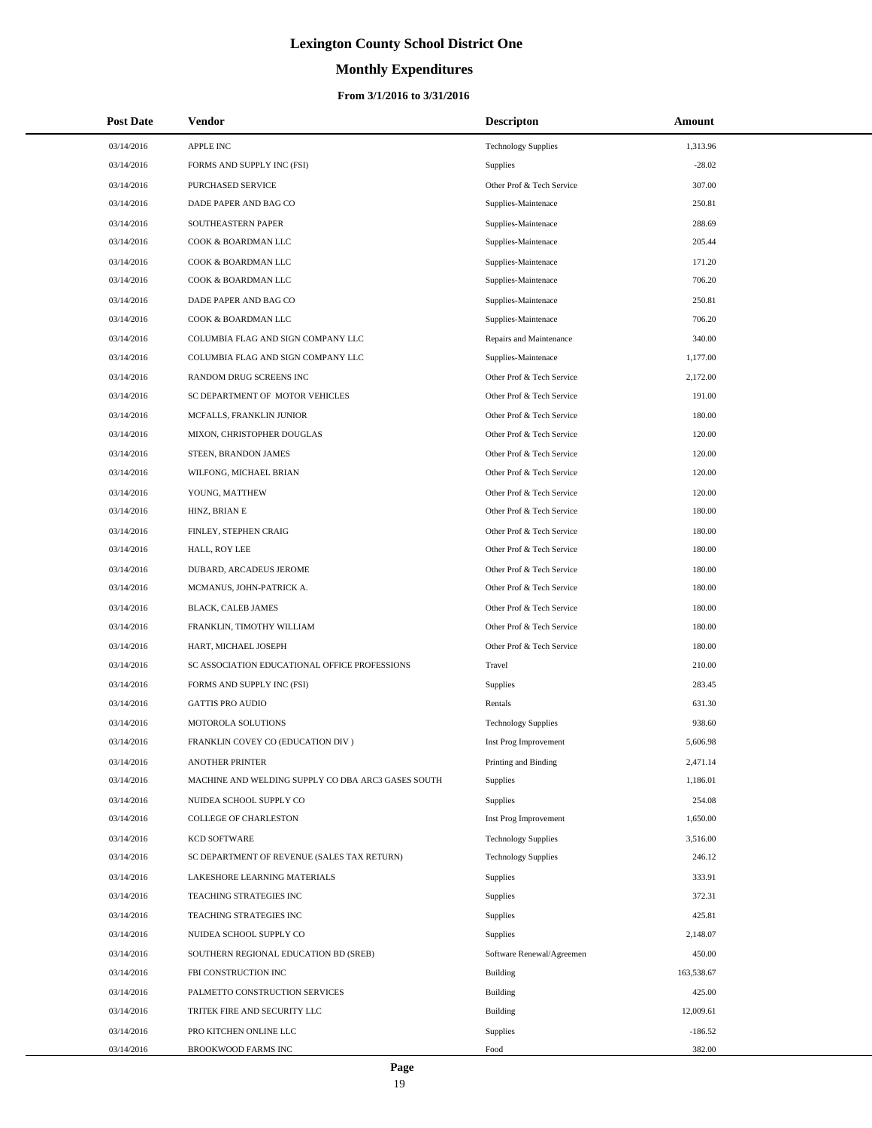# **Monthly Expenditures**

## **From 3/1/2016 to 3/31/2016**

| <b>Post Date</b> | Vendor                                             | <b>Descripton</b>          | Amount     |
|------------------|----------------------------------------------------|----------------------------|------------|
| 03/14/2016       | <b>APPLE INC</b>                                   | <b>Technology Supplies</b> | 1,313.96   |
| 03/14/2016       | FORMS AND SUPPLY INC (FSI)                         | <b>Supplies</b>            | $-28.02$   |
| 03/14/2016       | PURCHASED SERVICE                                  | Other Prof & Tech Service  | 307.00     |
| 03/14/2016       | DADE PAPER AND BAG CO                              | Supplies-Maintenace        | 250.81     |
| 03/14/2016       | SOUTHEASTERN PAPER                                 | Supplies-Maintenace        | 288.69     |
| 03/14/2016       | COOK & BOARDMAN LLC                                | Supplies-Maintenace        | 205.44     |
| 03/14/2016       | COOK & BOARDMAN LLC                                | Supplies-Maintenace        | 171.20     |
| 03/14/2016       | COOK & BOARDMAN LLC                                | Supplies-Maintenace        | 706.20     |
| 03/14/2016       | DADE PAPER AND BAG CO                              | Supplies-Maintenace        | 250.81     |
| 03/14/2016       | COOK & BOARDMAN LLC                                | Supplies-Maintenace        | 706.20     |
| 03/14/2016       | COLUMBIA FLAG AND SIGN COMPANY LLC                 | Repairs and Maintenance    | 340.00     |
| 03/14/2016       | COLUMBIA FLAG AND SIGN COMPANY LLC                 | Supplies-Maintenace        | 1,177.00   |
| 03/14/2016       | RANDOM DRUG SCREENS INC                            | Other Prof & Tech Service  | 2,172.00   |
| 03/14/2016       | SC DEPARTMENT OF MOTOR VEHICLES                    | Other Prof & Tech Service  | 191.00     |
| 03/14/2016       | MCFALLS, FRANKLIN JUNIOR                           | Other Prof & Tech Service  | 180.00     |
| 03/14/2016       | MIXON, CHRISTOPHER DOUGLAS                         | Other Prof & Tech Service  | 120.00     |
| 03/14/2016       | STEEN, BRANDON JAMES                               | Other Prof & Tech Service  | 120.00     |
| 03/14/2016       | WILFONG, MICHAEL BRIAN                             | Other Prof & Tech Service  | 120.00     |
| 03/14/2016       | YOUNG, MATTHEW                                     | Other Prof & Tech Service  | 120.00     |
| 03/14/2016       | HINZ, BRIAN E                                      | Other Prof & Tech Service  | 180.00     |
| 03/14/2016       | FINLEY, STEPHEN CRAIG                              | Other Prof & Tech Service  | 180.00     |
| 03/14/2016       | HALL, ROY LEE                                      | Other Prof & Tech Service  | 180.00     |
| 03/14/2016       | DUBARD, ARCADEUS JEROME                            | Other Prof & Tech Service  | 180.00     |
| 03/14/2016       | MCMANUS, JOHN-PATRICK A.                           | Other Prof & Tech Service  | 180.00     |
| 03/14/2016       | BLACK, CALEB JAMES                                 | Other Prof & Tech Service  | 180.00     |
| 03/14/2016       | FRANKLIN, TIMOTHY WILLIAM                          | Other Prof & Tech Service  | 180.00     |
| 03/14/2016       | HART, MICHAEL JOSEPH                               | Other Prof & Tech Service  | 180.00     |
| 03/14/2016       | SC ASSOCIATION EDUCATIONAL OFFICE PROFESSIONS      | Travel                     | 210.00     |
| 03/14/2016       | FORMS AND SUPPLY INC (FSI)                         | Supplies                   | 283.45     |
| 03/14/2016       | <b>GATTIS PRO AUDIO</b>                            | Rentals                    | 631.30     |
| 03/14/2016       | MOTOROLA SOLUTIONS                                 | <b>Technology Supplies</b> | 938.60     |
| 03/14/2016       | FRANKLIN COVEY CO (EDUCATION DIV)                  | Inst Prog Improvement      | 5,606.98   |
| 03/14/2016       | ANOTHER PRINTER                                    | Printing and Binding       | 2,471.14   |
| 03/14/2016       | MACHINE AND WELDING SUPPLY CO DBA ARC3 GASES SOUTH | <b>Supplies</b>            | 1,186.01   |
| 03/14/2016       | NUIDEA SCHOOL SUPPLY CO                            | Supplies                   | 254.08     |
| 03/14/2016       | <b>COLLEGE OF CHARLESTON</b>                       | Inst Prog Improvement      | 1,650.00   |
| 03/14/2016       | <b>KCD SOFTWARE</b>                                | <b>Technology Supplies</b> | 3,516.00   |
| 03/14/2016       | SC DEPARTMENT OF REVENUE (SALES TAX RETURN)        | <b>Technology Supplies</b> | 246.12     |
| 03/14/2016       | LAKESHORE LEARNING MATERIALS                       | <b>Supplies</b>            | 333.91     |
| 03/14/2016       | TEACHING STRATEGIES INC                            | Supplies                   | 372.31     |
| 03/14/2016       | TEACHING STRATEGIES INC                            | Supplies                   | 425.81     |
| 03/14/2016       | NUIDEA SCHOOL SUPPLY CO                            | <b>Supplies</b>            | 2,148.07   |
| 03/14/2016       | SOUTHERN REGIONAL EDUCATION BD (SREB)              | Software Renewal/Agreemen  | 450.00     |
| 03/14/2016       | FBI CONSTRUCTION INC                               | Building                   | 163,538.67 |
| 03/14/2016       | PALMETTO CONSTRUCTION SERVICES                     | <b>Building</b>            | 425.00     |
| 03/14/2016       | TRITEK FIRE AND SECURITY LLC                       | <b>Building</b>            | 12,009.61  |
| 03/14/2016       | PRO KITCHEN ONLINE LLC                             | Supplies                   | $-186.52$  |
| 03/14/2016       | BROOKWOOD FARMS INC                                | Food                       | 382.00     |

 $\overline{a}$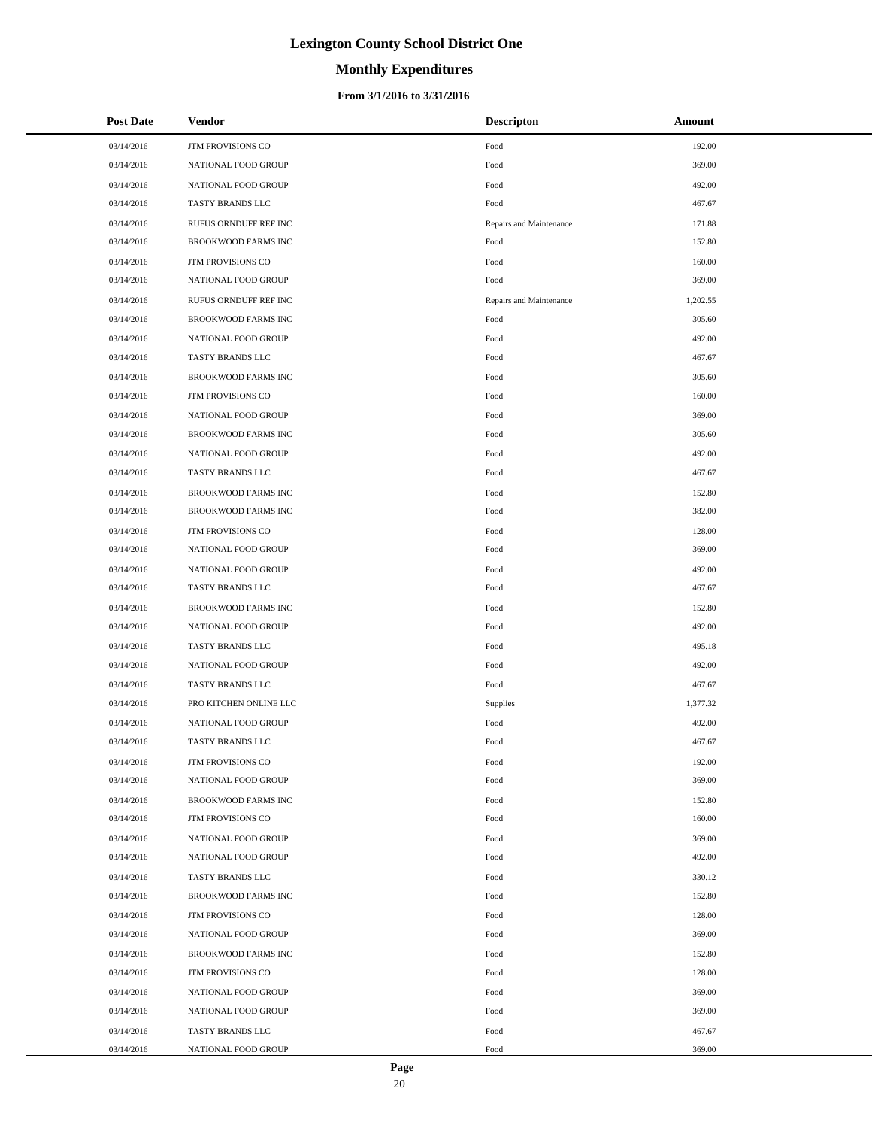# **Monthly Expenditures**

## **From 3/1/2016 to 3/31/2016**

| <b>Post Date</b> | <b>Vendor</b>              | <b>Descripton</b>       | Amount   |
|------------------|----------------------------|-------------------------|----------|
| 03/14/2016       | JTM PROVISIONS CO          | Food                    | 192.00   |
| 03/14/2016       | NATIONAL FOOD GROUP        | Food                    | 369.00   |
| 03/14/2016       | NATIONAL FOOD GROUP        | Food                    | 492.00   |
| 03/14/2016       | TASTY BRANDS LLC           | Food                    | 467.67   |
| 03/14/2016       | RUFUS ORNDUFF REF INC      | Repairs and Maintenance | 171.88   |
| 03/14/2016       | BROOKWOOD FARMS INC        | Food                    | 152.80   |
| 03/14/2016       | JTM PROVISIONS CO          | Food                    | 160.00   |
| 03/14/2016       | NATIONAL FOOD GROUP        | Food                    | 369.00   |
| 03/14/2016       | RUFUS ORNDUFF REF INC      | Repairs and Maintenance | 1,202.55 |
| 03/14/2016       | BROOKWOOD FARMS INC        | Food                    | 305.60   |
| 03/14/2016       | NATIONAL FOOD GROUP        | Food                    | 492.00   |
| 03/14/2016       | TASTY BRANDS LLC           | Food                    | 467.67   |
| 03/14/2016       | BROOKWOOD FARMS INC        | Food                    | 305.60   |
| 03/14/2016       | JTM PROVISIONS CO          | Food                    | 160.00   |
| 03/14/2016       | NATIONAL FOOD GROUP        | Food                    | 369.00   |
| 03/14/2016       | BROOKWOOD FARMS INC        | Food                    | 305.60   |
| 03/14/2016       | NATIONAL FOOD GROUP        | Food                    | 492.00   |
| 03/14/2016       | TASTY BRANDS LLC           | Food                    | 467.67   |
| 03/14/2016       | BROOKWOOD FARMS INC        | Food                    | 152.80   |
| 03/14/2016       | BROOKWOOD FARMS INC        | Food                    | 382.00   |
| 03/14/2016       | JTM PROVISIONS CO          | Food                    | 128.00   |
| 03/14/2016       | NATIONAL FOOD GROUP        | Food                    | 369.00   |
| 03/14/2016       | NATIONAL FOOD GROUP        | Food                    | 492.00   |
| 03/14/2016       | TASTY BRANDS LLC           | Food                    | 467.67   |
| 03/14/2016       | BROOKWOOD FARMS INC        | Food                    | 152.80   |
| 03/14/2016       | NATIONAL FOOD GROUP        | Food                    | 492.00   |
| 03/14/2016       | TASTY BRANDS LLC           | Food                    | 495.18   |
| 03/14/2016       | NATIONAL FOOD GROUP        | Food                    | 492.00   |
| 03/14/2016       | TASTY BRANDS LLC           | Food                    | 467.67   |
| 03/14/2016       | PRO KITCHEN ONLINE LLC     | Supplies                | 1,377.32 |
| 03/14/2016       | NATIONAL FOOD GROUP        | Food                    | 492.00   |
| 03/14/2016       | <b>TASTY BRANDS LLC</b>    | Food                    | 467.67   |
| 03/14/2016       | JTM PROVISIONS CO          | Food                    | 192.00   |
| 03/14/2016       | NATIONAL FOOD GROUP        | Food                    | 369.00   |
| 03/14/2016       | <b>BROOKWOOD FARMS INC</b> | Food                    | 152.80   |
| 03/14/2016       | <b>JTM PROVISIONS CO</b>   | Food                    | 160.00   |
| 03/14/2016       | NATIONAL FOOD GROUP        | Food                    | 369.00   |
| 03/14/2016       | NATIONAL FOOD GROUP        | Food                    | 492.00   |
| 03/14/2016       | TASTY BRANDS LLC           | Food                    | 330.12   |
| 03/14/2016       | <b>BROOKWOOD FARMS INC</b> | Food                    | 152.80   |
| 03/14/2016       | <b>JTM PROVISIONS CO</b>   | Food                    | 128.00   |
| 03/14/2016       | NATIONAL FOOD GROUP        | Food                    | 369.00   |
| 03/14/2016       | BROOKWOOD FARMS INC        | Food                    | 152.80   |
| 03/14/2016       | JTM PROVISIONS CO          | Food                    | 128.00   |
| 03/14/2016       | NATIONAL FOOD GROUP        | Food                    | 369.00   |
| 03/14/2016       | NATIONAL FOOD GROUP        | Food                    | 369.00   |
| 03/14/2016       | TASTY BRANDS LLC           | Food                    | 467.67   |
| 03/14/2016       | NATIONAL FOOD GROUP        | Food                    | 369.00   |

÷.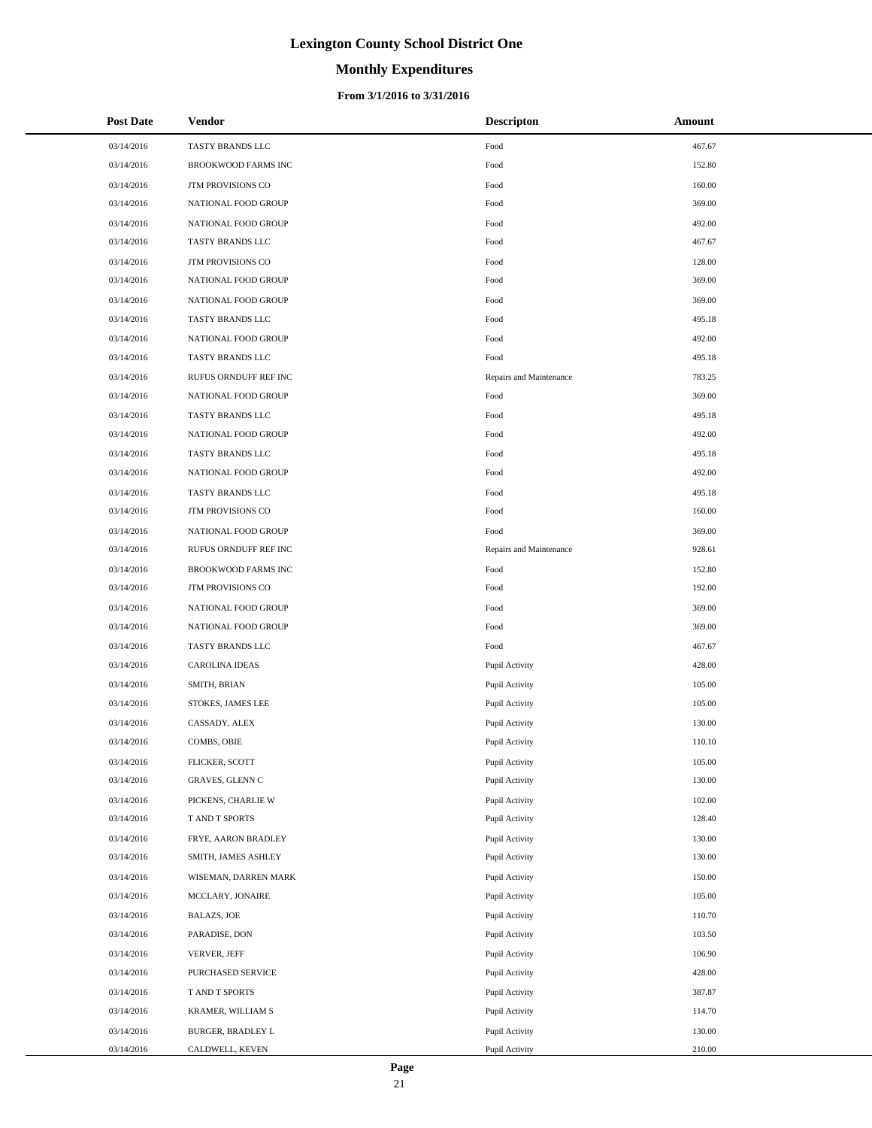# **Monthly Expenditures**

## **From 3/1/2016 to 3/31/2016**

| <b>Post Date</b> | <b>Vendor</b>            | <b>Descripton</b>       | Amount |
|------------------|--------------------------|-------------------------|--------|
| 03/14/2016       | TASTY BRANDS LLC         | Food                    | 467.67 |
| 03/14/2016       | BROOKWOOD FARMS INC      | Food                    | 152.80 |
| 03/14/2016       | <b>JTM PROVISIONS CO</b> | Food                    | 160.00 |
| 03/14/2016       | NATIONAL FOOD GROUP      | Food                    | 369.00 |
| 03/14/2016       | NATIONAL FOOD GROUP      | Food                    | 492.00 |
| 03/14/2016       | TASTY BRANDS LLC         | Food                    | 467.67 |
| 03/14/2016       | JTM PROVISIONS CO        | Food                    | 128.00 |
| 03/14/2016       | NATIONAL FOOD GROUP      | Food                    | 369.00 |
| 03/14/2016       | NATIONAL FOOD GROUP      | Food                    | 369.00 |
| 03/14/2016       | TASTY BRANDS LLC         | Food                    | 495.18 |
| 03/14/2016       | NATIONAL FOOD GROUP      | Food                    | 492.00 |
| 03/14/2016       | TASTY BRANDS LLC         | Food                    | 495.18 |
| 03/14/2016       | RUFUS ORNDUFF REF INC    | Repairs and Maintenance | 783.25 |
| 03/14/2016       | NATIONAL FOOD GROUP      | Food                    | 369.00 |
| 03/14/2016       | TASTY BRANDS LLC         | Food                    | 495.18 |
| 03/14/2016       | NATIONAL FOOD GROUP      | Food                    | 492.00 |
| 03/14/2016       | TASTY BRANDS LLC         | Food                    | 495.18 |
| 03/14/2016       | NATIONAL FOOD GROUP      | Food                    | 492.00 |
| 03/14/2016       | TASTY BRANDS LLC         | Food                    | 495.18 |
| 03/14/2016       | <b>JTM PROVISIONS CO</b> | Food                    | 160.00 |
| 03/14/2016       | NATIONAL FOOD GROUP      | Food                    | 369.00 |
| 03/14/2016       | RUFUS ORNDUFF REF INC    | Repairs and Maintenance | 928.61 |
| 03/14/2016       | BROOKWOOD FARMS INC      | Food                    | 152.80 |
| 03/14/2016       | JTM PROVISIONS CO        | Food                    | 192.00 |
| 03/14/2016       | NATIONAL FOOD GROUP      | Food                    | 369.00 |
| 03/14/2016       | NATIONAL FOOD GROUP      | Food                    | 369.00 |
| 03/14/2016       | TASTY BRANDS LLC         | Food                    | 467.67 |
| 03/14/2016       | <b>CAROLINA IDEAS</b>    | Pupil Activity          | 428.00 |
| 03/14/2016       | SMITH, BRIAN             | Pupil Activity          | 105.00 |
| 03/14/2016       | STOKES, JAMES LEE        | Pupil Activity          | 105.00 |
| 03/14/2016       | CASSADY, ALEX            | Pupil Activity          | 130.00 |
| 03/14/2016       | COMBS, OBIE              | Pupil Activity          | 110.10 |
| 03/14/2016       | FLICKER, SCOTT           | Pupil Activity          | 105.00 |
| 03/14/2016       | GRAVES, GLENN C          | Pupil Activity          | 130.00 |
| 03/14/2016       | PICKENS, CHARLIE W       | Pupil Activity          | 102.00 |
| 03/14/2016       | T AND T SPORTS           | Pupil Activity          | 128.40 |
| 03/14/2016       | FRYE, AARON BRADLEY      | Pupil Activity          | 130.00 |
| 03/14/2016       | SMITH, JAMES ASHLEY      | Pupil Activity          | 130.00 |
| 03/14/2016       | WISEMAN, DARREN MARK     | Pupil Activity          | 150.00 |
| 03/14/2016       | MCCLARY, JONAIRE         | Pupil Activity          | 105.00 |
| 03/14/2016       | <b>BALAZS, JOE</b>       | Pupil Activity          | 110.70 |
| 03/14/2016       | PARADISE, DON            | Pupil Activity          | 103.50 |
| 03/14/2016       | VERVER, JEFF             | Pupil Activity          | 106.90 |
| 03/14/2016       | PURCHASED SERVICE        | Pupil Activity          | 428.00 |
| 03/14/2016       | T AND T SPORTS           | Pupil Activity          | 387.87 |
| 03/14/2016       | KRAMER, WILLIAM S        | Pupil Activity          | 114.70 |
| 03/14/2016       | BURGER, BRADLEY L        | Pupil Activity          | 130.00 |
| 03/14/2016       | CALDWELL, KEVEN          | Pupil Activity          | 210.00 |

 $\overline{a}$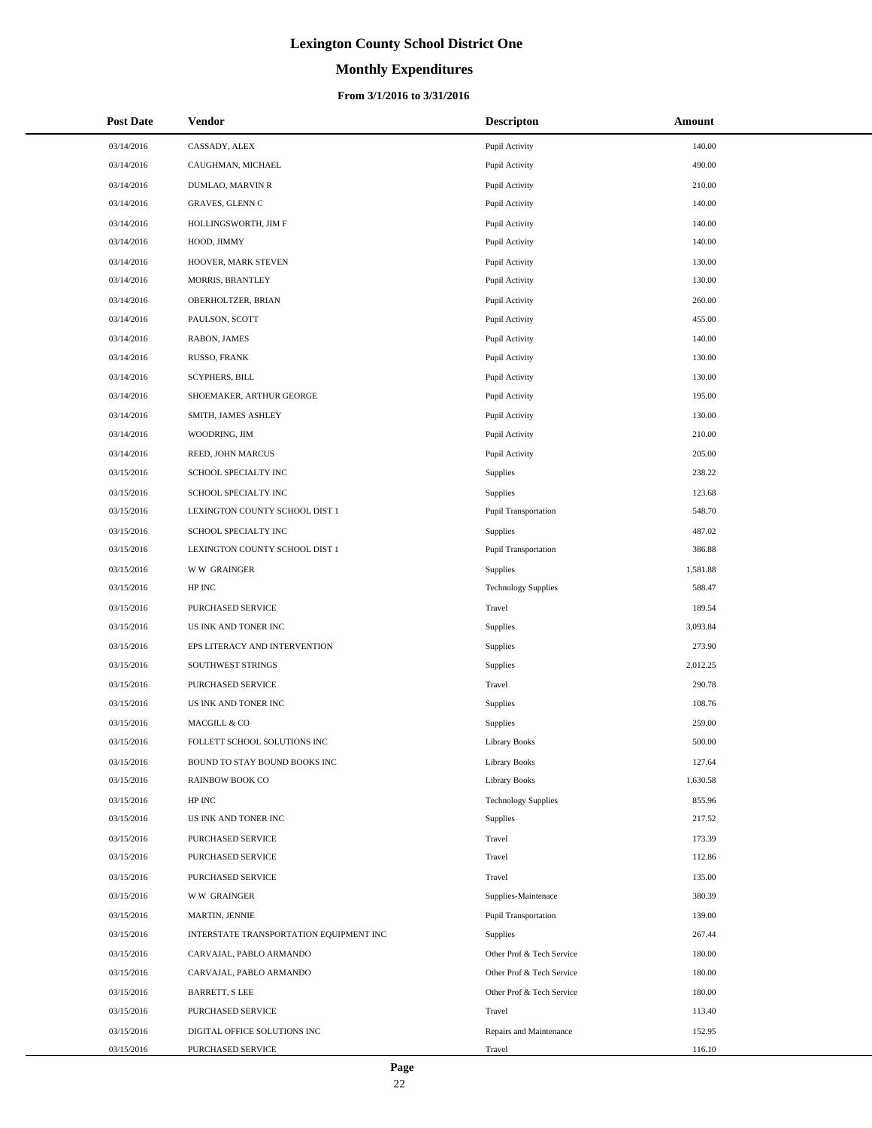# **Monthly Expenditures**

## **From 3/1/2016 to 3/31/2016**

| <b>Post Date</b> | Vendor                                  | <b>Descripton</b>           | Amount   |
|------------------|-----------------------------------------|-----------------------------|----------|
| 03/14/2016       | CASSADY, ALEX                           | Pupil Activity              | 140.00   |
| 03/14/2016       | CAUGHMAN, MICHAEL                       | Pupil Activity              | 490.00   |
| 03/14/2016       | DUMLAO, MARVIN R                        | Pupil Activity              | 210.00   |
| 03/14/2016       | GRAVES, GLENN C                         | Pupil Activity              | 140.00   |
| 03/14/2016       | HOLLINGSWORTH, JIM F                    | Pupil Activity              | 140.00   |
| 03/14/2016       | HOOD, JIMMY                             | Pupil Activity              | 140.00   |
| 03/14/2016       | HOOVER, MARK STEVEN                     | Pupil Activity              | 130.00   |
| 03/14/2016       | MORRIS, BRANTLEY                        | Pupil Activity              | 130.00   |
| 03/14/2016       | OBERHOLTZER, BRIAN                      | Pupil Activity              | 260.00   |
| 03/14/2016       | PAULSON, SCOTT                          | Pupil Activity              | 455.00   |
| 03/14/2016       | RABON, JAMES                            | Pupil Activity              | 140.00   |
| 03/14/2016       | RUSSO, FRANK                            | Pupil Activity              | 130.00   |
| 03/14/2016       | <b>SCYPHERS, BILL</b>                   | Pupil Activity              | 130.00   |
| 03/14/2016       | SHOEMAKER, ARTHUR GEORGE                | Pupil Activity              | 195.00   |
| 03/14/2016       | SMITH, JAMES ASHLEY                     | Pupil Activity              | 130.00   |
| 03/14/2016       | WOODRING, JIM                           | Pupil Activity              | 210.00   |
| 03/14/2016       | REED, JOHN MARCUS                       | Pupil Activity              | 205.00   |
| 03/15/2016       | SCHOOL SPECIALTY INC                    | Supplies                    | 238.22   |
| 03/15/2016       | SCHOOL SPECIALTY INC                    | Supplies                    | 123.68   |
| 03/15/2016       | LEXINGTON COUNTY SCHOOL DIST 1          | Pupil Transportation        | 548.70   |
| 03/15/2016       | SCHOOL SPECIALTY INC                    | Supplies                    | 487.02   |
| 03/15/2016       | LEXINGTON COUNTY SCHOOL DIST 1          | Pupil Transportation        | 386.88   |
| 03/15/2016       | <b>WW GRAINGER</b>                      | Supplies                    | 1,581.88 |
| 03/15/2016       | HP INC                                  | <b>Technology Supplies</b>  | 588.47   |
| 03/15/2016       | PURCHASED SERVICE                       | Travel                      | 189.54   |
| 03/15/2016       | US INK AND TONER INC                    | Supplies                    | 3,093.84 |
| 03/15/2016       | EPS LITERACY AND INTERVENTION           | Supplies                    | 273.90   |
| 03/15/2016       | SOUTHWEST STRINGS                       | Supplies                    | 2,012.25 |
| 03/15/2016       | PURCHASED SERVICE                       | Travel                      | 290.78   |
| 03/15/2016       | US INK AND TONER INC                    | Supplies                    | 108.76   |
| 03/15/2016       | MACGILL & CO                            | Supplies                    | 259.00   |
| 03/15/2016       | FOLLETT SCHOOL SOLUTIONS INC            | <b>Library Books</b>        | 500.00   |
| 03/15/2016       | BOUND TO STAY BOUND BOOKS INC           | <b>Library Books</b>        | 127.64   |
| 03/15/2016       | <b>RAINBOW BOOK CO</b>                  | <b>Library Books</b>        | 1,630.58 |
| 03/15/2016       | HP INC                                  | <b>Technology Supplies</b>  | 855.96   |
| 03/15/2016       | US INK AND TONER INC                    | Supplies                    | 217.52   |
| 03/15/2016       | PURCHASED SERVICE                       | Travel                      | 173.39   |
| 03/15/2016       | PURCHASED SERVICE                       | Travel                      | 112.86   |
| 03/15/2016       | PURCHASED SERVICE                       | Travel                      | 135.00   |
| 03/15/2016       | <b>WW GRAINGER</b>                      | Supplies-Maintenace         | 380.39   |
| 03/15/2016       | MARTIN, JENNIE                          | <b>Pupil Transportation</b> | 139.00   |
| 03/15/2016       | INTERSTATE TRANSPORTATION EQUIPMENT INC | Supplies                    | 267.44   |
| 03/15/2016       | CARVAJAL, PABLO ARMANDO                 | Other Prof & Tech Service   | 180.00   |
| 03/15/2016       | CARVAJAL, PABLO ARMANDO                 | Other Prof & Tech Service   | 180.00   |
| 03/15/2016       | BARRETT, S LEE                          | Other Prof & Tech Service   | 180.00   |
| 03/15/2016       | PURCHASED SERVICE                       | Travel                      | 113.40   |
| 03/15/2016       | DIGITAL OFFICE SOLUTIONS INC            | Repairs and Maintenance     | 152.95   |
| 03/15/2016       | PURCHASED SERVICE                       | Travel                      | 116.10   |

 $\overline{a}$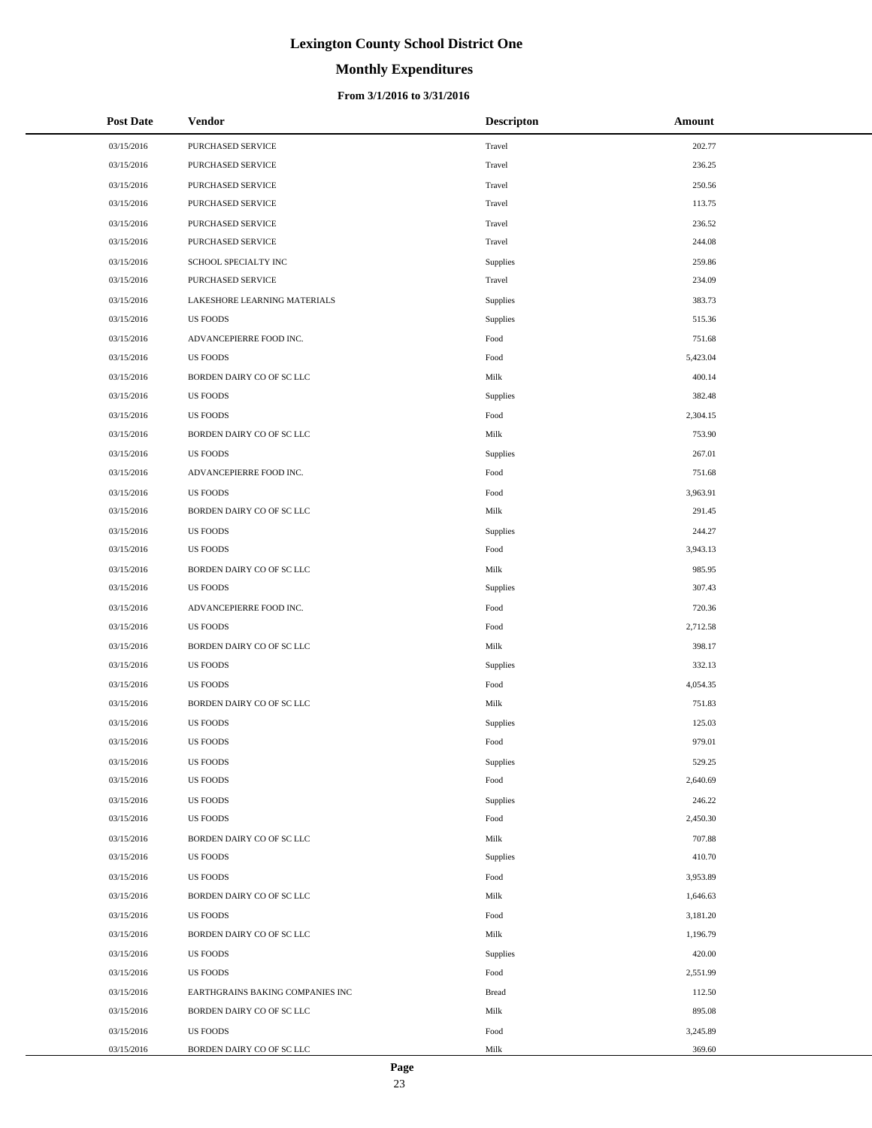# **Monthly Expenditures**

| <b>Post Date</b> | <b>Vendor</b>                    | <b>Descripton</b> | Amount   |
|------------------|----------------------------------|-------------------|----------|
| 03/15/2016       | PURCHASED SERVICE                | Travel            | 202.77   |
| 03/15/2016       | PURCHASED SERVICE                | Travel            | 236.25   |
| 03/15/2016       | <b>PURCHASED SERVICE</b>         | Travel            | 250.56   |
| 03/15/2016       | PURCHASED SERVICE                | Travel            | 113.75   |
| 03/15/2016       | PURCHASED SERVICE                | Travel            | 236.52   |
| 03/15/2016       | PURCHASED SERVICE                | Travel            | 244.08   |
| 03/15/2016       | SCHOOL SPECIALTY INC             | Supplies          | 259.86   |
| 03/15/2016       | PURCHASED SERVICE                | Travel            | 234.09   |
| 03/15/2016       | LAKESHORE LEARNING MATERIALS     | Supplies          | 383.73   |
| 03/15/2016       | <b>US FOODS</b>                  | Supplies          | 515.36   |
| 03/15/2016       | ADVANCEPIERRE FOOD INC.          | Food              | 751.68   |
| 03/15/2016       | <b>US FOODS</b>                  | Food              | 5,423.04 |
| 03/15/2016       | BORDEN DAIRY CO OF SC LLC        | Milk              | 400.14   |
| 03/15/2016       | <b>US FOODS</b>                  | Supplies          | 382.48   |
| 03/15/2016       | <b>US FOODS</b>                  | Food              | 2,304.15 |
| 03/15/2016       | BORDEN DAIRY CO OF SC LLC        | Milk              | 753.90   |
| 03/15/2016       | <b>US FOODS</b>                  | Supplies          | 267.01   |
| 03/15/2016       | ADVANCEPIERRE FOOD INC.          | Food              | 751.68   |
| 03/15/2016       | <b>US FOODS</b>                  | Food              | 3,963.91 |
| 03/15/2016       | BORDEN DAIRY CO OF SC LLC        | Milk              | 291.45   |
| 03/15/2016       | <b>US FOODS</b>                  | Supplies          | 244.27   |
| 03/15/2016       | <b>US FOODS</b>                  | Food              | 3,943.13 |
| 03/15/2016       | BORDEN DAIRY CO OF SC LLC        | Milk              | 985.95   |
| 03/15/2016       | <b>US FOODS</b>                  | Supplies          | 307.43   |
| 03/15/2016       | ADVANCEPIERRE FOOD INC.          | Food              | 720.36   |
| 03/15/2016       | <b>US FOODS</b>                  | Food              | 2,712.58 |
| 03/15/2016       | BORDEN DAIRY CO OF SC LLC        | Milk              | 398.17   |
| 03/15/2016       | <b>US FOODS</b>                  | Supplies          | 332.13   |
| 03/15/2016       | <b>US FOODS</b>                  | Food              | 4,054.35 |
| 03/15/2016       | BORDEN DAIRY CO OF SC LLC        | Milk              | 751.83   |
| 03/15/2016       | <b>US FOODS</b>                  | Supplies          | 125.03   |
| 03/15/2016       | <b>US FOODS</b>                  | Food              | 979.01   |
| 03/15/2016       | <b>US FOODS</b>                  | Supplies          | 529.25   |
| 03/15/2016       | <b>US FOODS</b>                  | Food              | 2,640.69 |
| 03/15/2016       | <b>US FOODS</b>                  | Supplies          | 246.22   |
| 03/15/2016       | <b>US FOODS</b>                  | Food              | 2,450.30 |
| 03/15/2016       | BORDEN DAIRY CO OF SC LLC        | Milk              | 707.88   |
| 03/15/2016       | <b>US FOODS</b>                  | Supplies          | 410.70   |
| 03/15/2016       | <b>US FOODS</b>                  | Food              | 3,953.89 |
| 03/15/2016       | BORDEN DAIRY CO OF SC LLC        | Milk              | 1,646.63 |
| 03/15/2016       | <b>US FOODS</b>                  | Food              | 3,181.20 |
| 03/15/2016       | BORDEN DAIRY CO OF SC LLC        | Milk              | 1,196.79 |
| 03/15/2016       | <b>US FOODS</b>                  | Supplies          | 420.00   |
| 03/15/2016       | <b>US FOODS</b>                  | Food              | 2,551.99 |
| 03/15/2016       | EARTHGRAINS BAKING COMPANIES INC | <b>Bread</b>      | 112.50   |
| 03/15/2016       | BORDEN DAIRY CO OF SC LLC        | Milk              | 895.08   |
| 03/15/2016       | <b>US FOODS</b>                  | Food              | 3,245.89 |
| 03/15/2016       | BORDEN DAIRY CO OF SC LLC        | Milk              | 369.60   |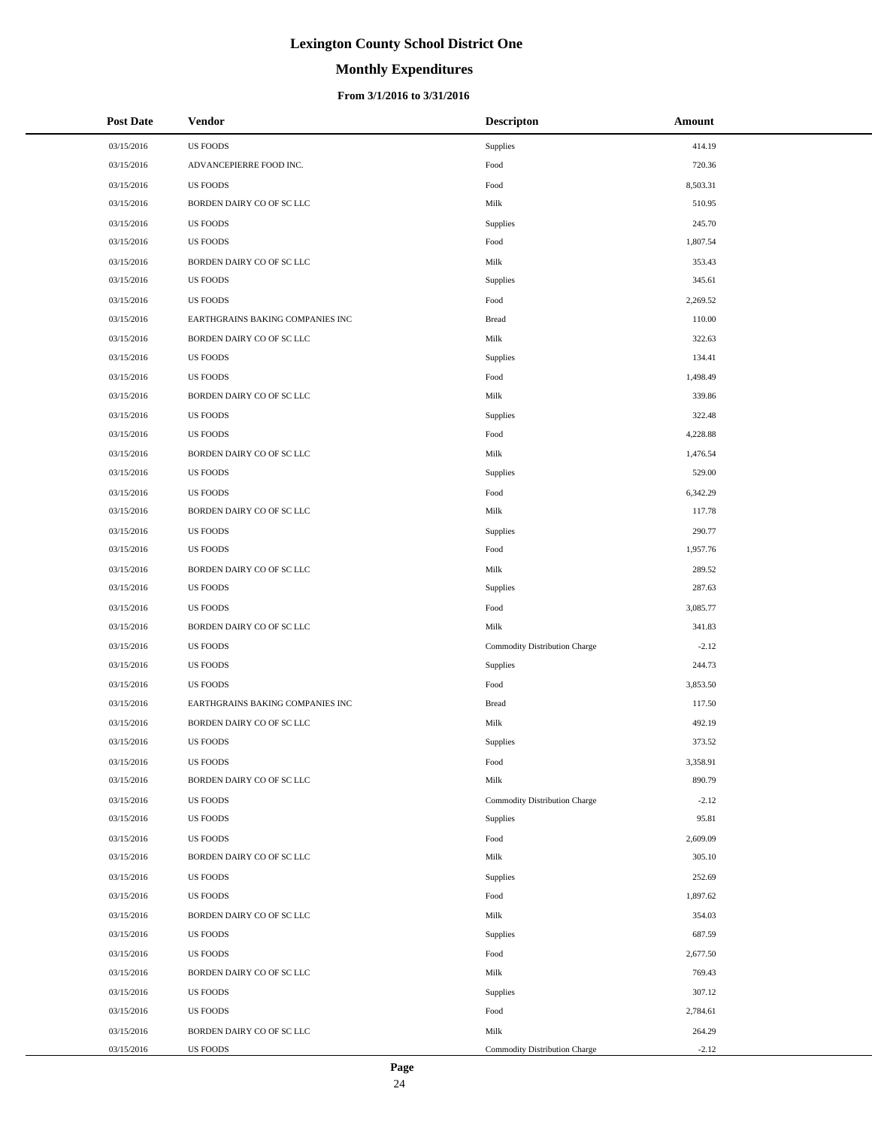# **Monthly Expenditures**

| <b>Post Date</b> | Vendor                           | <b>Descripton</b>             | Amount   |
|------------------|----------------------------------|-------------------------------|----------|
| 03/15/2016       | <b>US FOODS</b>                  | Supplies                      | 414.19   |
| 03/15/2016       | ADVANCEPIERRE FOOD INC.          | Food                          | 720.36   |
| 03/15/2016       | <b>US FOODS</b>                  | Food                          | 8,503.31 |
| 03/15/2016       | BORDEN DAIRY CO OF SC LLC        | Milk                          | 510.95   |
| 03/15/2016       | <b>US FOODS</b>                  | Supplies                      | 245.70   |
| 03/15/2016       | <b>US FOODS</b>                  | Food                          | 1,807.54 |
| 03/15/2016       | BORDEN DAIRY CO OF SC LLC        | Milk                          | 353.43   |
| 03/15/2016       | <b>US FOODS</b>                  | Supplies                      | 345.61   |
| 03/15/2016       | <b>US FOODS</b>                  | Food                          | 2,269.52 |
| 03/15/2016       | EARTHGRAINS BAKING COMPANIES INC | <b>Bread</b>                  | 110.00   |
| 03/15/2016       | BORDEN DAIRY CO OF SC LLC        | Milk                          | 322.63   |
| 03/15/2016       | <b>US FOODS</b>                  | Supplies                      | 134.41   |
| 03/15/2016       | <b>US FOODS</b>                  | Food                          | 1,498.49 |
| 03/15/2016       | BORDEN DAIRY CO OF SC LLC        | Milk                          | 339.86   |
| 03/15/2016       | <b>US FOODS</b>                  | Supplies                      | 322.48   |
| 03/15/2016       | <b>US FOODS</b>                  | Food                          | 4,228.88 |
| 03/15/2016       | BORDEN DAIRY CO OF SC LLC        | Milk                          | 1,476.54 |
| 03/15/2016       | <b>US FOODS</b>                  | Supplies                      | 529.00   |
| 03/15/2016       | <b>US FOODS</b>                  | Food                          | 6,342.29 |
| 03/15/2016       | BORDEN DAIRY CO OF SC LLC        | Milk                          | 117.78   |
| 03/15/2016       | <b>US FOODS</b>                  | Supplies                      | 290.77   |
| 03/15/2016       | <b>US FOODS</b>                  | Food                          | 1,957.76 |
| 03/15/2016       | BORDEN DAIRY CO OF SC LLC        | Milk                          | 289.52   |
| 03/15/2016       | <b>US FOODS</b>                  | Supplies                      | 287.63   |
| 03/15/2016       | <b>US FOODS</b>                  | Food                          | 3,085.77 |
| 03/15/2016       | BORDEN DAIRY CO OF SC LLC        | Milk                          | 341.83   |
| 03/15/2016       | <b>US FOODS</b>                  | Commodity Distribution Charge | $-2.12$  |
| 03/15/2016       | <b>US FOODS</b>                  | Supplies                      | 244.73   |
| 03/15/2016       | <b>US FOODS</b>                  | Food                          | 3,853.50 |
| 03/15/2016       | EARTHGRAINS BAKING COMPANIES INC | <b>Bread</b>                  | 117.50   |
| 03/15/2016       | BORDEN DAIRY CO OF SC LLC        | Milk                          | 492.19   |
| 03/15/2016       | <b>US FOODS</b>                  | Supplies                      | 373.52   |
| 03/15/2016       | <b>US FOODS</b>                  | Food                          | 3,358.91 |
| 03/15/2016       | BORDEN DAIRY CO OF SC LLC        | Milk                          | 890.79   |
| 03/15/2016       | <b>US FOODS</b>                  | Commodity Distribution Charge | $-2.12$  |
| 03/15/2016       | <b>US FOODS</b>                  | Supplies                      | 95.81    |
| 03/15/2016       | <b>US FOODS</b>                  | Food                          | 2,609.09 |
| 03/15/2016       | BORDEN DAIRY CO OF SC LLC        | Milk                          | 305.10   |
| 03/15/2016       | <b>US FOODS</b>                  | Supplies                      | 252.69   |
| 03/15/2016       | <b>US FOODS</b>                  | Food                          | 1,897.62 |
| 03/15/2016       | BORDEN DAIRY CO OF SC LLC        | Milk                          | 354.03   |
| 03/15/2016       | <b>US FOODS</b>                  | Supplies                      | 687.59   |
| 03/15/2016       | <b>US FOODS</b>                  | Food                          | 2,677.50 |
| 03/15/2016       | BORDEN DAIRY CO OF SC LLC        | Milk                          | 769.43   |
| 03/15/2016       | <b>US FOODS</b>                  | Supplies                      | 307.12   |
| 03/15/2016       | <b>US FOODS</b>                  | Food                          | 2,784.61 |
| 03/15/2016       | BORDEN DAIRY CO OF SC LLC        | Milk                          | 264.29   |
| 03/15/2016       | <b>US FOODS</b>                  | Commodity Distribution Charge | $-2.12$  |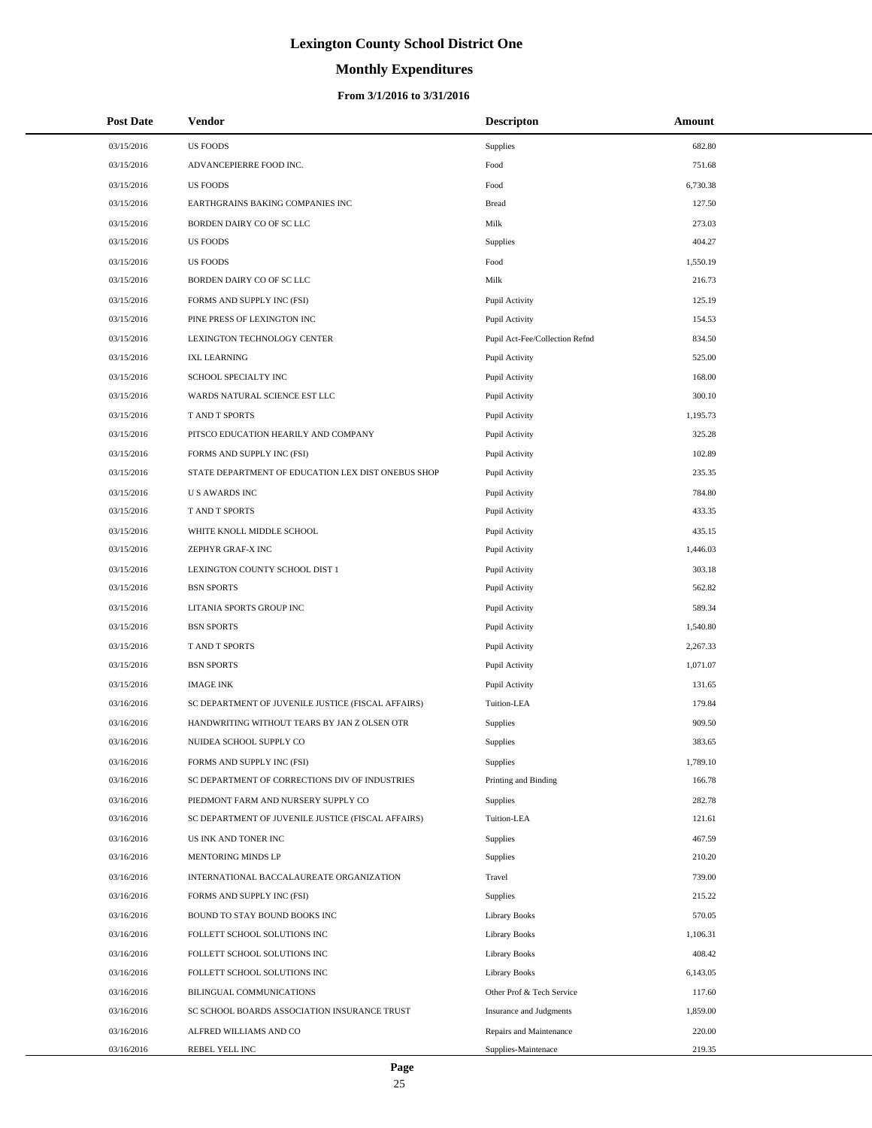# **Monthly Expenditures**

## **From 3/1/2016 to 3/31/2016**

| <b>Post Date</b> | Vendor                                             | <b>Descripton</b>              | Amount   |
|------------------|----------------------------------------------------|--------------------------------|----------|
| 03/15/2016       | <b>US FOODS</b>                                    | Supplies                       | 682.80   |
| 03/15/2016       | ADVANCEPIERRE FOOD INC.                            | Food                           | 751.68   |
| 03/15/2016       | <b>US FOODS</b>                                    | Food                           | 6,730.38 |
| 03/15/2016       | EARTHGRAINS BAKING COMPANIES INC                   | <b>Bread</b>                   | 127.50   |
| 03/15/2016       | BORDEN DAIRY CO OF SC LLC                          | Milk                           | 273.03   |
| 03/15/2016       | <b>US FOODS</b>                                    | Supplies                       | 404.27   |
| 03/15/2016       | <b>US FOODS</b>                                    | Food                           | 1,550.19 |
| 03/15/2016       | BORDEN DAIRY CO OF SC LLC                          | Milk                           | 216.73   |
| 03/15/2016       | FORMS AND SUPPLY INC (FSI)                         | Pupil Activity                 | 125.19   |
| 03/15/2016       | PINE PRESS OF LEXINGTON INC                        | Pupil Activity                 | 154.53   |
| 03/15/2016       | LEXINGTON TECHNOLOGY CENTER                        | Pupil Act-Fee/Collection Refnd | 834.50   |
| 03/15/2016       | <b>IXL LEARNING</b>                                | Pupil Activity                 | 525.00   |
| 03/15/2016       | SCHOOL SPECIALTY INC                               | Pupil Activity                 | 168.00   |
| 03/15/2016       | WARDS NATURAL SCIENCE EST LLC                      | Pupil Activity                 | 300.10   |
| 03/15/2016       | T AND T SPORTS                                     | Pupil Activity                 | 1,195.73 |
| 03/15/2016       | PITSCO EDUCATION HEARILY AND COMPANY               | Pupil Activity                 | 325.28   |
| 03/15/2016       | FORMS AND SUPPLY INC (FSI)                         | Pupil Activity                 | 102.89   |
| 03/15/2016       | STATE DEPARTMENT OF EDUCATION LEX DIST ONEBUS SHOP | Pupil Activity                 | 235.35   |
| 03/15/2016       | <b>US AWARDS INC</b>                               | Pupil Activity                 | 784.80   |
| 03/15/2016       | T AND T SPORTS                                     | Pupil Activity                 | 433.35   |
| 03/15/2016       | WHITE KNOLL MIDDLE SCHOOL                          | Pupil Activity                 | 435.15   |
| 03/15/2016       | ZEPHYR GRAF-X INC                                  | Pupil Activity                 | 1,446.03 |
| 03/15/2016       | LEXINGTON COUNTY SCHOOL DIST 1                     | Pupil Activity                 | 303.18   |
| 03/15/2016       | <b>BSN SPORTS</b>                                  | Pupil Activity                 | 562.82   |
| 03/15/2016       | LITANIA SPORTS GROUP INC                           | Pupil Activity                 | 589.34   |
| 03/15/2016       | <b>BSN SPORTS</b>                                  | Pupil Activity                 | 1,540.80 |
| 03/15/2016       | T AND T SPORTS                                     | Pupil Activity                 | 2,267.33 |
| 03/15/2016       | <b>BSN SPORTS</b>                                  | Pupil Activity                 | 1,071.07 |
| 03/15/2016       | <b>IMAGE INK</b>                                   | Pupil Activity                 | 131.65   |
| 03/16/2016       | SC DEPARTMENT OF JUVENILE JUSTICE (FISCAL AFFAIRS) | Tuition-LEA                    | 179.84   |
| 03/16/2016       | HANDWRITING WITHOUT TEARS BY JAN Z OLSEN OTR       | Supplies                       | 909.50   |
| 03/16/2016       | NUIDEA SCHOOL SUPPLY CO                            | Supplies                       | 383.65   |
| 03/16/2016       | FORMS AND SUPPLY INC (FSI)                         | Supplies                       | 1,789.10 |
| 03/16/2016       | SC DEPARTMENT OF CORRECTIONS DIV OF INDUSTRIES     | Printing and Binding           | 166.78   |
| 03/16/2016       | PIEDMONT FARM AND NURSERY SUPPLY CO                | Supplies                       | 282.78   |
| 03/16/2016       | SC DEPARTMENT OF JUVENILE JUSTICE (FISCAL AFFAIRS) | Tuition-LEA                    | 121.61   |
| 03/16/2016       | US INK AND TONER INC                               | Supplies                       | 467.59   |
| 03/16/2016       | MENTORING MINDS LP                                 | Supplies                       | 210.20   |
| 03/16/2016       | INTERNATIONAL BACCALAUREATE ORGANIZATION           | Travel                         | 739.00   |
| 03/16/2016       | FORMS AND SUPPLY INC (FSI)                         | Supplies                       | 215.22   |
| 03/16/2016       | BOUND TO STAY BOUND BOOKS INC                      | <b>Library Books</b>           | 570.05   |
| 03/16/2016       | FOLLETT SCHOOL SOLUTIONS INC                       | <b>Library Books</b>           | 1,106.31 |
| 03/16/2016       | FOLLETT SCHOOL SOLUTIONS INC                       | <b>Library Books</b>           | 408.42   |
| 03/16/2016       | FOLLETT SCHOOL SOLUTIONS INC                       | <b>Library Books</b>           | 6,143.05 |
| 03/16/2016       | BILINGUAL COMMUNICATIONS                           | Other Prof & Tech Service      | 117.60   |
| 03/16/2016       | SC SCHOOL BOARDS ASSOCIATION INSURANCE TRUST       | Insurance and Judgments        | 1,859.00 |
| 03/16/2016       | ALFRED WILLIAMS AND CO                             | Repairs and Maintenance        | 220.00   |
| 03/16/2016       | REBEL YELL INC                                     | Supplies-Maintenace            | 219.35   |

÷.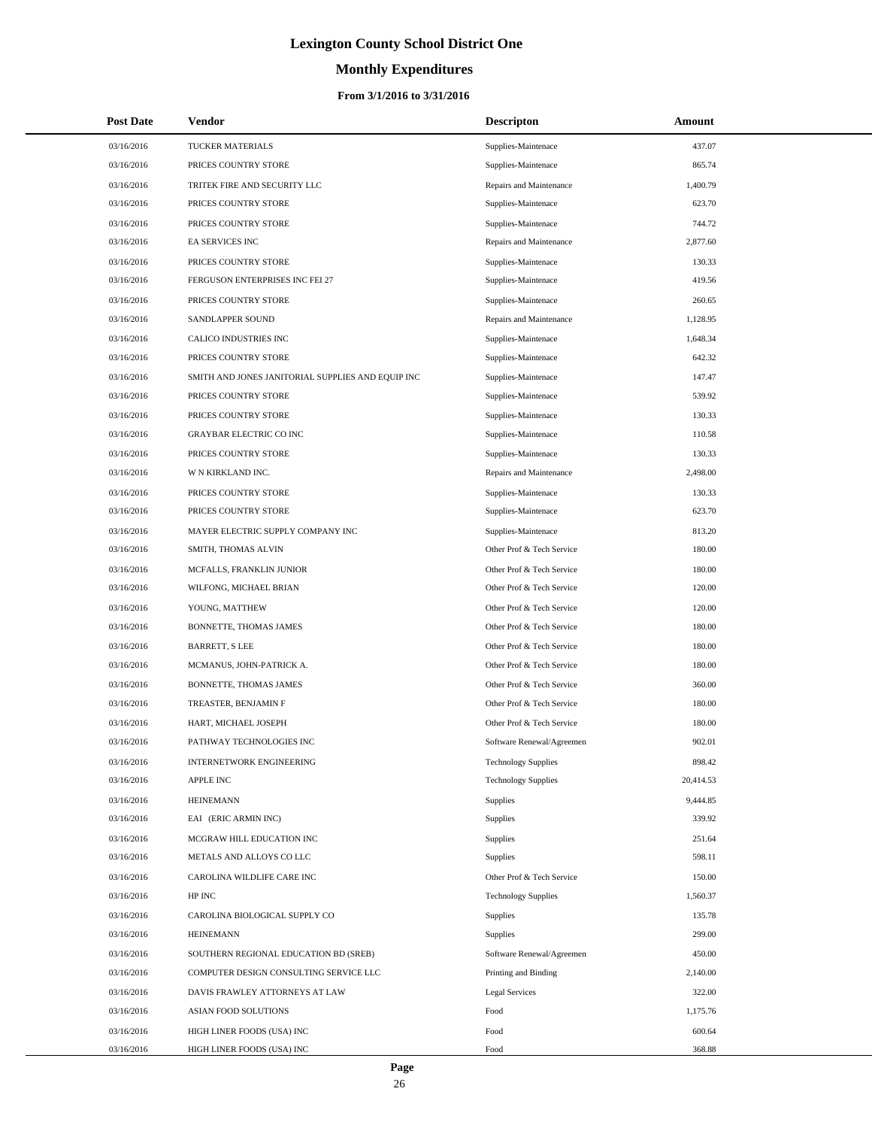# **Monthly Expenditures**

## **From 3/1/2016 to 3/31/2016**

| <b>Post Date</b> | Vendor                                            | <b>Descripton</b>          | Amount    |
|------------------|---------------------------------------------------|----------------------------|-----------|
| 03/16/2016       | TUCKER MATERIALS                                  | Supplies-Maintenace        | 437.07    |
| 03/16/2016       | PRICES COUNTRY STORE                              | Supplies-Maintenace        | 865.74    |
| 03/16/2016       | TRITEK FIRE AND SECURITY LLC                      | Repairs and Maintenance    | 1,400.79  |
| 03/16/2016       | PRICES COUNTRY STORE                              | Supplies-Maintenace        | 623.70    |
| 03/16/2016       | PRICES COUNTRY STORE                              | Supplies-Maintenace        | 744.72    |
| 03/16/2016       | EA SERVICES INC                                   | Repairs and Maintenance    | 2,877.60  |
| 03/16/2016       | PRICES COUNTRY STORE                              | Supplies-Maintenace        | 130.33    |
| 03/16/2016       | FERGUSON ENTERPRISES INC FEI 27                   | Supplies-Maintenace        | 419.56    |
| 03/16/2016       | PRICES COUNTRY STORE                              | Supplies-Maintenace        | 260.65    |
| 03/16/2016       | SANDLAPPER SOUND                                  | Repairs and Maintenance    | 1,128.95  |
| 03/16/2016       | CALICO INDUSTRIES INC                             | Supplies-Maintenace        | 1,648.34  |
| 03/16/2016       | PRICES COUNTRY STORE                              | Supplies-Maintenace        | 642.32    |
| 03/16/2016       | SMITH AND JONES JANITORIAL SUPPLIES AND EQUIP INC | Supplies-Maintenace        | 147.47    |
| 03/16/2016       | PRICES COUNTRY STORE                              | Supplies-Maintenace        | 539.92    |
| 03/16/2016       | PRICES COUNTRY STORE                              | Supplies-Maintenace        | 130.33    |
| 03/16/2016       | GRAYBAR ELECTRIC CO INC                           | Supplies-Maintenace        | 110.58    |
| 03/16/2016       | PRICES COUNTRY STORE                              | Supplies-Maintenace        | 130.33    |
| 03/16/2016       | W N KIRKLAND INC.                                 | Repairs and Maintenance    | 2,498.00  |
| 03/16/2016       | PRICES COUNTRY STORE                              | Supplies-Maintenace        | 130.33    |
| 03/16/2016       | PRICES COUNTRY STORE                              | Supplies-Maintenace        | 623.70    |
| 03/16/2016       | MAYER ELECTRIC SUPPLY COMPANY INC                 | Supplies-Maintenace        | 813.20    |
| 03/16/2016       | SMITH, THOMAS ALVIN                               | Other Prof & Tech Service  | 180.00    |
| 03/16/2016       | MCFALLS, FRANKLIN JUNIOR                          | Other Prof & Tech Service  | 180.00    |
| 03/16/2016       | WILFONG, MICHAEL BRIAN                            | Other Prof & Tech Service  | 120.00    |
| 03/16/2016       | YOUNG, MATTHEW                                    | Other Prof & Tech Service  | 120.00    |
| 03/16/2016       | BONNETTE, THOMAS JAMES                            | Other Prof & Tech Service  | 180.00    |
| 03/16/2016       | <b>BARRETT, S LEE</b>                             | Other Prof & Tech Service  | 180.00    |
| 03/16/2016       | MCMANUS, JOHN-PATRICK A.                          | Other Prof & Tech Service  | 180.00    |
| 03/16/2016       | BONNETTE, THOMAS JAMES                            | Other Prof & Tech Service  | 360.00    |
| 03/16/2016       | TREASTER, BENJAMIN F                              | Other Prof & Tech Service  | 180.00    |
| 03/16/2016       | HART, MICHAEL JOSEPH                              | Other Prof & Tech Service  | 180.00    |
| 03/16/2016       | PATHWAY TECHNOLOGIES INC                          | Software Renewal/Agreemen  | 902.01    |
| 03/16/2016       | INTERNETWORK ENGINEERING                          | <b>Technology Supplies</b> | 898.42    |
| 03/16/2016       | APPLE INC                                         | <b>Technology Supplies</b> | 20,414.53 |
| 03/16/2016       | <b>HEINEMANN</b>                                  | Supplies                   | 9,444.85  |
| 03/16/2016       | EAI (ERIC ARMIN INC)                              | Supplies                   | 339.92    |
| 03/16/2016       | MCGRAW HILL EDUCATION INC                         | Supplies                   | 251.64    |
| 03/16/2016       | METALS AND ALLOYS CO LLC                          | Supplies                   | 598.11    |
| 03/16/2016       | CAROLINA WILDLIFE CARE INC                        | Other Prof & Tech Service  | 150.00    |
| 03/16/2016       | HP INC                                            | <b>Technology Supplies</b> | 1,560.37  |
| 03/16/2016       | CAROLINA BIOLOGICAL SUPPLY CO                     | Supplies                   | 135.78    |
| 03/16/2016       | <b>HEINEMANN</b>                                  | <b>Supplies</b>            | 299.00    |
| 03/16/2016       | SOUTHERN REGIONAL EDUCATION BD (SREB)             | Software Renewal/Agreemen  | 450.00    |
| 03/16/2016       | COMPUTER DESIGN CONSULTING SERVICE LLC            | Printing and Binding       | 2,140.00  |
| 03/16/2016       | DAVIS FRAWLEY ATTORNEYS AT LAW                    | <b>Legal Services</b>      | 322.00    |
| 03/16/2016       | ASIAN FOOD SOLUTIONS                              | Food                       | 1,175.76  |
| 03/16/2016       | HIGH LINER FOODS (USA) INC                        | Food                       | 600.64    |
| 03/16/2016       | HIGH LINER FOODS (USA) INC                        | Food                       | 368.88    |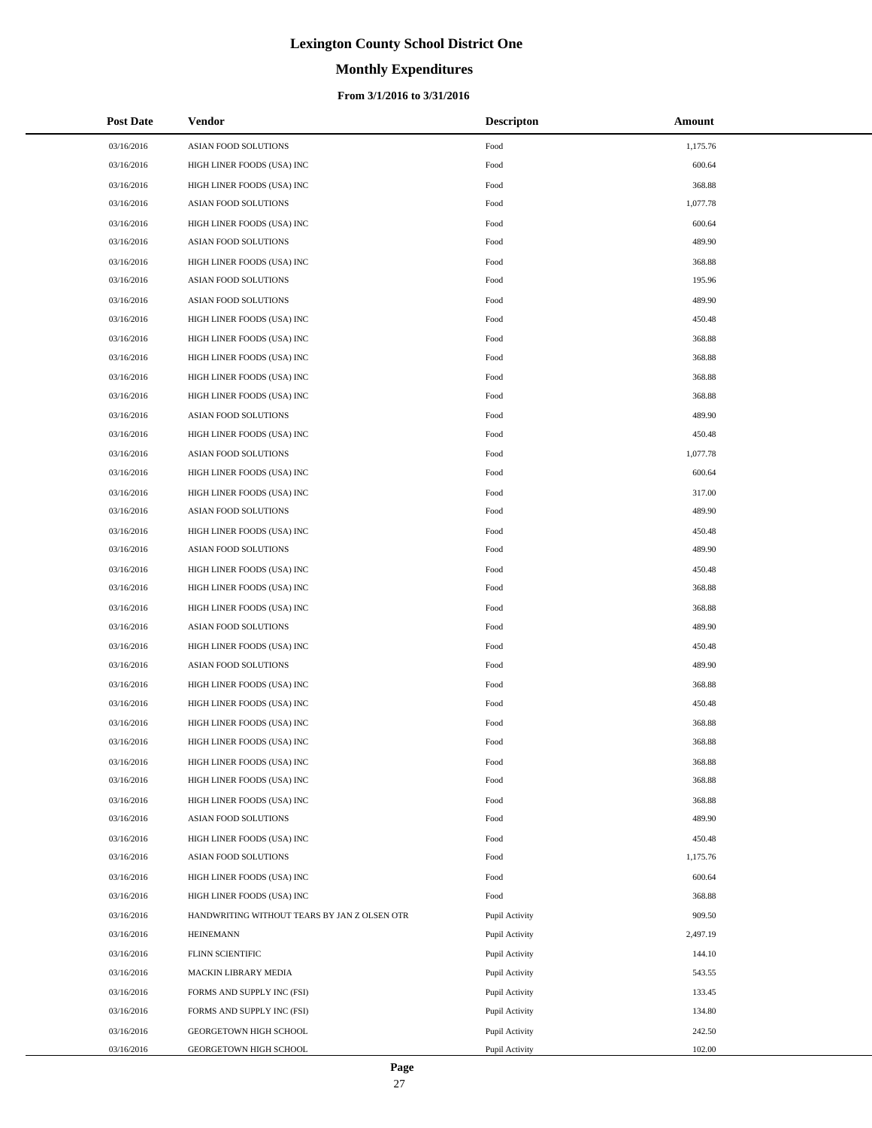# **Monthly Expenditures**

## **From 3/1/2016 to 3/31/2016**

| <b>Post Date</b> | Vendor                                       | <b>Descripton</b> | Amount   |
|------------------|----------------------------------------------|-------------------|----------|
| 03/16/2016       | ASIAN FOOD SOLUTIONS                         | Food              | 1,175.76 |
| 03/16/2016       | HIGH LINER FOODS (USA) INC                   | Food              | 600.64   |
| 03/16/2016       | HIGH LINER FOODS (USA) INC                   | Food              | 368.88   |
| 03/16/2016       | ASIAN FOOD SOLUTIONS                         | Food              | 1,077.78 |
| 03/16/2016       | HIGH LINER FOODS (USA) INC                   | Food              | 600.64   |
| 03/16/2016       | ASIAN FOOD SOLUTIONS                         | Food              | 489.90   |
| 03/16/2016       | HIGH LINER FOODS (USA) INC                   | Food              | 368.88   |
| 03/16/2016       | <b>ASIAN FOOD SOLUTIONS</b>                  | Food              | 195.96   |
| 03/16/2016       | ASIAN FOOD SOLUTIONS                         | Food              | 489.90   |
| 03/16/2016       | HIGH LINER FOODS (USA) INC                   | Food              | 450.48   |
| 03/16/2016       | HIGH LINER FOODS (USA) INC                   | Food              | 368.88   |
| 03/16/2016       | HIGH LINER FOODS (USA) INC                   | Food              | 368.88   |
| 03/16/2016       | HIGH LINER FOODS (USA) INC                   | Food              | 368.88   |
| 03/16/2016       | HIGH LINER FOODS (USA) INC                   | Food              | 368.88   |
| 03/16/2016       | <b>ASIAN FOOD SOLUTIONS</b>                  | Food              | 489.90   |
| 03/16/2016       | HIGH LINER FOODS (USA) INC                   | Food              | 450.48   |
| 03/16/2016       | <b>ASIAN FOOD SOLUTIONS</b>                  | Food              | 1,077.78 |
| 03/16/2016       | HIGH LINER FOODS (USA) INC                   | Food              | 600.64   |
| 03/16/2016       | HIGH LINER FOODS (USA) INC                   | Food              | 317.00   |
| 03/16/2016       | ASIAN FOOD SOLUTIONS                         | Food              | 489.90   |
| 03/16/2016       | HIGH LINER FOODS (USA) INC                   | Food              | 450.48   |
| 03/16/2016       | ASIAN FOOD SOLUTIONS                         | Food              | 489.90   |
| 03/16/2016       | HIGH LINER FOODS (USA) INC                   | Food              | 450.48   |
| 03/16/2016       | HIGH LINER FOODS (USA) INC                   | Food              | 368.88   |
| 03/16/2016       | HIGH LINER FOODS (USA) INC                   | Food              | 368.88   |
| 03/16/2016       | ASIAN FOOD SOLUTIONS                         | Food              | 489.90   |
| 03/16/2016       | HIGH LINER FOODS (USA) INC                   | Food              | 450.48   |
| 03/16/2016       | <b>ASIAN FOOD SOLUTIONS</b>                  | Food              | 489.90   |
| 03/16/2016       | HIGH LINER FOODS (USA) INC                   | Food              | 368.88   |
| 03/16/2016       | HIGH LINER FOODS (USA) INC                   | Food              | 450.48   |
| 03/16/2016       | HIGH LINER FOODS (USA) INC                   | Food              | 368.88   |
| 03/16/2016       | HIGH LINER FOODS (USA) INC                   | Food              | 368.88   |
| 03/16/2016       | HIGH LINER FOODS (USA) INC                   | Food              | 368.88   |
| 03/16/2016       | HIGH LINER FOODS (USA) INC                   | Food              | 368.88   |
| 03/16/2016       | HIGH LINER FOODS (USA) INC                   | Food              | 368.88   |
| 03/16/2016       | ASIAN FOOD SOLUTIONS                         | Food              | 489.90   |
| 03/16/2016       | HIGH LINER FOODS (USA) INC                   | Food              | 450.48   |
| 03/16/2016       | ASIAN FOOD SOLUTIONS                         | Food              | 1,175.76 |
| 03/16/2016       | HIGH LINER FOODS (USA) INC                   | Food              | 600.64   |
| 03/16/2016       | HIGH LINER FOODS (USA) INC                   | Food              | 368.88   |
| 03/16/2016       | HANDWRITING WITHOUT TEARS BY JAN Z OLSEN OTR | Pupil Activity    | 909.50   |
| 03/16/2016       | <b>HEINEMANN</b>                             | Pupil Activity    | 2,497.19 |
| 03/16/2016       | FLINN SCIENTIFIC                             | Pupil Activity    | 144.10   |
| 03/16/2016       | MACKIN LIBRARY MEDIA                         | Pupil Activity    | 543.55   |
| 03/16/2016       | FORMS AND SUPPLY INC (FSI)                   | Pupil Activity    | 133.45   |
| 03/16/2016       | FORMS AND SUPPLY INC (FSI)                   | Pupil Activity    | 134.80   |
| 03/16/2016       | GEORGETOWN HIGH SCHOOL                       | Pupil Activity    | 242.50   |
| 03/16/2016       | GEORGETOWN HIGH SCHOOL                       | Pupil Activity    | 102.00   |

÷.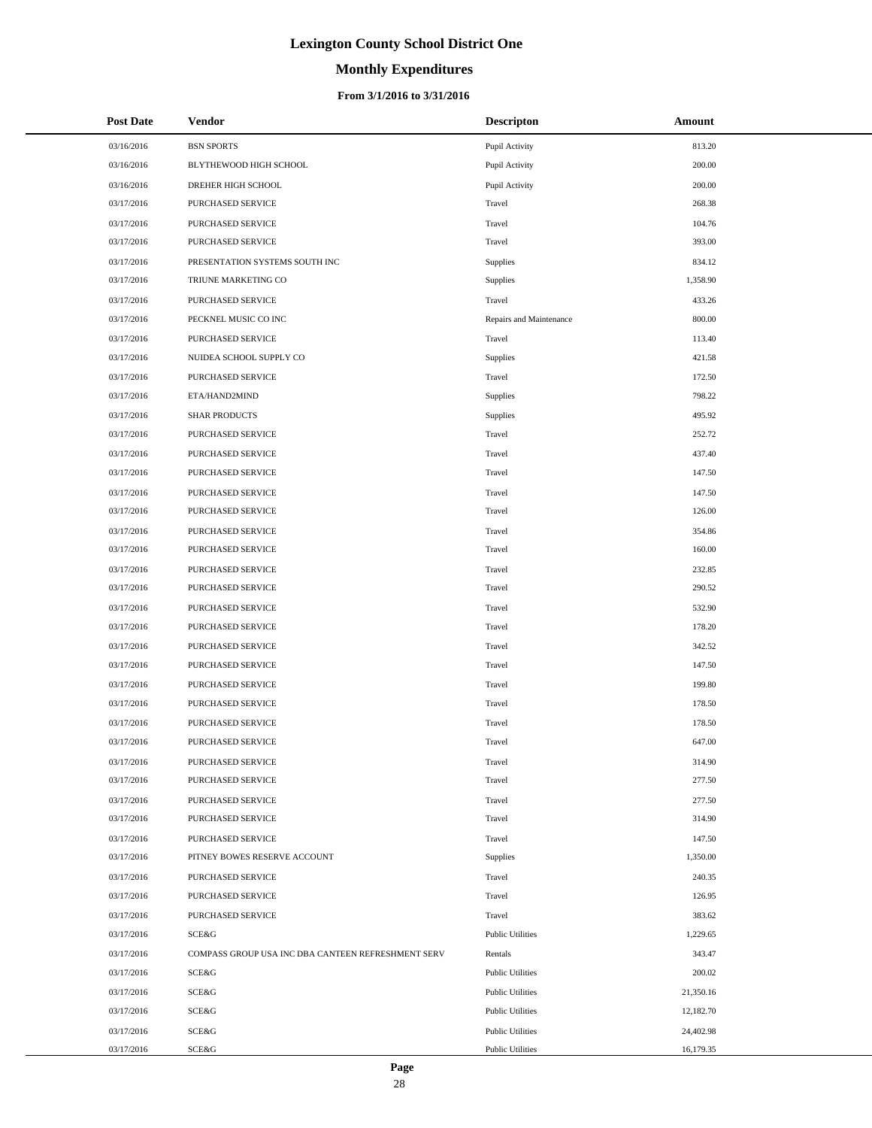# **Monthly Expenditures**

## **From 3/1/2016 to 3/31/2016**

| <b>Post Date</b> | Vendor                                             | <b>Descripton</b>       | Amount    |
|------------------|----------------------------------------------------|-------------------------|-----------|
| 03/16/2016       | <b>BSN SPORTS</b>                                  | Pupil Activity          | 813.20    |
| 03/16/2016       | BLYTHEWOOD HIGH SCHOOL                             | Pupil Activity          | 200.00    |
| 03/16/2016       | DREHER HIGH SCHOOL                                 | Pupil Activity          | 200.00    |
| 03/17/2016       | PURCHASED SERVICE                                  | Travel                  | 268.38    |
| 03/17/2016       | PURCHASED SERVICE                                  | Travel                  | 104.76    |
| 03/17/2016       | PURCHASED SERVICE                                  | Travel                  | 393.00    |
| 03/17/2016       | PRESENTATION SYSTEMS SOUTH INC                     | Supplies                | 834.12    |
| 03/17/2016       | TRIUNE MARKETING CO                                | Supplies                | 1,358.90  |
| 03/17/2016       | PURCHASED SERVICE                                  | Travel                  | 433.26    |
| 03/17/2016       | PECKNEL MUSIC CO INC                               | Repairs and Maintenance | 800.00    |
| 03/17/2016       | PURCHASED SERVICE                                  | Travel                  | 113.40    |
| 03/17/2016       | NUIDEA SCHOOL SUPPLY CO                            | Supplies                | 421.58    |
| 03/17/2016       | PURCHASED SERVICE                                  | Travel                  | 172.50    |
| 03/17/2016       | ETA/HAND2MIND                                      | Supplies                | 798.22    |
| 03/17/2016       | <b>SHAR PRODUCTS</b>                               | Supplies                | 495.92    |
| 03/17/2016       | PURCHASED SERVICE                                  | Travel                  | 252.72    |
| 03/17/2016       | PURCHASED SERVICE                                  | Travel                  | 437.40    |
| 03/17/2016       | PURCHASED SERVICE                                  | Travel                  | 147.50    |
| 03/17/2016       | PURCHASED SERVICE                                  | Travel                  | 147.50    |
| 03/17/2016       | PURCHASED SERVICE                                  | Travel                  | 126.00    |
| 03/17/2016       | PURCHASED SERVICE                                  | Travel                  | 354.86    |
| 03/17/2016       | PURCHASED SERVICE                                  | Travel                  | 160.00    |
| 03/17/2016       | PURCHASED SERVICE                                  | Travel                  | 232.85    |
| 03/17/2016       | PURCHASED SERVICE                                  | Travel                  | 290.52    |
| 03/17/2016       | PURCHASED SERVICE                                  | Travel                  | 532.90    |
| 03/17/2016       | PURCHASED SERVICE                                  | Travel                  | 178.20    |
| 03/17/2016       | PURCHASED SERVICE                                  | Travel                  | 342.52    |
| 03/17/2016       | PURCHASED SERVICE                                  | Travel                  | 147.50    |
| 03/17/2016       | PURCHASED SERVICE                                  | Travel                  | 199.80    |
| 03/17/2016       | PURCHASED SERVICE                                  | Travel                  | 178.50    |
| 03/17/2016       | PURCHASED SERVICE                                  | Travel                  | 178.50    |
| 03/17/2016       | <b>PURCHASED SERVICE</b>                           | Travel                  | 647.00    |
| 03/17/2016       | PURCHASED SERVICE                                  | Travel                  | 314.90    |
| 03/17/2016       | PURCHASED SERVICE                                  | Travel                  | 277.50    |
| 03/17/2016       | PURCHASED SERVICE                                  | Travel                  | 277.50    |
| 03/17/2016       | PURCHASED SERVICE                                  | Travel                  | 314.90    |
| 03/17/2016       | PURCHASED SERVICE                                  | Travel                  | 147.50    |
| 03/17/2016       | PITNEY BOWES RESERVE ACCOUNT                       | Supplies                | 1,350.00  |
| 03/17/2016       | PURCHASED SERVICE                                  | Travel                  | 240.35    |
| 03/17/2016       | PURCHASED SERVICE                                  | Travel                  | 126.95    |
| 03/17/2016       | PURCHASED SERVICE                                  | Travel                  | 383.62    |
| 03/17/2016       | SCE&G                                              | <b>Public Utilities</b> | 1,229.65  |
| 03/17/2016       | COMPASS GROUP USA INC DBA CANTEEN REFRESHMENT SERV | Rentals                 | 343.47    |
| 03/17/2016       | SCE&G                                              | <b>Public Utilities</b> | 200.02    |
| 03/17/2016       | SCE&G                                              | <b>Public Utilities</b> | 21,350.16 |
| 03/17/2016       | SCE&G                                              | <b>Public Utilities</b> | 12,182.70 |
| 03/17/2016       | SCE&G                                              | <b>Public Utilities</b> | 24,402.98 |
| 03/17/2016       | SCE&G                                              | <b>Public Utilities</b> | 16,179.35 |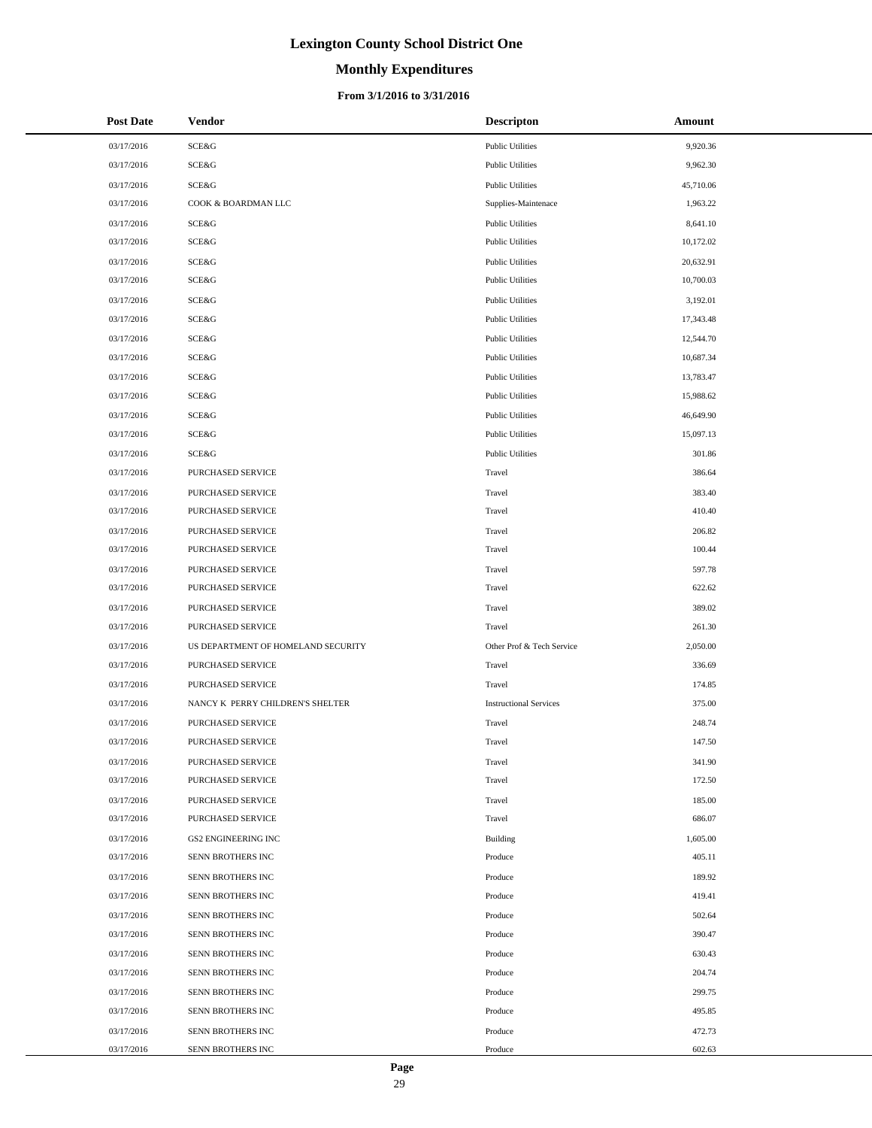# **Monthly Expenditures**

## **From 3/1/2016 to 3/31/2016**

| <b>Post Date</b> | <b>Vendor</b>                      | <b>Descripton</b>             | Amount    |
|------------------|------------------------------------|-------------------------------|-----------|
| 03/17/2016       | <b>SCE&amp;G</b>                   | <b>Public Utilities</b>       | 9,920.36  |
| 03/17/2016       | SCE&G                              | <b>Public Utilities</b>       | 9,962.30  |
| 03/17/2016       | <b>SCE&amp;G</b>                   | <b>Public Utilities</b>       | 45,710.06 |
| 03/17/2016       | COOK & BOARDMAN LLC                | Supplies-Maintenace           | 1,963.22  |
| 03/17/2016       | <b>SCE&amp;G</b>                   | <b>Public Utilities</b>       | 8,641.10  |
| 03/17/2016       | SCE&G                              | <b>Public Utilities</b>       | 10,172.02 |
| 03/17/2016       | <b>SCE&amp;G</b>                   | <b>Public Utilities</b>       | 20,632.91 |
| 03/17/2016       | <b>SCE&amp;G</b>                   | <b>Public Utilities</b>       | 10,700.03 |
| 03/17/2016       | <b>SCE&amp;G</b>                   | <b>Public Utilities</b>       | 3,192.01  |
| 03/17/2016       | SCE&G                              | <b>Public Utilities</b>       | 17,343.48 |
| 03/17/2016       | <b>SCE&amp;G</b>                   | <b>Public Utilities</b>       | 12,544.70 |
| 03/17/2016       | SCE&G                              | <b>Public Utilities</b>       | 10,687.34 |
| 03/17/2016       | <b>SCE&amp;G</b>                   | <b>Public Utilities</b>       | 13,783.47 |
| 03/17/2016       | SCE&G                              | <b>Public Utilities</b>       | 15,988.62 |
| 03/17/2016       | <b>SCE&amp;G</b>                   | <b>Public Utilities</b>       | 46,649.90 |
| 03/17/2016       | SCE&G                              | <b>Public Utilities</b>       | 15,097.13 |
| 03/17/2016       | <b>SCE&amp;G</b>                   | <b>Public Utilities</b>       | 301.86    |
| 03/17/2016       | PURCHASED SERVICE                  | Travel                        | 386.64    |
| 03/17/2016       | PURCHASED SERVICE                  | Travel                        | 383.40    |
| 03/17/2016       | PURCHASED SERVICE                  | Travel                        | 410.40    |
| 03/17/2016       | PURCHASED SERVICE                  | Travel                        | 206.82    |
| 03/17/2016       | PURCHASED SERVICE                  | Travel                        | 100.44    |
| 03/17/2016       | PURCHASED SERVICE                  | Travel                        | 597.78    |
| 03/17/2016       | PURCHASED SERVICE                  | Travel                        | 622.62    |
| 03/17/2016       | PURCHASED SERVICE                  | Travel                        | 389.02    |
| 03/17/2016       | PURCHASED SERVICE                  | Travel                        | 261.30    |
| 03/17/2016       | US DEPARTMENT OF HOMELAND SECURITY | Other Prof & Tech Service     | 2,050.00  |
| 03/17/2016       | PURCHASED SERVICE                  | Travel                        | 336.69    |
| 03/17/2016       | PURCHASED SERVICE                  | Travel                        | 174.85    |
| 03/17/2016       | NANCY K PERRY CHILDREN'S SHELTER   | <b>Instructional Services</b> | 375.00    |
| 03/17/2016       | PURCHASED SERVICE                  | Travel                        | 248.74    |
| 03/17/2016       | PURCHASED SERVICE                  | Travel                        | 147.50    |
| 03/17/2016       | PURCHASED SERVICE                  | Travel                        | 341.90    |
| 03/17/2016       | PURCHASED SERVICE                  | Travel                        | 172.50    |
| 03/17/2016       | PURCHASED SERVICE                  | Travel                        | 185.00    |
| 03/17/2016       | PURCHASED SERVICE                  | Travel                        | 686.07    |
| 03/17/2016       | <b>GS2 ENGINEERING INC</b>         | Building                      | 1,605.00  |
| 03/17/2016       | SENN BROTHERS INC                  | Produce                       | 405.11    |
| 03/17/2016       | SENN BROTHERS INC                  | Produce                       | 189.92    |
| 03/17/2016       | SENN BROTHERS INC                  | Produce                       | 419.41    |
| 03/17/2016       | SENN BROTHERS INC                  | Produce                       | 502.64    |
| 03/17/2016       | SENN BROTHERS INC                  | Produce                       | 390.47    |
| 03/17/2016       | SENN BROTHERS INC                  | Produce                       | 630.43    |
| 03/17/2016       | SENN BROTHERS INC                  | Produce                       | 204.74    |
| 03/17/2016       | SENN BROTHERS INC                  | Produce                       | 299.75    |
| 03/17/2016       | SENN BROTHERS INC                  | Produce                       | 495.85    |
| 03/17/2016       | SENN BROTHERS INC                  | Produce                       | 472.73    |
| 03/17/2016       | SENN BROTHERS INC                  | Produce                       | 602.63    |

 $\overline{a}$  $\overline{\phantom{a}}$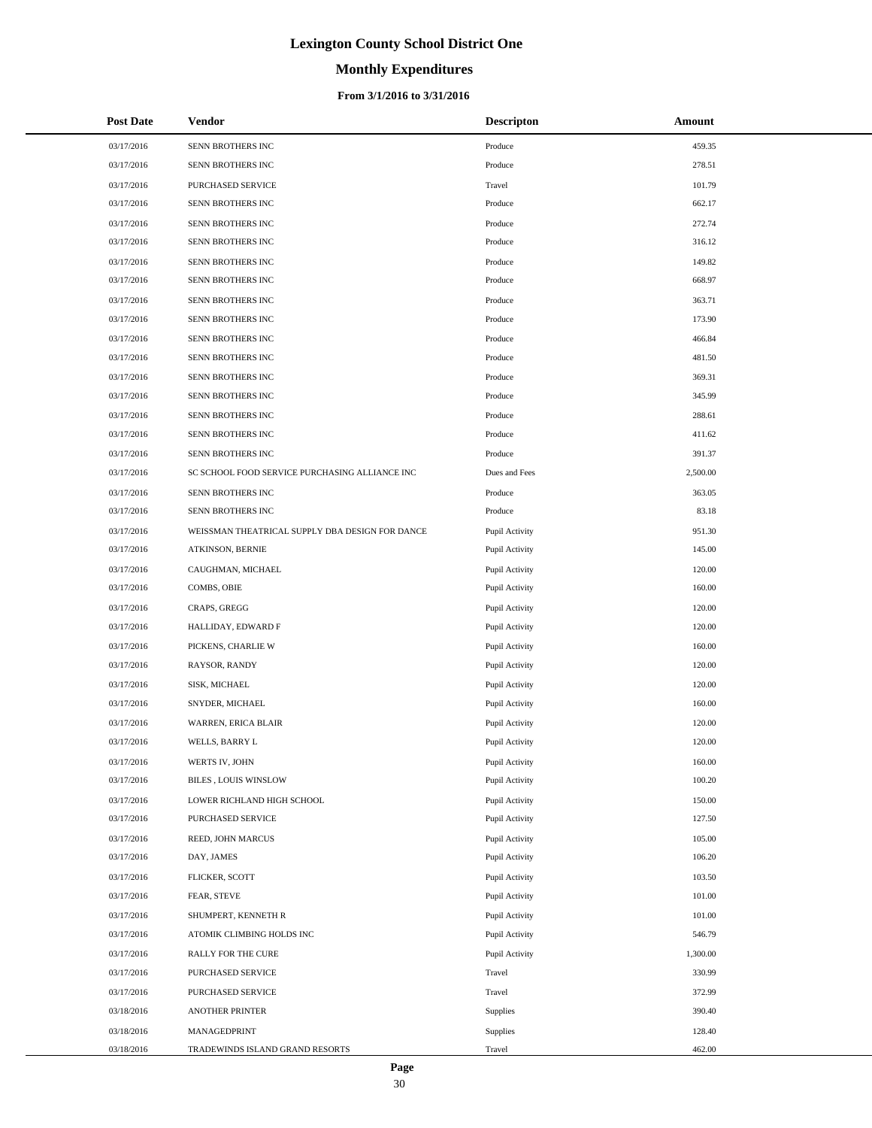# **Monthly Expenditures**

## **From 3/1/2016 to 3/31/2016**

| <b>Post Date</b> | Vendor                                          | <b>Descripton</b> | Amount   |
|------------------|-------------------------------------------------|-------------------|----------|
| 03/17/2016       | SENN BROTHERS INC                               | Produce           | 459.35   |
| 03/17/2016       | SENN BROTHERS INC                               | Produce           | 278.51   |
| 03/17/2016       | PURCHASED SERVICE                               | Travel            | 101.79   |
| 03/17/2016       | SENN BROTHERS INC                               | Produce           | 662.17   |
| 03/17/2016       | SENN BROTHERS INC                               | Produce           | 272.74   |
| 03/17/2016       | SENN BROTHERS INC                               | Produce           | 316.12   |
| 03/17/2016       | SENN BROTHERS INC                               | Produce           | 149.82   |
| 03/17/2016       | SENN BROTHERS INC                               | Produce           | 668.97   |
| 03/17/2016       | SENN BROTHERS INC                               | Produce           | 363.71   |
| 03/17/2016       | SENN BROTHERS INC                               | Produce           | 173.90   |
| 03/17/2016       | SENN BROTHERS INC                               | Produce           | 466.84   |
| 03/17/2016       | SENN BROTHERS INC                               | Produce           | 481.50   |
| 03/17/2016       | SENN BROTHERS INC                               | Produce           | 369.31   |
| 03/17/2016       | SENN BROTHERS INC                               | Produce           | 345.99   |
| 03/17/2016       | SENN BROTHERS INC                               | Produce           | 288.61   |
| 03/17/2016       | SENN BROTHERS INC                               | Produce           | 411.62   |
| 03/17/2016       | SENN BROTHERS INC                               | Produce           | 391.37   |
| 03/17/2016       | SC SCHOOL FOOD SERVICE PURCHASING ALLIANCE INC  | Dues and Fees     | 2,500.00 |
| 03/17/2016       | SENN BROTHERS INC                               | Produce           | 363.05   |
| 03/17/2016       | SENN BROTHERS INC                               | Produce           | 83.18    |
| 03/17/2016       | WEISSMAN THEATRICAL SUPPLY DBA DESIGN FOR DANCE | Pupil Activity    | 951.30   |
| 03/17/2016       | ATKINSON, BERNIE                                | Pupil Activity    | 145.00   |
| 03/17/2016       | CAUGHMAN, MICHAEL                               | Pupil Activity    | 120.00   |
| 03/17/2016       | COMBS, OBIE                                     | Pupil Activity    | 160.00   |
| 03/17/2016       | CRAPS, GREGG                                    | Pupil Activity    | 120.00   |
| 03/17/2016       | HALLIDAY, EDWARD F                              | Pupil Activity    | 120.00   |
| 03/17/2016       | PICKENS, CHARLIE W                              | Pupil Activity    | 160.00   |
| 03/17/2016       | RAYSOR, RANDY                                   | Pupil Activity    | 120.00   |
| 03/17/2016       | SISK, MICHAEL                                   | Pupil Activity    | 120.00   |
| 03/17/2016       | SNYDER, MICHAEL                                 | Pupil Activity    | 160.00   |
| 03/17/2016       | WARREN, ERICA BLAIR                             | Pupil Activity    | 120.00   |
| 03/17/2016       | WELLS, BARRY L                                  | Pupil Activity    | 120.00   |
| 03/17/2016       | WERTS IV, JOHN                                  | Pupil Activity    | 160.00   |
| 03/17/2016       | BILES , LOUIS WINSLOW                           | Pupil Activity    | 100.20   |
| 03/17/2016       | LOWER RICHLAND HIGH SCHOOL                      | Pupil Activity    | 150.00   |
| 03/17/2016       | PURCHASED SERVICE                               | Pupil Activity    | 127.50   |
| 03/17/2016       | REED, JOHN MARCUS                               | Pupil Activity    | 105.00   |
| 03/17/2016       | DAY, JAMES                                      | Pupil Activity    | 106.20   |
| 03/17/2016       | FLICKER, SCOTT                                  | Pupil Activity    | 103.50   |
| 03/17/2016       | FEAR, STEVE                                     | Pupil Activity    | 101.00   |
| 03/17/2016       | SHUMPERT, KENNETH R                             | Pupil Activity    | 101.00   |
| 03/17/2016       | ATOMIK CLIMBING HOLDS INC                       | Pupil Activity    | 546.79   |
| 03/17/2016       | RALLY FOR THE CURE                              | Pupil Activity    | 1,300.00 |
| 03/17/2016       | PURCHASED SERVICE                               | Travel            | 330.99   |
| 03/17/2016       | PURCHASED SERVICE                               | Travel            | 372.99   |
| 03/18/2016       | ANOTHER PRINTER                                 | Supplies          | 390.40   |
| 03/18/2016       | MANAGEDPRINT                                    | Supplies          | 128.40   |
| 03/18/2016       | TRADEWINDS ISLAND GRAND RESORTS                 | Travel            | 462.00   |

÷.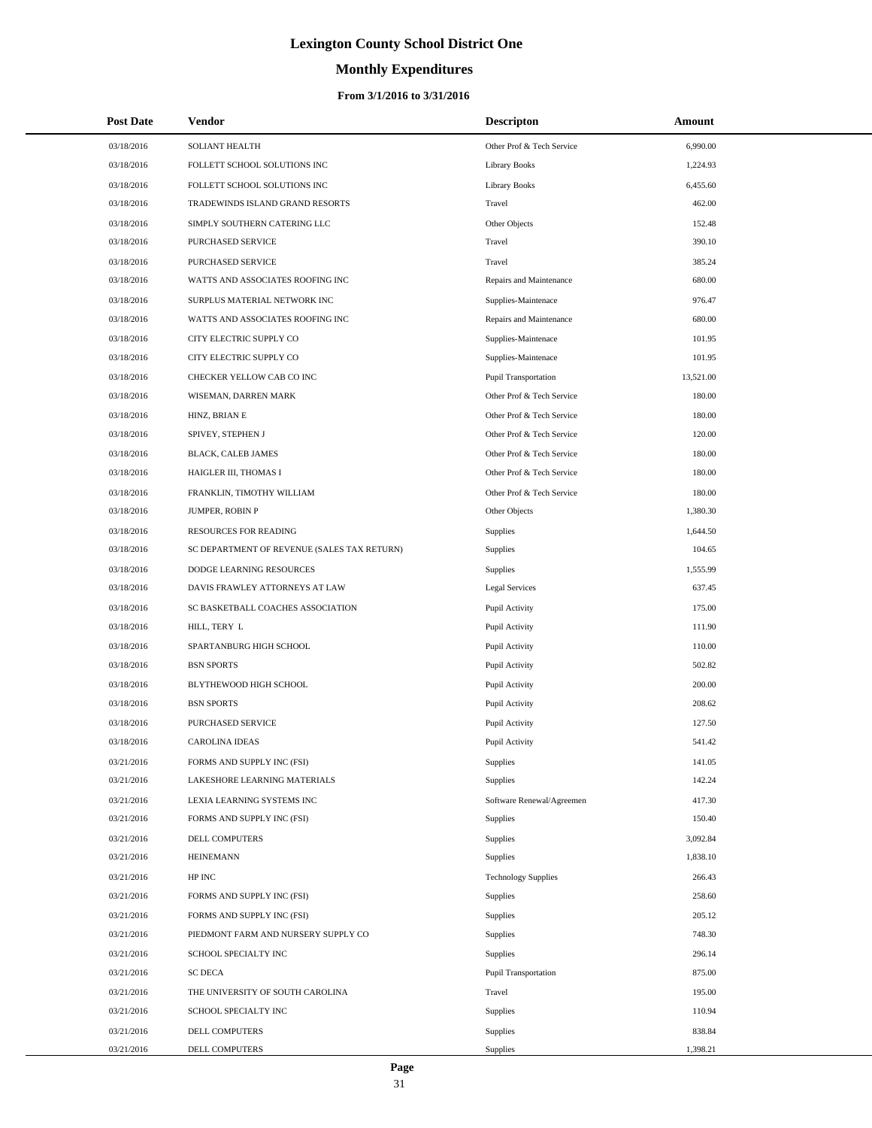# **Monthly Expenditures**

## **From 3/1/2016 to 3/31/2016**

| <b>Post Date</b> | <b>Vendor</b>                               | <b>Descripton</b>          | Amount    |
|------------------|---------------------------------------------|----------------------------|-----------|
| 03/18/2016       | SOLIANT HEALTH                              | Other Prof & Tech Service  | 6,990.00  |
| 03/18/2016       | FOLLETT SCHOOL SOLUTIONS INC                | <b>Library Books</b>       | 1,224.93  |
| 03/18/2016       | FOLLETT SCHOOL SOLUTIONS INC                | <b>Library Books</b>       | 6,455.60  |
| 03/18/2016       | TRADEWINDS ISLAND GRAND RESORTS             | Travel                     | 462.00    |
| 03/18/2016       | SIMPLY SOUTHERN CATERING LLC                | Other Objects              | 152.48    |
| 03/18/2016       | PURCHASED SERVICE                           | Travel                     | 390.10    |
| 03/18/2016       | <b>PURCHASED SERVICE</b>                    | Travel                     | 385.24    |
| 03/18/2016       | WATTS AND ASSOCIATES ROOFING INC            | Repairs and Maintenance    | 680.00    |
| 03/18/2016       | SURPLUS MATERIAL NETWORK INC                | Supplies-Maintenace        | 976.47    |
| 03/18/2016       | WATTS AND ASSOCIATES ROOFING INC            | Repairs and Maintenance    | 680.00    |
| 03/18/2016       | CITY ELECTRIC SUPPLY CO                     | Supplies-Maintenace        | 101.95    |
| 03/18/2016       | CITY ELECTRIC SUPPLY CO                     | Supplies-Maintenace        | 101.95    |
| 03/18/2016       | CHECKER YELLOW CAB CO INC                   | Pupil Transportation       | 13,521.00 |
| 03/18/2016       | WISEMAN, DARREN MARK                        | Other Prof & Tech Service  | 180.00    |
| 03/18/2016       | HINZ, BRIAN E                               | Other Prof & Tech Service  | 180.00    |
| 03/18/2016       | SPIVEY, STEPHEN J                           | Other Prof & Tech Service  | 120.00    |
| 03/18/2016       | BLACK, CALEB JAMES                          | Other Prof & Tech Service  | 180.00    |
| 03/18/2016       | HAIGLER III, THOMAS I                       | Other Prof & Tech Service  | 180.00    |
| 03/18/2016       | FRANKLIN, TIMOTHY WILLIAM                   | Other Prof & Tech Service  | 180.00    |
| 03/18/2016       | JUMPER, ROBIN P                             | Other Objects              | 1,380.30  |
| 03/18/2016       | RESOURCES FOR READING                       | Supplies                   | 1,644.50  |
| 03/18/2016       | SC DEPARTMENT OF REVENUE (SALES TAX RETURN) | Supplies                   | 104.65    |
| 03/18/2016       | DODGE LEARNING RESOURCES                    | <b>Supplies</b>            | 1,555.99  |
| 03/18/2016       | DAVIS FRAWLEY ATTORNEYS AT LAW              | <b>Legal Services</b>      | 637.45    |
| 03/18/2016       | SC BASKETBALL COACHES ASSOCIATION           | Pupil Activity             | 175.00    |
| 03/18/2016       | HILL, TERY L                                | Pupil Activity             | 111.90    |
| 03/18/2016       | SPARTANBURG HIGH SCHOOL                     | Pupil Activity             | 110.00    |
| 03/18/2016       | <b>BSN SPORTS</b>                           | Pupil Activity             | 502.82    |
| 03/18/2016       | BLYTHEWOOD HIGH SCHOOL                      | Pupil Activity             | 200.00    |
| 03/18/2016       | <b>BSN SPORTS</b>                           | Pupil Activity             | 208.62    |
| 03/18/2016       | PURCHASED SERVICE                           | Pupil Activity             | 127.50    |
| 03/18/2016       | <b>CAROLINA IDEAS</b>                       | Pupil Activity             | 541.42    |
| 03/21/2016       | FORMS AND SUPPLY INC (FSI)                  | <b>Supplies</b>            | 141.05    |
| 03/21/2016       | LAKESHORE LEARNING MATERIALS                | Supplies                   | 142.24    |
| 03/21/2016       | LEXIA LEARNING SYSTEMS INC                  | Software Renewal/Agreemen  | 417.30    |
| 03/21/2016       | FORMS AND SUPPLY INC (FSI)                  | Supplies                   | 150.40    |
| 03/21/2016       | <b>DELL COMPUTERS</b>                       | <b>Supplies</b>            | 3,092.84  |
| 03/21/2016       | <b>HEINEMANN</b>                            | Supplies                   | 1,838.10  |
| 03/21/2016       | HP INC                                      | <b>Technology Supplies</b> | 266.43    |
| 03/21/2016       | FORMS AND SUPPLY INC (FSI)                  | <b>Supplies</b>            | 258.60    |
| 03/21/2016       | FORMS AND SUPPLY INC (FSI)                  | <b>Supplies</b>            | 205.12    |
| 03/21/2016       | PIEDMONT FARM AND NURSERY SUPPLY CO         | Supplies                   | 748.30    |
| 03/21/2016       | SCHOOL SPECIALTY INC                        | <b>Supplies</b>            | 296.14    |
| 03/21/2016       | <b>SC DECA</b>                              | Pupil Transportation       | 875.00    |
| 03/21/2016       | THE UNIVERSITY OF SOUTH CAROLINA            | Travel                     | 195.00    |
| 03/21/2016       | SCHOOL SPECIALTY INC                        | <b>Supplies</b>            | 110.94    |
| 03/21/2016       | DELL COMPUTERS                              | <b>Supplies</b>            | 838.84    |
| 03/21/2016       | DELL COMPUTERS                              | Supplies                   | 1,398.21  |

 $\overline{a}$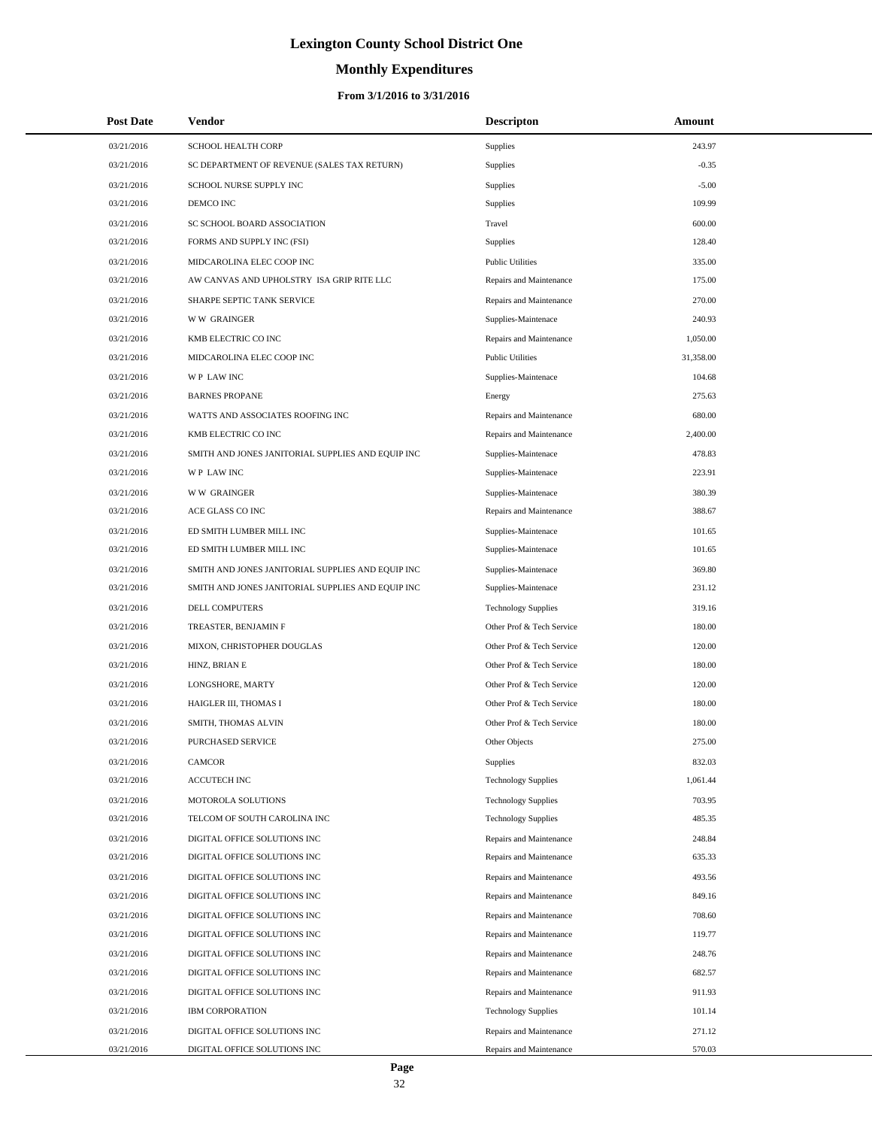# **Monthly Expenditures**

| <b>Post Date</b> | Vendor                                            | <b>Descripton</b>          | Amount    |  |
|------------------|---------------------------------------------------|----------------------------|-----------|--|
| 03/21/2016       | <b>SCHOOL HEALTH CORP</b>                         | Supplies                   | 243.97    |  |
| 03/21/2016       | SC DEPARTMENT OF REVENUE (SALES TAX RETURN)       | Supplies                   | $-0.35$   |  |
| 03/21/2016       | SCHOOL NURSE SUPPLY INC                           | Supplies                   | $-5.00$   |  |
| 03/21/2016       | DEMCO INC                                         | Supplies                   | 109.99    |  |
| 03/21/2016       | SC SCHOOL BOARD ASSOCIATION                       | Travel                     | 600.00    |  |
| 03/21/2016       | FORMS AND SUPPLY INC (FSI)                        | Supplies                   | 128.40    |  |
| 03/21/2016       | MIDCAROLINA ELEC COOP INC                         | <b>Public Utilities</b>    | 335.00    |  |
| 03/21/2016       | AW CANVAS AND UPHOLSTRY ISA GRIP RITE LLC         | Repairs and Maintenance    | 175.00    |  |
| 03/21/2016       | SHARPE SEPTIC TANK SERVICE                        | Repairs and Maintenance    | 270.00    |  |
| 03/21/2016       | <b>WW GRAINGER</b>                                | Supplies-Maintenace        | 240.93    |  |
| 03/21/2016       | KMB ELECTRIC CO INC                               | Repairs and Maintenance    | 1,050.00  |  |
| 03/21/2016       | MIDCAROLINA ELEC COOP INC                         | <b>Public Utilities</b>    | 31,358.00 |  |
| 03/21/2016       | WP LAW INC                                        | Supplies-Maintenace        | 104.68    |  |
| 03/21/2016       | <b>BARNES PROPANE</b>                             | Energy                     | 275.63    |  |
| 03/21/2016       | WATTS AND ASSOCIATES ROOFING INC                  | Repairs and Maintenance    | 680.00    |  |
| 03/21/2016       | KMB ELECTRIC CO INC                               | Repairs and Maintenance    | 2,400.00  |  |
| 03/21/2016       | SMITH AND JONES JANITORIAL SUPPLIES AND EQUIP INC | Supplies-Maintenace        | 478.83    |  |
| 03/21/2016       | <b>WP LAWINC</b>                                  | Supplies-Maintenace        | 223.91    |  |
| 03/21/2016       | <b>WW GRAINGER</b>                                | Supplies-Maintenace        | 380.39    |  |
| 03/21/2016       | ACE GLASS CO INC                                  | Repairs and Maintenance    | 388.67    |  |
| 03/21/2016       | ED SMITH LUMBER MILL INC                          | Supplies-Maintenace        | 101.65    |  |
| 03/21/2016       | ED SMITH LUMBER MILL INC                          | Supplies-Maintenace        | 101.65    |  |
| 03/21/2016       | SMITH AND JONES JANITORIAL SUPPLIES AND EQUIP INC | Supplies-Maintenace        | 369.80    |  |
| 03/21/2016       | SMITH AND JONES JANITORIAL SUPPLIES AND EQUIP INC | Supplies-Maintenace        | 231.12    |  |
| 03/21/2016       | DELL COMPUTERS                                    | <b>Technology Supplies</b> | 319.16    |  |
| 03/21/2016       | TREASTER, BENJAMIN F                              | Other Prof & Tech Service  | 180.00    |  |
| 03/21/2016       | MIXON, CHRISTOPHER DOUGLAS                        | Other Prof & Tech Service  | 120.00    |  |
| 03/21/2016       | HINZ, BRIAN E                                     | Other Prof & Tech Service  | 180.00    |  |
| 03/21/2016       | LONGSHORE, MARTY                                  | Other Prof & Tech Service  | 120.00    |  |
| 03/21/2016       | HAIGLER III, THOMAS I                             | Other Prof & Tech Service  | 180.00    |  |
| 03/21/2016       | SMITH, THOMAS ALVIN                               | Other Prof & Tech Service  | 180.00    |  |
| 03/21/2016       | <b>PURCHASED SERVICE</b>                          | Other Objects              | 275.00    |  |
| 03/21/2016       | CAMCOR                                            | Supplies                   | 832.03    |  |
| 03/21/2016       | <b>ACCUTECH INC</b>                               | <b>Technology Supplies</b> | 1,061.44  |  |
| 03/21/2016       | MOTOROLA SOLUTIONS                                | <b>Technology Supplies</b> | 703.95    |  |
| 03/21/2016       | TELCOM OF SOUTH CAROLINA INC                      | <b>Technology Supplies</b> | 485.35    |  |
| 03/21/2016       | DIGITAL OFFICE SOLUTIONS INC                      | Repairs and Maintenance    | 248.84    |  |
| 03/21/2016       | DIGITAL OFFICE SOLUTIONS INC                      | Repairs and Maintenance    | 635.33    |  |
| 03/21/2016       | DIGITAL OFFICE SOLUTIONS INC                      | Repairs and Maintenance    | 493.56    |  |
| 03/21/2016       | DIGITAL OFFICE SOLUTIONS INC                      | Repairs and Maintenance    | 849.16    |  |
| 03/21/2016       | DIGITAL OFFICE SOLUTIONS INC                      | Repairs and Maintenance    | 708.60    |  |
| 03/21/2016       | DIGITAL OFFICE SOLUTIONS INC                      | Repairs and Maintenance    | 119.77    |  |
| 03/21/2016       | DIGITAL OFFICE SOLUTIONS INC                      | Repairs and Maintenance    | 248.76    |  |
| 03/21/2016       | DIGITAL OFFICE SOLUTIONS INC                      | Repairs and Maintenance    | 682.57    |  |
| 03/21/2016       | DIGITAL OFFICE SOLUTIONS INC                      | Repairs and Maintenance    | 911.93    |  |
| 03/21/2016       | IBM CORPORATION                                   | <b>Technology Supplies</b> | 101.14    |  |
| 03/21/2016       | DIGITAL OFFICE SOLUTIONS INC                      | Repairs and Maintenance    | 271.12    |  |
| 03/21/2016       | DIGITAL OFFICE SOLUTIONS INC                      | Repairs and Maintenance    | 570.03    |  |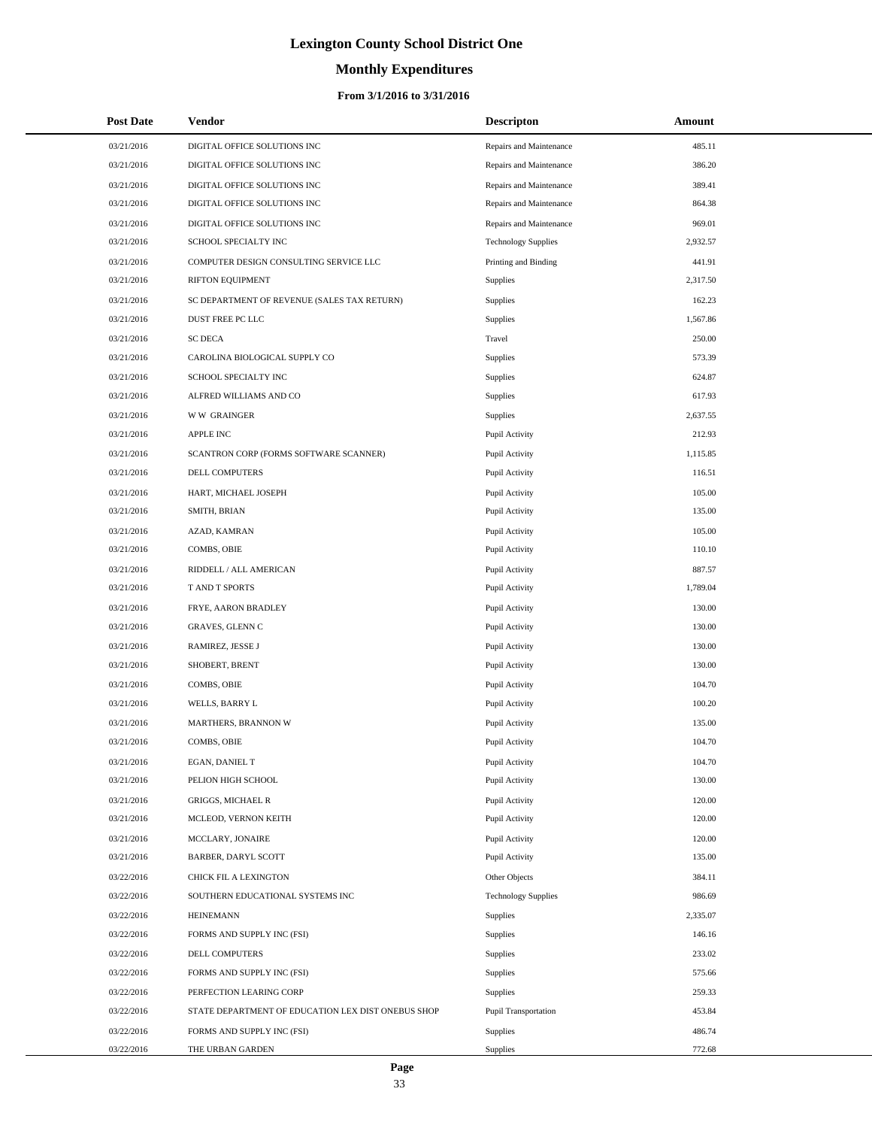# **Monthly Expenditures**

| <b>Post Date</b> | <b>Vendor</b>                                      | <b>Descripton</b>          | Amount   |
|------------------|----------------------------------------------------|----------------------------|----------|
| 03/21/2016       | DIGITAL OFFICE SOLUTIONS INC                       | Repairs and Maintenance    | 485.11   |
| 03/21/2016       | DIGITAL OFFICE SOLUTIONS INC                       | Repairs and Maintenance    | 386.20   |
| 03/21/2016       | DIGITAL OFFICE SOLUTIONS INC                       | Repairs and Maintenance    | 389.41   |
| 03/21/2016       | DIGITAL OFFICE SOLUTIONS INC                       | Repairs and Maintenance    | 864.38   |
| 03/21/2016       | DIGITAL OFFICE SOLUTIONS INC                       | Repairs and Maintenance    | 969.01   |
| 03/21/2016       | SCHOOL SPECIALTY INC                               | <b>Technology Supplies</b> | 2,932.57 |
| 03/21/2016       | COMPUTER DESIGN CONSULTING SERVICE LLC             | Printing and Binding       | 441.91   |
| 03/21/2016       | RIFTON EQUIPMENT                                   | Supplies                   | 2,317.50 |
| 03/21/2016       | SC DEPARTMENT OF REVENUE (SALES TAX RETURN)        | <b>Supplies</b>            | 162.23   |
| 03/21/2016       | DUST FREE PC LLC                                   | Supplies                   | 1,567.86 |
| 03/21/2016       | <b>SC DECA</b>                                     | Travel                     | 250.00   |
| 03/21/2016       | CAROLINA BIOLOGICAL SUPPLY CO                      | Supplies                   | 573.39   |
| 03/21/2016       | SCHOOL SPECIALTY INC                               | Supplies                   | 624.87   |
| 03/21/2016       | ALFRED WILLIAMS AND CO                             | Supplies                   | 617.93   |
| 03/21/2016       | <b>WW GRAINGER</b>                                 | Supplies                   | 2,637.55 |
| 03/21/2016       | <b>APPLE INC</b>                                   | Pupil Activity             | 212.93   |
| 03/21/2016       | SCANTRON CORP (FORMS SOFTWARE SCANNER)             | Pupil Activity             | 1,115.85 |
| 03/21/2016       | DELL COMPUTERS                                     | Pupil Activity             | 116.51   |
| 03/21/2016       | HART, MICHAEL JOSEPH                               | Pupil Activity             | 105.00   |
| 03/21/2016       | SMITH, BRIAN                                       | Pupil Activity             | 135.00   |
| 03/21/2016       | AZAD, KAMRAN                                       | Pupil Activity             | 105.00   |
| 03/21/2016       | COMBS, OBIE                                        | Pupil Activity             | 110.10   |
| 03/21/2016       | RIDDELL / ALL AMERICAN                             | Pupil Activity             | 887.57   |
| 03/21/2016       | T AND T SPORTS                                     | Pupil Activity             | 1,789.04 |
| 03/21/2016       | FRYE, AARON BRADLEY                                | Pupil Activity             | 130.00   |
| 03/21/2016       | GRAVES, GLENN C                                    | Pupil Activity             | 130.00   |
| 03/21/2016       | RAMIREZ, JESSE J                                   | Pupil Activity             | 130.00   |
| 03/21/2016       | SHOBERT, BRENT                                     | Pupil Activity             | 130.00   |
| 03/21/2016       | COMBS, OBIE                                        | Pupil Activity             | 104.70   |
| 03/21/2016       | WELLS, BARRY L                                     | Pupil Activity             | 100.20   |
| 03/21/2016       | MARTHERS, BRANNON W                                | Pupil Activity             | 135.00   |
| 03/21/2016       | COMBS, OBIE                                        | Pupil Activity             | 104.70   |
| 03/21/2016       | EGAN, DANIEL T                                     | Pupil Activity             | 104.70   |
| 03/21/2016       | PELION HIGH SCHOOL                                 | Pupil Activity             | 130.00   |
| 03/21/2016       | <b>GRIGGS, MICHAEL R</b>                           | Pupil Activity             | 120.00   |
| 03/21/2016       | MCLEOD, VERNON KEITH                               | Pupil Activity             | 120.00   |
| 03/21/2016       | MCCLARY, JONAIRE                                   | Pupil Activity             | 120.00   |
| 03/21/2016       | BARBER, DARYL SCOTT                                | Pupil Activity             | 135.00   |
| 03/22/2016       | CHICK FIL A LEXINGTON                              | Other Objects              | 384.11   |
| 03/22/2016       | SOUTHERN EDUCATIONAL SYSTEMS INC                   | <b>Technology Supplies</b> | 986.69   |
| 03/22/2016       | <b>HEINEMANN</b>                                   | <b>Supplies</b>            | 2,335.07 |
| 03/22/2016       | FORMS AND SUPPLY INC (FSI)                         | Supplies                   | 146.16   |
| 03/22/2016       | DELL COMPUTERS                                     | Supplies                   | 233.02   |
| 03/22/2016       | FORMS AND SUPPLY INC (FSI)                         | Supplies                   | 575.66   |
| 03/22/2016       | PERFECTION LEARING CORP                            | <b>Supplies</b>            | 259.33   |
| 03/22/2016       | STATE DEPARTMENT OF EDUCATION LEX DIST ONEBUS SHOP | Pupil Transportation       | 453.84   |
| 03/22/2016       | FORMS AND SUPPLY INC (FSI)                         | <b>Supplies</b>            | 486.74   |
| 03/22/2016       | THE URBAN GARDEN                                   | Supplies                   | 772.68   |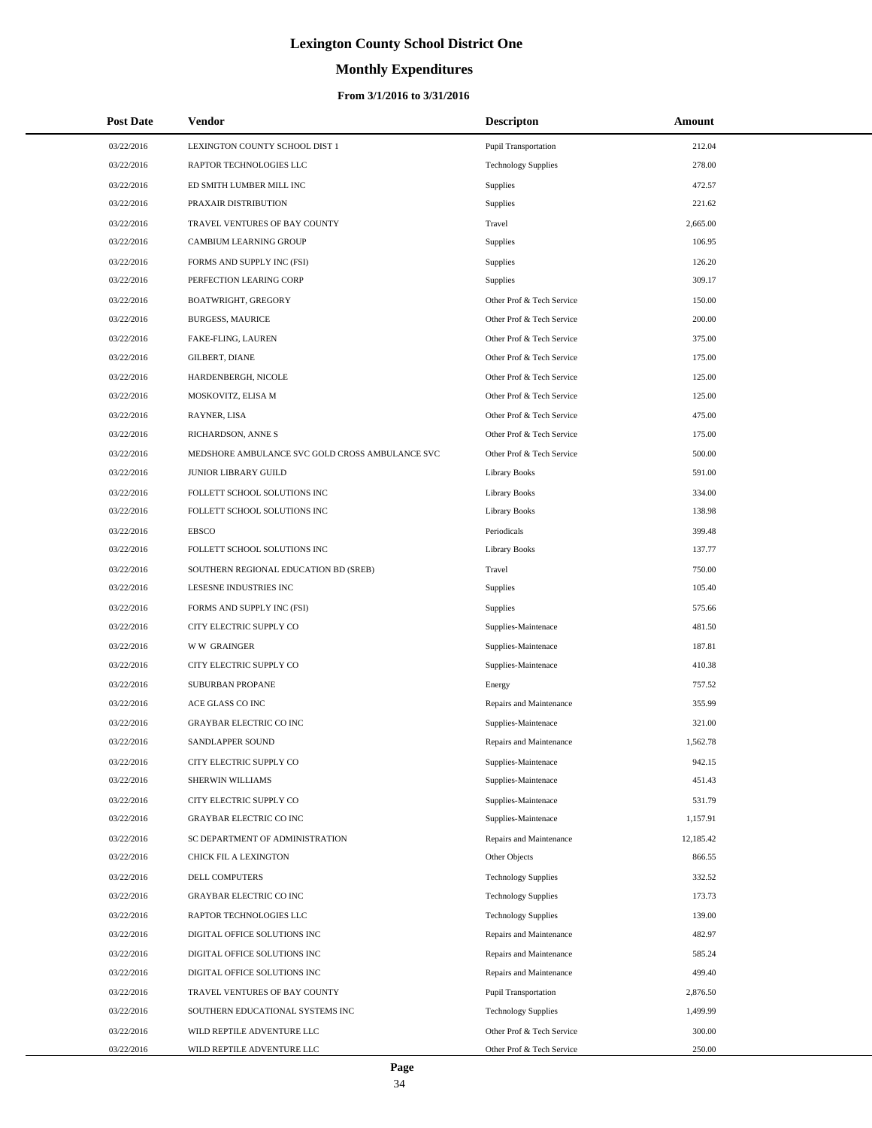# **Monthly Expenditures**

| <b>Post Date</b> | <b>Vendor</b>                                   | <b>Descripton</b>           | Amount    |
|------------------|-------------------------------------------------|-----------------------------|-----------|
| 03/22/2016       | LEXINGTON COUNTY SCHOOL DIST 1                  | Pupil Transportation        | 212.04    |
| 03/22/2016       | RAPTOR TECHNOLOGIES LLC                         | <b>Technology Supplies</b>  | 278.00    |
| 03/22/2016       | ED SMITH LUMBER MILL INC                        | <b>Supplies</b>             | 472.57    |
| 03/22/2016       | PRAXAIR DISTRIBUTION                            | Supplies                    | 221.62    |
| 03/22/2016       | TRAVEL VENTURES OF BAY COUNTY                   | Travel                      | 2,665.00  |
| 03/22/2016       | <b>CAMBIUM LEARNING GROUP</b>                   | Supplies                    | 106.95    |
| 03/22/2016       | FORMS AND SUPPLY INC (FSI)                      | Supplies                    | 126.20    |
| 03/22/2016       | PERFECTION LEARING CORP                         | Supplies                    | 309.17    |
| 03/22/2016       | BOATWRIGHT, GREGORY                             | Other Prof & Tech Service   | 150.00    |
| 03/22/2016       | <b>BURGESS, MAURICE</b>                         | Other Prof & Tech Service   | 200.00    |
| 03/22/2016       | FAKE-FLING, LAUREN                              | Other Prof & Tech Service   | 375.00    |
| 03/22/2016       | GILBERT, DIANE                                  | Other Prof & Tech Service   | 175.00    |
| 03/22/2016       | HARDENBERGH, NICOLE                             | Other Prof & Tech Service   | 125.00    |
| 03/22/2016       | MOSKOVITZ, ELISA M                              | Other Prof & Tech Service   | 125.00    |
| 03/22/2016       | RAYNER, LISA                                    | Other Prof & Tech Service   | 475.00    |
| 03/22/2016       | RICHARDSON, ANNE S                              | Other Prof & Tech Service   | 175.00    |
| 03/22/2016       | MEDSHORE AMBULANCE SVC GOLD CROSS AMBULANCE SVC | Other Prof & Tech Service   | 500.00    |
| 03/22/2016       | <b>JUNIOR LIBRARY GUILD</b>                     | Library Books               | 591.00    |
| 03/22/2016       | FOLLETT SCHOOL SOLUTIONS INC                    | <b>Library Books</b>        | 334.00    |
| 03/22/2016       | FOLLETT SCHOOL SOLUTIONS INC                    | <b>Library Books</b>        | 138.98    |
| 03/22/2016       | <b>EBSCO</b>                                    | Periodicals                 | 399.48    |
| 03/22/2016       | FOLLETT SCHOOL SOLUTIONS INC                    | <b>Library Books</b>        | 137.77    |
| 03/22/2016       | SOUTHERN REGIONAL EDUCATION BD (SREB)           | Travel                      | 750.00    |
| 03/22/2016       | LESESNE INDUSTRIES INC                          | Supplies                    | 105.40    |
| 03/22/2016       | FORMS AND SUPPLY INC (FSI)                      | Supplies                    | 575.66    |
| 03/22/2016       | CITY ELECTRIC SUPPLY CO                         | Supplies-Maintenace         | 481.50    |
| 03/22/2016       | <b>WW GRAINGER</b>                              | Supplies-Maintenace         | 187.81    |
| 03/22/2016       | CITY ELECTRIC SUPPLY CO                         | Supplies-Maintenace         | 410.38    |
| 03/22/2016       | <b>SUBURBAN PROPANE</b>                         | Energy                      | 757.52    |
| 03/22/2016       | ACE GLASS CO INC                                | Repairs and Maintenance     | 355.99    |
| 03/22/2016       | <b>GRAYBAR ELECTRIC CO INC</b>                  | Supplies-Maintenace         | 321.00    |
| 03/22/2016       | SANDLAPPER SOUND                                | Repairs and Maintenance     | 1,562.78  |
| 03/22/2016       | CITY ELECTRIC SUPPLY CO                         | Supplies-Maintenace         | 942.15    |
| 03/22/2016       | SHERWIN WILLIAMS                                | Supplies-Maintenace         | 451.43    |
| 03/22/2016       | CITY ELECTRIC SUPPLY CO                         | Supplies-Maintenace         | 531.79    |
| 03/22/2016       | <b>GRAYBAR ELECTRIC CO INC</b>                  | Supplies-Maintenace         | 1,157.91  |
| 03/22/2016       | SC DEPARTMENT OF ADMINISTRATION                 | Repairs and Maintenance     | 12,185.42 |
| 03/22/2016       | CHICK FIL A LEXINGTON                           | Other Objects               | 866.55    |
| 03/22/2016       | <b>DELL COMPUTERS</b>                           | <b>Technology Supplies</b>  | 332.52    |
| 03/22/2016       | <b>GRAYBAR ELECTRIC CO INC</b>                  | <b>Technology Supplies</b>  | 173.73    |
| 03/22/2016       | RAPTOR TECHNOLOGIES LLC                         | <b>Technology Supplies</b>  | 139.00    |
| 03/22/2016       | DIGITAL OFFICE SOLUTIONS INC                    | Repairs and Maintenance     | 482.97    |
| 03/22/2016       | DIGITAL OFFICE SOLUTIONS INC                    | Repairs and Maintenance     | 585.24    |
| 03/22/2016       | DIGITAL OFFICE SOLUTIONS INC                    | Repairs and Maintenance     | 499.40    |
| 03/22/2016       | TRAVEL VENTURES OF BAY COUNTY                   | <b>Pupil Transportation</b> | 2,876.50  |
| 03/22/2016       | SOUTHERN EDUCATIONAL SYSTEMS INC                | <b>Technology Supplies</b>  | 1,499.99  |
| 03/22/2016       | WILD REPTILE ADVENTURE LLC                      | Other Prof & Tech Service   | 300.00    |
| 03/22/2016       | WILD REPTILE ADVENTURE LLC                      | Other Prof & Tech Service   | 250.00    |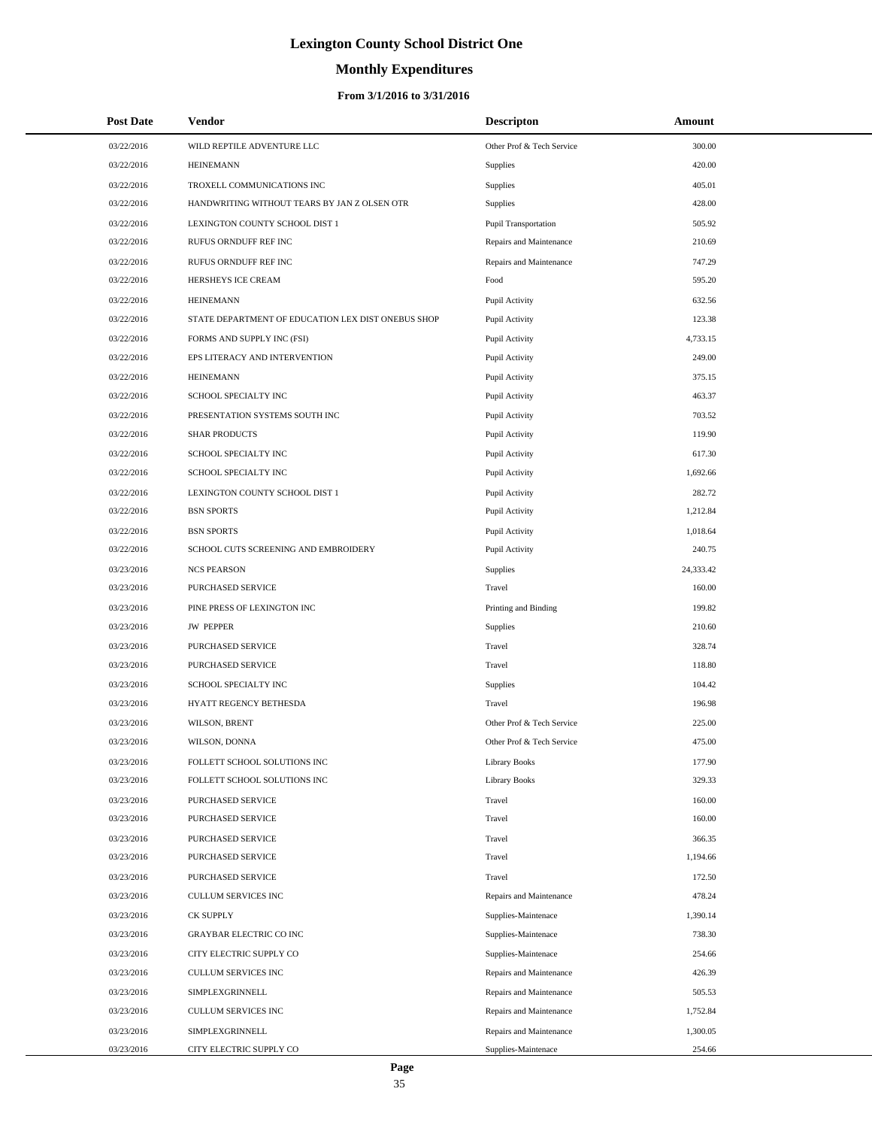# **Monthly Expenditures**

## **From 3/1/2016 to 3/31/2016**

| <b>Post Date</b> | <b>Vendor</b>                                      | <b>Descripton</b>           | Amount    |  |
|------------------|----------------------------------------------------|-----------------------------|-----------|--|
| 03/22/2016       | WILD REPTILE ADVENTURE LLC                         | Other Prof & Tech Service   | 300.00    |  |
| 03/22/2016       | <b>HEINEMANN</b>                                   | Supplies                    | 420.00    |  |
| 03/22/2016       | TROXELL COMMUNICATIONS INC                         | Supplies                    | 405.01    |  |
| 03/22/2016       | HANDWRITING WITHOUT TEARS BY JAN Z OLSEN OTR       | Supplies                    | 428.00    |  |
| 03/22/2016       | LEXINGTON COUNTY SCHOOL DIST 1                     | <b>Pupil Transportation</b> | 505.92    |  |
| 03/22/2016       | RUFUS ORNDUFF REF INC                              | Repairs and Maintenance     | 210.69    |  |
| 03/22/2016       | RUFUS ORNDUFF REF INC                              | Repairs and Maintenance     | 747.29    |  |
| 03/22/2016       | HERSHEYS ICE CREAM                                 | Food                        | 595.20    |  |
| 03/22/2016       | <b>HEINEMANN</b>                                   | Pupil Activity              | 632.56    |  |
| 03/22/2016       | STATE DEPARTMENT OF EDUCATION LEX DIST ONEBUS SHOP | Pupil Activity              | 123.38    |  |
| 03/22/2016       | FORMS AND SUPPLY INC (FSI)                         | Pupil Activity              | 4,733.15  |  |
| 03/22/2016       | EPS LITERACY AND INTERVENTION                      | Pupil Activity              | 249.00    |  |
| 03/22/2016       | <b>HEINEMANN</b>                                   | Pupil Activity              | 375.15    |  |
| 03/22/2016       | <b>SCHOOL SPECIALTY INC</b>                        | Pupil Activity              | 463.37    |  |
| 03/22/2016       | PRESENTATION SYSTEMS SOUTH INC                     | Pupil Activity              | 703.52    |  |
| 03/22/2016       | <b>SHAR PRODUCTS</b>                               | Pupil Activity              | 119.90    |  |
| 03/22/2016       | SCHOOL SPECIALTY INC                               | Pupil Activity              | 617.30    |  |
| 03/22/2016       | SCHOOL SPECIALTY INC                               | Pupil Activity              | 1,692.66  |  |
| 03/22/2016       | LEXINGTON COUNTY SCHOOL DIST 1                     | Pupil Activity              | 282.72    |  |
| 03/22/2016       | <b>BSN SPORTS</b>                                  | Pupil Activity              | 1,212.84  |  |
| 03/22/2016       | <b>BSN SPORTS</b>                                  | Pupil Activity              | 1,018.64  |  |
| 03/22/2016       | SCHOOL CUTS SCREENING AND EMBROIDERY               | Pupil Activity              | 240.75    |  |
| 03/23/2016       | <b>NCS PEARSON</b>                                 | Supplies                    | 24,333.42 |  |
| 03/23/2016       | PURCHASED SERVICE                                  | Travel                      | 160.00    |  |
| 03/23/2016       | PINE PRESS OF LEXINGTON INC                        | Printing and Binding        | 199.82    |  |
| 03/23/2016       | <b>JW PEPPER</b>                                   | Supplies                    | 210.60    |  |
| 03/23/2016       | PURCHASED SERVICE                                  | Travel                      | 328.74    |  |
| 03/23/2016       | PURCHASED SERVICE                                  | Travel                      | 118.80    |  |
| 03/23/2016       | SCHOOL SPECIALTY INC                               | Supplies                    | 104.42    |  |
| 03/23/2016       | HYATT REGENCY BETHESDA                             | Travel                      | 196.98    |  |
| 03/23/2016       | WILSON, BRENT                                      | Other Prof & Tech Service   | 225.00    |  |
| 03/23/2016       | WILSON, DONNA                                      | Other Prof & Tech Service   | 475.00    |  |
| 03/23/2016       | FOLLETT SCHOOL SOLUTIONS INC                       | <b>Library Books</b>        | 177.90    |  |
| 03/23/2016       | FOLLETT SCHOOL SOLUTIONS INC                       | <b>Library Books</b>        | 329.33    |  |
| 03/23/2016       | PURCHASED SERVICE                                  | Travel                      | 160.00    |  |
| 03/23/2016       | PURCHASED SERVICE                                  | Travel                      | 160.00    |  |
| 03/23/2016       | PURCHASED SERVICE                                  | Travel                      | 366.35    |  |
| 03/23/2016       | PURCHASED SERVICE                                  | Travel                      | 1,194.66  |  |
| 03/23/2016       | PURCHASED SERVICE                                  | Travel                      | 172.50    |  |
| 03/23/2016       | CULLUM SERVICES INC                                | Repairs and Maintenance     | 478.24    |  |
| 03/23/2016       | <b>CK SUPPLY</b>                                   | Supplies-Maintenace         | 1,390.14  |  |
| 03/23/2016       | GRAYBAR ELECTRIC CO INC                            | Supplies-Maintenace         | 738.30    |  |
| 03/23/2016       | CITY ELECTRIC SUPPLY CO                            | Supplies-Maintenace         | 254.66    |  |
| 03/23/2016       | CULLUM SERVICES INC                                | Repairs and Maintenance     | 426.39    |  |
| 03/23/2016       | SIMPLEXGRINNELL                                    | Repairs and Maintenance     | 505.53    |  |
| 03/23/2016       | CULLUM SERVICES INC                                | Repairs and Maintenance     | 1,752.84  |  |
| 03/23/2016       | SIMPLEXGRINNELL                                    | Repairs and Maintenance     | 1,300.05  |  |
| 03/23/2016       | CITY ELECTRIC SUPPLY CO                            | Supplies-Maintenace         | 254.66    |  |

 $\overline{a}$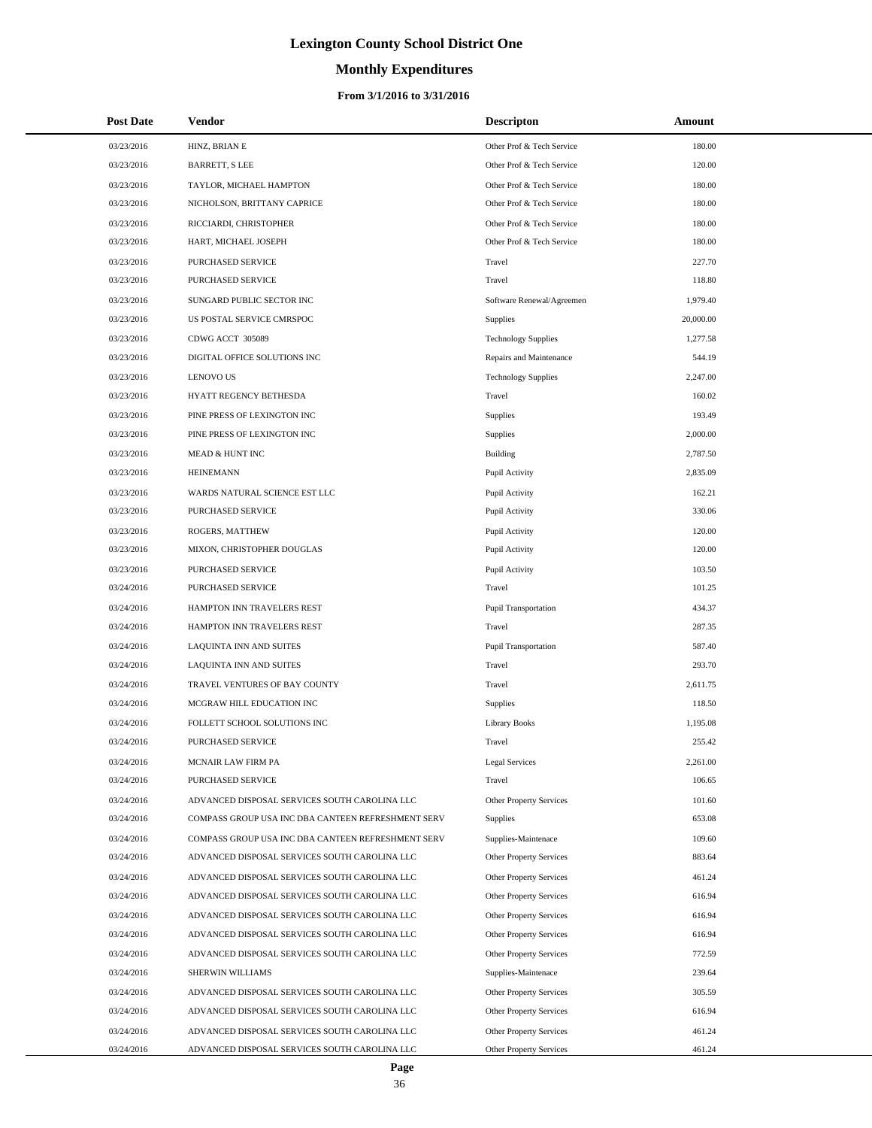# **Monthly Expenditures**

| <b>Post Date</b> | <b>Vendor</b>                                      | <b>Descripton</b>              | Amount    |
|------------------|----------------------------------------------------|--------------------------------|-----------|
| 03/23/2016       | HINZ, BRIAN E                                      | Other Prof & Tech Service      | 180.00    |
| 03/23/2016       | <b>BARRETT, S LEE</b>                              | Other Prof & Tech Service      | 120.00    |
| 03/23/2016       | TAYLOR, MICHAEL HAMPTON                            | Other Prof & Tech Service      | 180.00    |
| 03/23/2016       | NICHOLSON, BRITTANY CAPRICE                        | Other Prof & Tech Service      | 180.00    |
| 03/23/2016       | RICCIARDI, CHRISTOPHER                             | Other Prof & Tech Service      | 180.00    |
| 03/23/2016       | HART, MICHAEL JOSEPH                               | Other Prof & Tech Service      | 180.00    |
| 03/23/2016       | PURCHASED SERVICE                                  | Travel                         | 227.70    |
| 03/23/2016       | PURCHASED SERVICE                                  | Travel                         | 118.80    |
| 03/23/2016       | SUNGARD PUBLIC SECTOR INC                          | Software Renewal/Agreemen      | 1,979.40  |
| 03/23/2016       | US POSTAL SERVICE CMRSPOC                          | Supplies                       | 20,000.00 |
| 03/23/2016       | CDWG ACCT 305089                                   | <b>Technology Supplies</b>     | 1,277.58  |
| 03/23/2016       | DIGITAL OFFICE SOLUTIONS INC                       | Repairs and Maintenance        | 544.19    |
| 03/23/2016       | <b>LENOVO US</b>                                   | <b>Technology Supplies</b>     | 2,247.00  |
| 03/23/2016       | HYATT REGENCY BETHESDA                             | Travel                         | 160.02    |
| 03/23/2016       | PINE PRESS OF LEXINGTON INC                        | Supplies                       | 193.49    |
| 03/23/2016       | PINE PRESS OF LEXINGTON INC                        | Supplies                       | 2,000.00  |
| 03/23/2016       | <b>MEAD &amp; HUNT INC</b>                         | Building                       | 2,787.50  |
| 03/23/2016       | <b>HEINEMANN</b>                                   | Pupil Activity                 | 2,835.09  |
| 03/23/2016       | WARDS NATURAL SCIENCE EST LLC                      | Pupil Activity                 | 162.21    |
| 03/23/2016       | PURCHASED SERVICE                                  | Pupil Activity                 | 330.06    |
| 03/23/2016       | ROGERS, MATTHEW                                    | Pupil Activity                 | 120.00    |
| 03/23/2016       | MIXON, CHRISTOPHER DOUGLAS                         | Pupil Activity                 | 120.00    |
| 03/23/2016       | PURCHASED SERVICE                                  | Pupil Activity                 | 103.50    |
| 03/24/2016       | PURCHASED SERVICE                                  | Travel                         | 101.25    |
| 03/24/2016       | HAMPTON INN TRAVELERS REST                         | Pupil Transportation           | 434.37    |
| 03/24/2016       | HAMPTON INN TRAVELERS REST                         | Travel                         | 287.35    |
| 03/24/2016       | LAQUINTA INN AND SUITES                            | Pupil Transportation           | 587.40    |
| 03/24/2016       | LAQUINTA INN AND SUITES                            | Travel                         | 293.70    |
| 03/24/2016       | TRAVEL VENTURES OF BAY COUNTY                      | Travel                         | 2,611.75  |
| 03/24/2016       | MCGRAW HILL EDUCATION INC                          | Supplies                       | 118.50    |
| 03/24/2016       | FOLLETT SCHOOL SOLUTIONS INC                       | <b>Library Books</b>           | 1,195.08  |
| 03/24/2016       | PURCHASED SERVICE                                  | Travel                         | 255.42    |
| 03/24/2016       | MCNAIR LAW FIRM PA                                 | Legal Services                 | 2,261.00  |
| 03/24/2016       | PURCHASED SERVICE                                  | Travel                         | 106.65    |
| 03/24/2016       | ADVANCED DISPOSAL SERVICES SOUTH CAROLINA LLC      | Other Property Services        | 101.60    |
| 03/24/2016       | COMPASS GROUP USA INC DBA CANTEEN REFRESHMENT SERV | Supplies                       | 653.08    |
| 03/24/2016       | COMPASS GROUP USA INC DBA CANTEEN REFRESHMENT SERV | Supplies-Maintenace            | 109.60    |
| 03/24/2016       | ADVANCED DISPOSAL SERVICES SOUTH CAROLINA LLC      | Other Property Services        | 883.64    |
| 03/24/2016       | ADVANCED DISPOSAL SERVICES SOUTH CAROLINA LLC      | Other Property Services        | 461.24    |
| 03/24/2016       | ADVANCED DISPOSAL SERVICES SOUTH CAROLINA LLC      | Other Property Services        | 616.94    |
| 03/24/2016       | ADVANCED DISPOSAL SERVICES SOUTH CAROLINA LLC      | Other Property Services        | 616.94    |
| 03/24/2016       | ADVANCED DISPOSAL SERVICES SOUTH CAROLINA LLC      | Other Property Services        | 616.94    |
| 03/24/2016       | ADVANCED DISPOSAL SERVICES SOUTH CAROLINA LLC      | Other Property Services        | 772.59    |
| 03/24/2016       | SHERWIN WILLIAMS                                   | Supplies-Maintenace            | 239.64    |
| 03/24/2016       | ADVANCED DISPOSAL SERVICES SOUTH CAROLINA LLC      | Other Property Services        | 305.59    |
| 03/24/2016       | ADVANCED DISPOSAL SERVICES SOUTH CAROLINA LLC      | Other Property Services        | 616.94    |
| 03/24/2016       | ADVANCED DISPOSAL SERVICES SOUTH CAROLINA LLC      | Other Property Services        | 461.24    |
| 03/24/2016       | ADVANCED DISPOSAL SERVICES SOUTH CAROLINA LLC      | <b>Other Property Services</b> | 461.24    |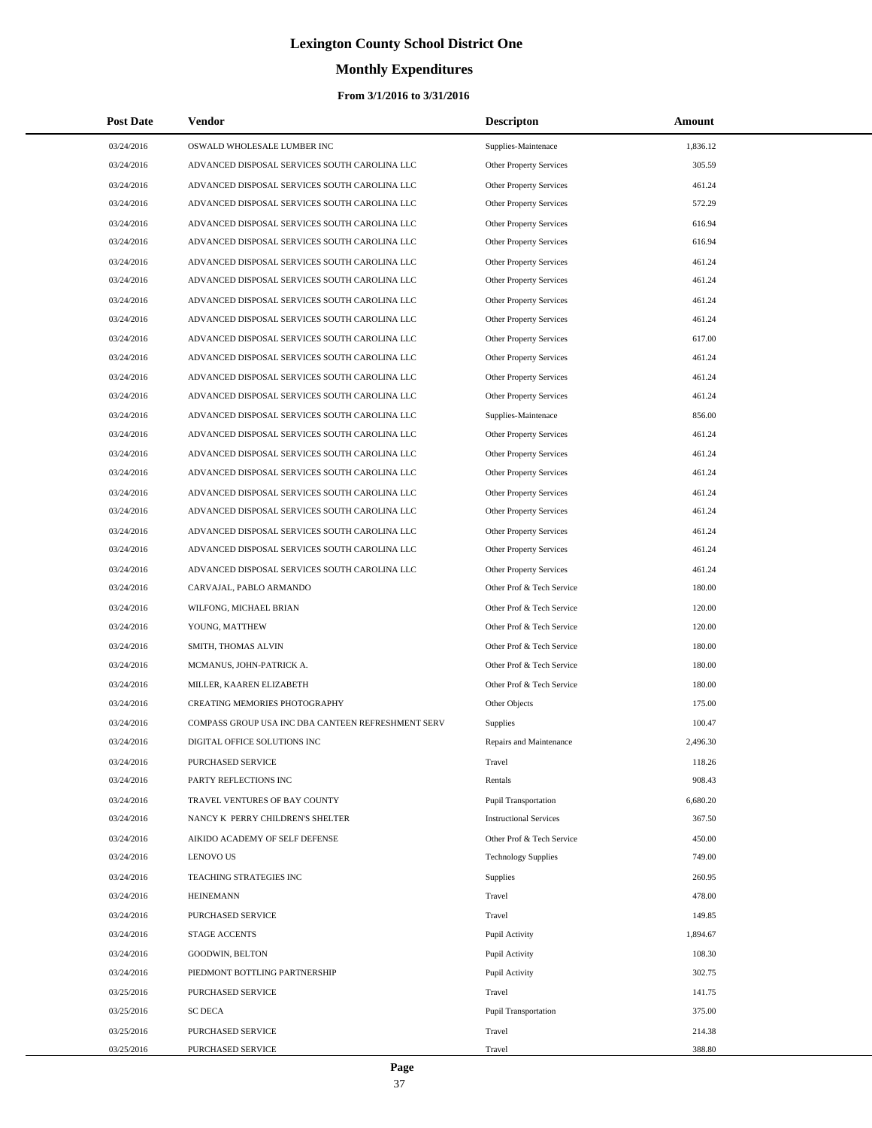# **Monthly Expenditures**

## **From 3/1/2016 to 3/31/2016**

| <b>Post Date</b> | <b>Vendor</b>                                      | <b>Descripton</b>              | Amount   |
|------------------|----------------------------------------------------|--------------------------------|----------|
| 03/24/2016       | OSWALD WHOLESALE LUMBER INC                        | Supplies-Maintenace            | 1,836.12 |
| 03/24/2016       | ADVANCED DISPOSAL SERVICES SOUTH CAROLINA LLC      | Other Property Services        | 305.59   |
| 03/24/2016       | ADVANCED DISPOSAL SERVICES SOUTH CAROLINA LLC      | Other Property Services        | 461.24   |
| 03/24/2016       | ADVANCED DISPOSAL SERVICES SOUTH CAROLINA LLC      | Other Property Services        | 572.29   |
| 03/24/2016       | ADVANCED DISPOSAL SERVICES SOUTH CAROLINA LLC      | Other Property Services        | 616.94   |
| 03/24/2016       | ADVANCED DISPOSAL SERVICES SOUTH CAROLINA LLC      | Other Property Services        | 616.94   |
| 03/24/2016       | ADVANCED DISPOSAL SERVICES SOUTH CAROLINA LLC      | Other Property Services        | 461.24   |
| 03/24/2016       | ADVANCED DISPOSAL SERVICES SOUTH CAROLINA LLC      | Other Property Services        | 461.24   |
| 03/24/2016       | ADVANCED DISPOSAL SERVICES SOUTH CAROLINA LLC      | Other Property Services        | 461.24   |
| 03/24/2016       | ADVANCED DISPOSAL SERVICES SOUTH CAROLINA LLC      | <b>Other Property Services</b> | 461.24   |
| 03/24/2016       | ADVANCED DISPOSAL SERVICES SOUTH CAROLINA LLC      | Other Property Services        | 617.00   |
| 03/24/2016       | ADVANCED DISPOSAL SERVICES SOUTH CAROLINA LLC      | Other Property Services        | 461.24   |
| 03/24/2016       | ADVANCED DISPOSAL SERVICES SOUTH CAROLINA LLC      | Other Property Services        | 461.24   |
| 03/24/2016       | ADVANCED DISPOSAL SERVICES SOUTH CAROLINA LLC      | <b>Other Property Services</b> | 461.24   |
| 03/24/2016       | ADVANCED DISPOSAL SERVICES SOUTH CAROLINA LLC      | Supplies-Maintenace            | 856.00   |
| 03/24/2016       | ADVANCED DISPOSAL SERVICES SOUTH CAROLINA LLC      | Other Property Services        | 461.24   |
| 03/24/2016       | ADVANCED DISPOSAL SERVICES SOUTH CAROLINA LLC      | <b>Other Property Services</b> | 461.24   |
| 03/24/2016       | ADVANCED DISPOSAL SERVICES SOUTH CAROLINA LLC      | Other Property Services        | 461.24   |
| 03/24/2016       | ADVANCED DISPOSAL SERVICES SOUTH CAROLINA LLC      | Other Property Services        | 461.24   |
| 03/24/2016       | ADVANCED DISPOSAL SERVICES SOUTH CAROLINA LLC      | <b>Other Property Services</b> | 461.24   |
| 03/24/2016       | ADVANCED DISPOSAL SERVICES SOUTH CAROLINA LLC      | Other Property Services        | 461.24   |
| 03/24/2016       | ADVANCED DISPOSAL SERVICES SOUTH CAROLINA LLC      | Other Property Services        | 461.24   |
| 03/24/2016       | ADVANCED DISPOSAL SERVICES SOUTH CAROLINA LLC      | Other Property Services        | 461.24   |
| 03/24/2016       | CARVAJAL, PABLO ARMANDO                            | Other Prof & Tech Service      | 180.00   |
| 03/24/2016       | WILFONG, MICHAEL BRIAN                             | Other Prof & Tech Service      | 120.00   |
| 03/24/2016       | YOUNG, MATTHEW                                     | Other Prof & Tech Service      | 120.00   |
| 03/24/2016       | SMITH, THOMAS ALVIN                                | Other Prof & Tech Service      | 180.00   |
| 03/24/2016       | MCMANUS, JOHN-PATRICK A.                           | Other Prof & Tech Service      | 180.00   |
| 03/24/2016       | MILLER, KAAREN ELIZABETH                           | Other Prof & Tech Service      | 180.00   |
| 03/24/2016       | <b>CREATING MEMORIES PHOTOGRAPHY</b>               | Other Objects                  | 175.00   |
| 03/24/2016       | COMPASS GROUP USA INC DBA CANTEEN REFRESHMENT SERV | Supplies                       | 100.47   |
| 03/24/2016       | DIGITAL OFFICE SOLUTIONS INC                       | Repairs and Maintenance        | 2,496.30 |
| 03/24/2016       | PURCHASED SERVICE                                  | Travel                         | 118.26   |
| 03/24/2016       | PARTY REFLECTIONS INC                              | Rentals                        | 908.43   |
| 03/24/2016       | TRAVEL VENTURES OF BAY COUNTY                      | Pupil Transportation           | 6,680.20 |
| 03/24/2016       | NANCY K PERRY CHILDREN'S SHELTER                   | <b>Instructional Services</b>  | 367.50   |
| 03/24/2016       | AIKIDO ACADEMY OF SELF DEFENSE                     | Other Prof & Tech Service      | 450.00   |
| 03/24/2016       | <b>LENOVO US</b>                                   | <b>Technology Supplies</b>     | 749.00   |
| 03/24/2016       | TEACHING STRATEGIES INC                            | Supplies                       | 260.95   |
| 03/24/2016       | <b>HEINEMANN</b>                                   | Travel                         | 478.00   |
| 03/24/2016       | PURCHASED SERVICE                                  | Travel                         | 149.85   |
| 03/24/2016       | <b>STAGE ACCENTS</b>                               | Pupil Activity                 | 1,894.67 |
| 03/24/2016       | GOODWIN, BELTON                                    | Pupil Activity                 | 108.30   |
| 03/24/2016       | PIEDMONT BOTTLING PARTNERSHIP                      | Pupil Activity                 | 302.75   |
| 03/25/2016       | PURCHASED SERVICE                                  | Travel                         | 141.75   |
| 03/25/2016       | <b>SC DECA</b>                                     | <b>Pupil Transportation</b>    | 375.00   |
| 03/25/2016       | PURCHASED SERVICE                                  | Travel                         | 214.38   |
| 03/25/2016       | PURCHASED SERVICE                                  | Travel                         | 388.80   |

÷.